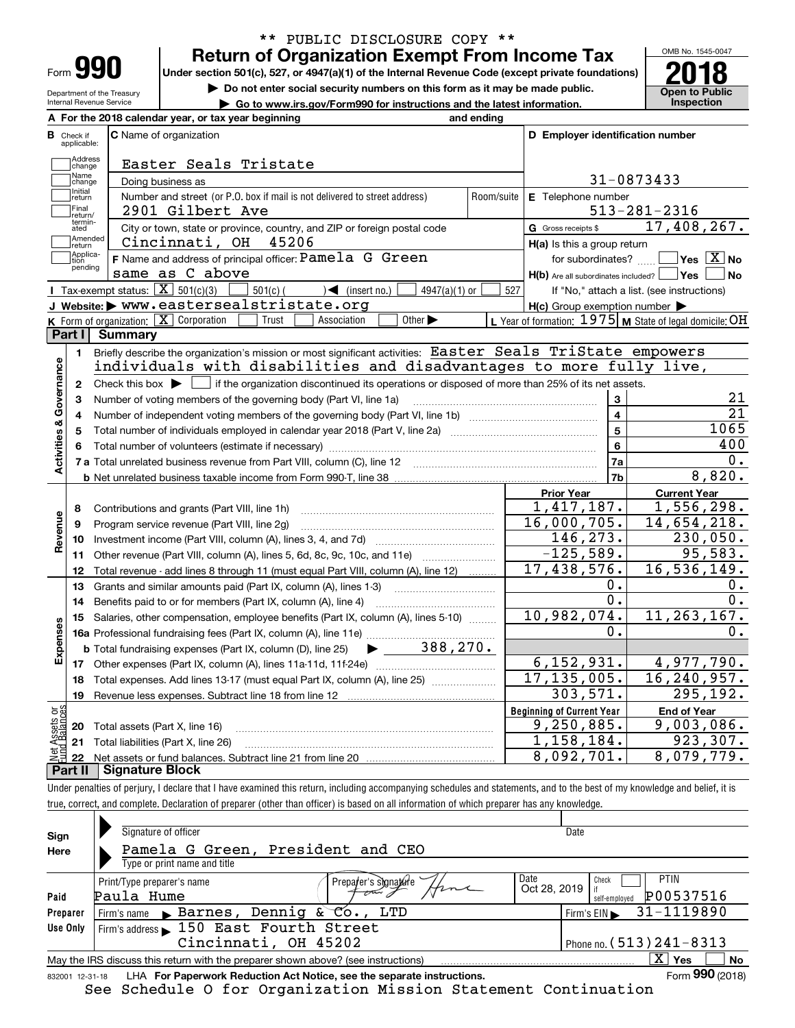| Form |  |
|------|--|

Department of the Treasury Internal Revenue Service

## **Return of Organization Exempt From Income Tax** \*\* PUBLIC DISCLOSURE COPY \*\*

Under section 501(c), 527, or 4947(a)(1) of the Internal Revenue Code (except private foundations) **2018** 

**| Do not enter social security numbers on this form as it may be made public.**

**| Go to www.irs.gov/Form990 for instructions and the latest information. Inspection**



|                                         | A For the 2018 calendar year, or tax year beginning                                                                                                 | and ending |                                                     |                                                           |
|-----------------------------------------|-----------------------------------------------------------------------------------------------------------------------------------------------------|------------|-----------------------------------------------------|-----------------------------------------------------------|
| <b>B</b> Check if applicable:           | <b>C</b> Name of organization                                                                                                                       |            | D Employer identification number                    |                                                           |
| Address<br>change                       | Easter Seals Tristate                                                                                                                               |            |                                                     |                                                           |
| Name<br>change                          | Doing business as                                                                                                                                   |            |                                                     | 31-0873433                                                |
| Initial<br>return                       | Number and street (or P.O. box if mail is not delivered to street address)                                                                          | Room/suite | E Telephone number                                  |                                                           |
| Final<br>return/                        | 2901 Gilbert Ave                                                                                                                                    |            |                                                     | $513 - 281 - 2316$                                        |
| termin-<br>ated                         | City or town, state or province, country, and ZIP or foreign postal code                                                                            |            | G Gross receipts \$                                 | 17,408,267.                                               |
| Amended<br>Ireturn                      | Cincinnati, OH<br>45206                                                                                                                             |            | H(a) Is this a group return                         |                                                           |
| Applica-<br>tion                        | F Name and address of principal officer: Pamela G Green                                                                                             |            | for subordinates?                                   | $\sqrt{}$ Yes $\sqrt{X}$ No                               |
| pending                                 | same as C above                                                                                                                                     |            | $H(b)$ Are all subordinates included? $\Box$ Yes    | No                                                        |
|                                         | Tax-exempt status: $\boxed{\mathbf{X}}$ 501(c)(3)<br>$\sqrt{\bullet}$ (insert no.)<br>$4947(a)(1)$ or<br>$501(c)$ (                                 | 527        |                                                     | If "No," attach a list. (see instructions)                |
|                                         | J Website: > www.eastersealstristate.org                                                                                                            |            | $H(c)$ Group exemption number $\blacktriangleright$ |                                                           |
|                                         | K Form of organization: $\boxed{\mathbf{X}}$ Corporation<br>Other $\blacktriangleright$<br>Trust<br>Association                                     |            |                                                     | L Year of formation: $1975$ M State of legal domicile: OH |
| Part I                                  | <b>Summary</b>                                                                                                                                      |            |                                                     |                                                           |
| 1.                                      | Briefly describe the organization's mission or most significant activities: Easter Seals TriState empowers                                          |            |                                                     |                                                           |
|                                         | individuals with disabilities and disadvantages to more fully live,                                                                                 |            |                                                     |                                                           |
| Activities & Governance<br>$\mathbf{2}$ | Check this box $\blacktriangleright$ $\blacksquare$ if the organization discontinued its operations or disposed of more than 25% of its net assets. |            |                                                     |                                                           |
| з                                       | Number of voting members of the governing body (Part VI, line 1a)                                                                                   |            | 3                                                   | 21                                                        |
| 4                                       |                                                                                                                                                     |            | $\overline{\mathbf{4}}$                             | $\overline{21}$                                           |
| 5                                       |                                                                                                                                                     |            | $\overline{5}$                                      | 1065                                                      |
|                                         |                                                                                                                                                     |            | 6                                                   | 400                                                       |
|                                         |                                                                                                                                                     |            | 7a                                                  | 0.                                                        |
|                                         |                                                                                                                                                     |            | 7b                                                  | 8,820.                                                    |
|                                         |                                                                                                                                                     |            | <b>Prior Year</b>                                   | <b>Current Year</b>                                       |
| 8                                       | Contributions and grants (Part VIII, line 1h)                                                                                                       |            | 1,417,187.                                          | 1,556,298.                                                |
| 9                                       | Program service revenue (Part VIII, line 2g)                                                                                                        |            | $\overline{16}$ , 000, 705.                         | 14,654,218.                                               |
| Revenue<br>10                           |                                                                                                                                                     |            | 146, 273.                                           | 230,050.                                                  |
| 11                                      | Other revenue (Part VIII, column (A), lines 5, 6d, 8c, 9c, 10c, and 11e)                                                                            |            | $-125,589.$                                         | 95,583.                                                   |
| 12                                      | Total revenue - add lines 8 through 11 (must equal Part VIII, column (A), line 12)                                                                  |            | $\overline{17,}$ 438, 576.                          | 16,536,149.                                               |
| 13                                      | Grants and similar amounts paid (Part IX, column (A), lines 1-3)                                                                                    |            | Ο.                                                  | О.                                                        |
| 14                                      | Benefits paid to or for members (Part IX, column (A), line 4)                                                                                       |            | 0.                                                  | $\overline{0}$ .                                          |
| 15                                      | Salaries, other compensation, employee benefits (Part IX, column (A), lines 5-10)                                                                   |            | 10,982,074.                                         | 11, 263, 167.                                             |
| Expenses                                |                                                                                                                                                     |            | 0.                                                  | 0.                                                        |
|                                         | $\blacktriangleright$ 388, 270.<br><b>b</b> Total fundraising expenses (Part IX, column (D), line 25)                                               |            |                                                     |                                                           |
|                                         |                                                                                                                                                     |            | 6, 152, 931.                                        | 4,977,790.                                                |
| 18                                      | Total expenses. Add lines 13-17 (must equal Part IX, column (A), line 25) <i></i>                                                                   |            | 17, 135, 005.                                       | 16,240,957.                                               |
| 19                                      |                                                                                                                                                     |            | 303,571.                                            | 295, 192.                                                 |
|                                         |                                                                                                                                                     |            | <b>Beginning of Current Year</b>                    | <b>End of Year</b>                                        |
|                                         |                                                                                                                                                     |            |                                                     |                                                           |
| ğ<br>5q<br>20                           | Total assets (Part X, line 16)                                                                                                                      |            | 9,250,885.                                          | 9,003,086.                                                |
| 21                                      | Total liabilities (Part X, line 26)                                                                                                                 |            | 1,158,184.<br>8,092,701.                            | 923, 307.<br>8,079,779.                                   |

Under penalties of perjury, I declare that I have examined this return, including accompanying schedules and statements, and to the best of my knowledge and belief, it is true, correct, and complete. Declaration of preparer (other than officer) is based on all information of which preparer has any knowledge.

| Sign            | Signature of officer                                                              | Date                                       |
|-----------------|-----------------------------------------------------------------------------------|--------------------------------------------|
| Here            | Pamela G Green, President and CEO                                                 |                                            |
|                 | Type or print name and title                                                      |                                            |
|                 | Print/Type preparer's name<br>Prepa <i>t</i> er's s)gna <i>p</i> are              | Date<br><b>PTIN</b><br>Check               |
| Paid            | Paula Hume                                                                        | Oct 28, 2019<br>P00537516<br>self-emploved |
| Preparer        | Firm's name Barnes, Dennig & Co., LTD                                             | 31-1119890<br>Firm's EIN                   |
| Use Only        | Firm's address 150 East Fourth Street                                             |                                            |
|                 | Cincinnati, OH 45202                                                              | Phone no. $(513)$ $241 - 8313$             |
|                 | May the IRS discuss this return with the preparer shown above? (see instructions) | $X \mid$<br>Yes<br><b>No</b>               |
| 832001 12-31-18 | LHA For Paperwork Reduction Act Notice, see the separate instructions.            | Form 990 (2018)                            |

See Schedule O for Organization Mission Statement Continuation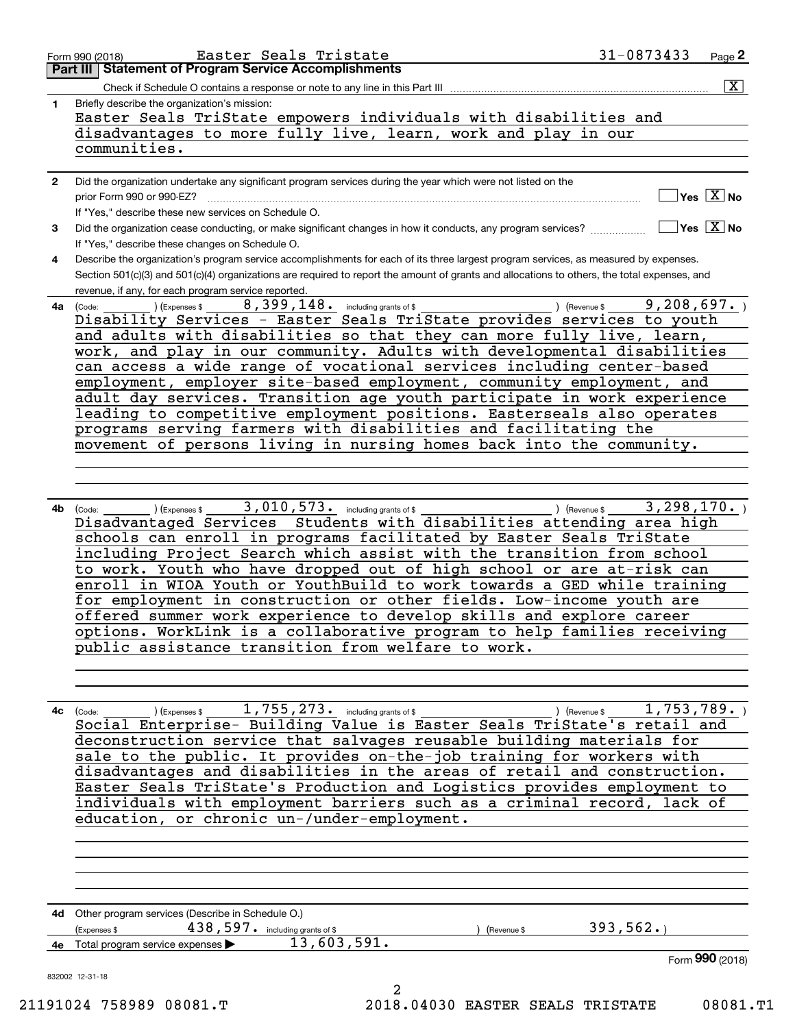| $\mathbf{2}$<br>3<br>4<br>(Code:<br>4a<br>4b<br>(Code: | disadvantages to more fully live, learn, work and play in our<br>communities.<br>Did the organization undertake any significant program services during the year which were not listed on the<br>prior Form 990 or 990-EZ?<br>If "Yes," describe these new services on Schedule O.<br>Did the organization cease conducting, or make significant changes in how it conducts, any program services?<br>If "Yes," describe these changes on Schedule O.<br>Describe the organization's program service accomplishments for each of its three largest program services, as measured by expenses.<br>Section 501(c)(3) and 501(c)(4) organizations are required to report the amount of grants and allocations to others, the total expenses, and<br>revenue, if any, for each program service reported.<br>8, 399, 148. including grants of \$<br>) (Expenses \$<br>) (Revenue \$<br>Disability Services - Easter Seals TriState provides services to youth<br>and adults with disabilities so that they can more fully live, learn,<br>work, and play in our community. Adults with developmental disabilities<br>can access a wide range of vocational services including center-based<br>employment, employer site-based employment, community employment, and<br>adult day services. Transition age youth participate in work experience<br>leading to competitive employment positions. Easterseals also operates<br>programs serving farmers with disabilities and facilitating the<br>movement of persons living in nursing homes back into the community. |
|--------------------------------------------------------|----------------------------------------------------------------------------------------------------------------------------------------------------------------------------------------------------------------------------------------------------------------------------------------------------------------------------------------------------------------------------------------------------------------------------------------------------------------------------------------------------------------------------------------------------------------------------------------------------------------------------------------------------------------------------------------------------------------------------------------------------------------------------------------------------------------------------------------------------------------------------------------------------------------------------------------------------------------------------------------------------------------------------------------------------------------------------------------------------------------------------------------------------------------------------------------------------------------------------------------------------------------------------------------------------------------------------------------------------------------------------------------------------------------------------------------------------------------------------------------------------------------------------------------------------------------|
|                                                        | $]$ Yes $[\overline{\mathrm{X}}]$ No<br>$\Box$ Yes $\boxed{\text{X}}$ No<br>9,208,697.                                                                                                                                                                                                                                                                                                                                                                                                                                                                                                                                                                                                                                                                                                                                                                                                                                                                                                                                                                                                                                                                                                                                                                                                                                                                                                                                                                                                                                                                         |
|                                                        |                                                                                                                                                                                                                                                                                                                                                                                                                                                                                                                                                                                                                                                                                                                                                                                                                                                                                                                                                                                                                                                                                                                                                                                                                                                                                                                                                                                                                                                                                                                                                                |
|                                                        |                                                                                                                                                                                                                                                                                                                                                                                                                                                                                                                                                                                                                                                                                                                                                                                                                                                                                                                                                                                                                                                                                                                                                                                                                                                                                                                                                                                                                                                                                                                                                                |
|                                                        |                                                                                                                                                                                                                                                                                                                                                                                                                                                                                                                                                                                                                                                                                                                                                                                                                                                                                                                                                                                                                                                                                                                                                                                                                                                                                                                                                                                                                                                                                                                                                                |
|                                                        |                                                                                                                                                                                                                                                                                                                                                                                                                                                                                                                                                                                                                                                                                                                                                                                                                                                                                                                                                                                                                                                                                                                                                                                                                                                                                                                                                                                                                                                                                                                                                                |
|                                                        |                                                                                                                                                                                                                                                                                                                                                                                                                                                                                                                                                                                                                                                                                                                                                                                                                                                                                                                                                                                                                                                                                                                                                                                                                                                                                                                                                                                                                                                                                                                                                                |
|                                                        | 3,010,573. including grants of \$<br>3,298,170.<br>) (Expenses \$<br>) (Revenue \$<br>Disadvantaged Services Students with disabilities attending area high<br>schools can enroll in programs facilitated by Easter Seals TriState<br>including Project Search which assist with the transition from school<br>to work. Youth who have dropped out of high school or are at-risk can<br>enroll in WIOA Youth or YouthBuild to work towards a GED while training<br>for employment in construction or other fields. Low-income youth are<br>offered summer work experience to develop skills and explore career<br>options. WorkLink is a collaborative program to help families receiving<br>public assistance transition from welfare to work.                                                                                                                                                                                                                                                                                                                                                                                                                                                                                                                                                                                                                                                                                                                                                                                                                |
| 4c<br>(Code:                                           | 1,755,273. including grants of \$<br>$\overline{1, 753, 789.}$<br>(Expenses \$<br>) (Revenue \$<br>Social Enterprise- Building Value is Easter Seals TriState's retail and<br>deconstruction service that salvages reusable building materials for<br>sale to the public. It provides on-the-job training for workers with<br>disadvantages and disabilities in the areas of retail and construction.<br>Easter Seals TriState's Production and Logistics provides employment to<br>individuals with employment barriers such as a criminal record, lack of<br>education, or chronic un-/under-employment.                                                                                                                                                                                                                                                                                                                                                                                                                                                                                                                                                                                                                                                                                                                                                                                                                                                                                                                                                     |
|                                                        | 4d Other program services (Describe in Schedule O.)                                                                                                                                                                                                                                                                                                                                                                                                                                                                                                                                                                                                                                                                                                                                                                                                                                                                                                                                                                                                                                                                                                                                                                                                                                                                                                                                                                                                                                                                                                            |
|                                                        | 393,562.<br>$438,597.$ including grants of \$<br>(Expenses \$<br>Revenue \$<br>13,603,591.                                                                                                                                                                                                                                                                                                                                                                                                                                                                                                                                                                                                                                                                                                                                                                                                                                                                                                                                                                                                                                                                                                                                                                                                                                                                                                                                                                                                                                                                     |
|                                                        | Total program service expenses<br>Form 990 (2018)                                                                                                                                                                                                                                                                                                                                                                                                                                                                                                                                                                                                                                                                                                                                                                                                                                                                                                                                                                                                                                                                                                                                                                                                                                                                                                                                                                                                                                                                                                              |
| 832002 12-31-18                                        | 2<br>21191024 758989 08081.T<br>08081.T1<br>2018.04030 EASTER SEALS TRISTATE                                                                                                                                                                                                                                                                                                                                                                                                                                                                                                                                                                                                                                                                                                                                                                                                                                                                                                                                                                                                                                                                                                                                                                                                                                                                                                                                                                                                                                                                                   |

Form 990 (2018) Page **2Part III Statement of Program Service Accomplishments** Easter Seals Tristate 31-0873433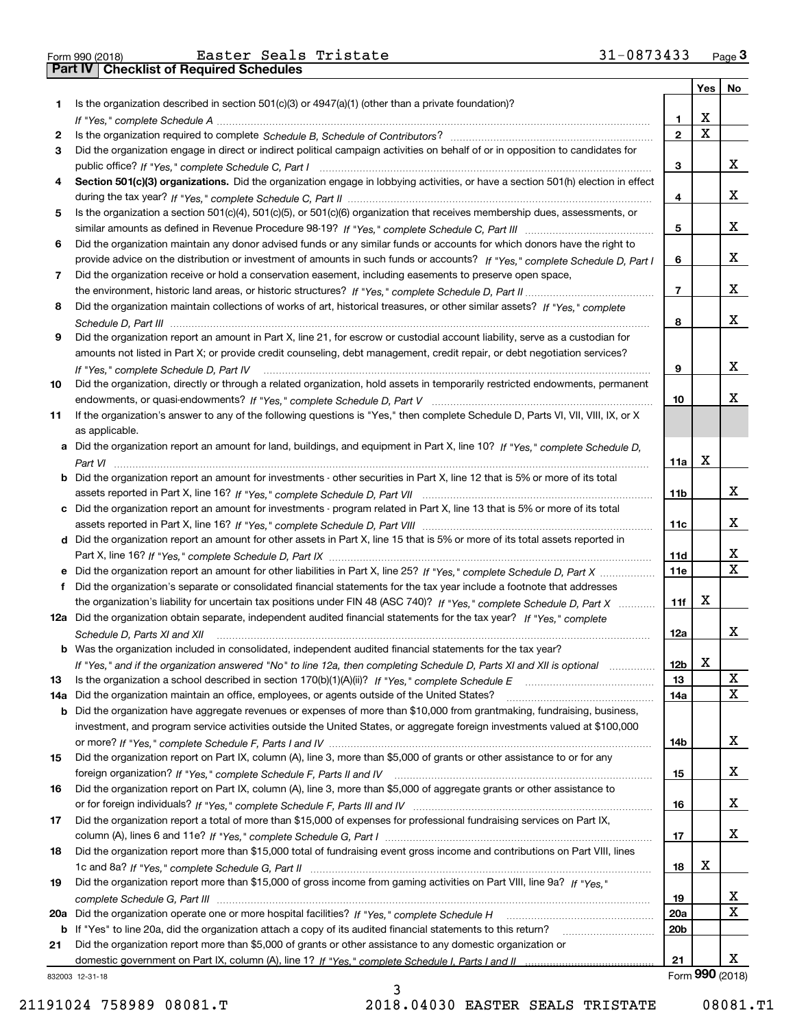|     |                                                                                                                                                                                                                                                            |                 | Yes | No              |
|-----|------------------------------------------------------------------------------------------------------------------------------------------------------------------------------------------------------------------------------------------------------------|-----------------|-----|-----------------|
| 1.  | Is the organization described in section $501(c)(3)$ or $4947(a)(1)$ (other than a private foundation)?                                                                                                                                                    |                 |     |                 |
|     |                                                                                                                                                                                                                                                            | 1               | х   |                 |
| 2   |                                                                                                                                                                                                                                                            | $\mathbf{2}$    | Χ   |                 |
| 3   | Did the organization engage in direct or indirect political campaign activities on behalf of or in opposition to candidates for                                                                                                                            |                 |     |                 |
|     |                                                                                                                                                                                                                                                            | 3               |     | X.              |
| 4   | Section 501(c)(3) organizations. Did the organization engage in lobbying activities, or have a section 501(h) election in effect                                                                                                                           |                 |     |                 |
|     |                                                                                                                                                                                                                                                            | 4               |     | х               |
| 5   | Is the organization a section 501(c)(4), 501(c)(5), or 501(c)(6) organization that receives membership dues, assessments, or                                                                                                                               |                 |     |                 |
|     |                                                                                                                                                                                                                                                            | 5               |     | х               |
| 6   | Did the organization maintain any donor advised funds or any similar funds or accounts for which donors have the right to                                                                                                                                  |                 |     |                 |
|     | provide advice on the distribution or investment of amounts in such funds or accounts? If "Yes," complete Schedule D, Part I                                                                                                                               | 6               |     | X.              |
| 7   | Did the organization receive or hold a conservation easement, including easements to preserve open space,                                                                                                                                                  |                 |     | х               |
|     |                                                                                                                                                                                                                                                            | 7               |     |                 |
| 8   | Did the organization maintain collections of works of art, historical treasures, or other similar assets? If "Yes," complete                                                                                                                               |                 |     | x               |
|     |                                                                                                                                                                                                                                                            | 8               |     |                 |
| 9   | Did the organization report an amount in Part X, line 21, for escrow or custodial account liability, serve as a custodian for<br>amounts not listed in Part X; or provide credit counseling, debt management, credit repair, or debt negotiation services? |                 |     |                 |
|     |                                                                                                                                                                                                                                                            | 9               |     | х               |
| 10  | If "Yes," complete Schedule D, Part IV<br>Did the organization, directly or through a related organization, hold assets in temporarily restricted endowments, permanent                                                                                    |                 |     |                 |
|     |                                                                                                                                                                                                                                                            | 10              |     | x.              |
| 11  | If the organization's answer to any of the following questions is "Yes," then complete Schedule D, Parts VI, VII, VIII, IX, or X                                                                                                                           |                 |     |                 |
|     | as applicable.                                                                                                                                                                                                                                             |                 |     |                 |
|     | a Did the organization report an amount for land, buildings, and equipment in Part X, line 10? If "Yes," complete Schedule D,                                                                                                                              |                 |     |                 |
|     |                                                                                                                                                                                                                                                            | 11a             | х   |                 |
|     | <b>b</b> Did the organization report an amount for investments - other securities in Part X, line 12 that is 5% or more of its total                                                                                                                       |                 |     |                 |
|     |                                                                                                                                                                                                                                                            | 11 <sub>b</sub> |     | X.              |
|     | c Did the organization report an amount for investments - program related in Part X, line 13 that is 5% or more of its total                                                                                                                               |                 |     |                 |
|     |                                                                                                                                                                                                                                                            | 11c             |     | X.              |
|     | d Did the organization report an amount for other assets in Part X, line 15 that is 5% or more of its total assets reported in                                                                                                                             |                 |     |                 |
|     |                                                                                                                                                                                                                                                            | 11d             |     | x               |
| е   | Did the organization report an amount for other liabilities in Part X, line 25? If "Yes," complete Schedule D, Part X                                                                                                                                      | 11e             |     | x               |
| f   | Did the organization's separate or consolidated financial statements for the tax year include a footnote that addresses                                                                                                                                    |                 |     |                 |
|     | the organization's liability for uncertain tax positions under FIN 48 (ASC 740)? If "Yes," complete Schedule D, Part X                                                                                                                                     | 11f             | X   |                 |
|     | 12a Did the organization obtain separate, independent audited financial statements for the tax year? If "Yes," complete                                                                                                                                    |                 |     |                 |
|     | Schedule D, Parts XI and XII                                                                                                                                                                                                                               | 12a             |     | x               |
|     | <b>b</b> Was the organization included in consolidated, independent audited financial statements for the tax year?                                                                                                                                         |                 |     |                 |
|     | If "Yes," and if the organization answered "No" to line 12a, then completing Schedule D, Parts XI and XII is optional                                                                                                                                      | 12 <sub>b</sub> | х   |                 |
| 13  | Is the organization a school described in section 170(b)(1)(A)(ii)? If "Yes," complete Schedule E                                                                                                                                                          | 13              |     | х               |
| 14a | Did the organization maintain an office, employees, or agents outside of the United States?                                                                                                                                                                | 14a             |     | x               |
|     | <b>b</b> Did the organization have aggregate revenues or expenses of more than \$10,000 from grantmaking, fundraising, business,                                                                                                                           |                 |     |                 |
|     | investment, and program service activities outside the United States, or aggregate foreign investments valued at \$100,000                                                                                                                                 |                 |     |                 |
|     |                                                                                                                                                                                                                                                            | 14b             |     | X.              |
| 15  | Did the organization report on Part IX, column (A), line 3, more than \$5,000 of grants or other assistance to or for any                                                                                                                                  |                 |     |                 |
|     |                                                                                                                                                                                                                                                            | 15              |     | X.              |
| 16  | Did the organization report on Part IX, column (A), line 3, more than \$5,000 of aggregate grants or other assistance to                                                                                                                                   |                 |     |                 |
|     |                                                                                                                                                                                                                                                            | 16              |     | x               |
| 17  | Did the organization report a total of more than \$15,000 of expenses for professional fundraising services on Part IX,                                                                                                                                    |                 |     | X.              |
|     |                                                                                                                                                                                                                                                            | 17              |     |                 |
| 18  | Did the organization report more than \$15,000 total of fundraising event gross income and contributions on Part VIII, lines                                                                                                                               | 18              | X   |                 |
| 19  | Did the organization report more than \$15,000 of gross income from gaming activities on Part VIII, line 9a? If "Yes."                                                                                                                                     |                 |     |                 |
|     |                                                                                                                                                                                                                                                            | 19              |     | X.              |
|     |                                                                                                                                                                                                                                                            | 20a             |     | x               |
|     | b If "Yes" to line 20a, did the organization attach a copy of its audited financial statements to this return?                                                                                                                                             | 20 <sub>b</sub> |     |                 |
| 21  | Did the organization report more than \$5,000 of grants or other assistance to any domestic organization or                                                                                                                                                |                 |     |                 |
|     |                                                                                                                                                                                                                                                            | 21              |     | X.              |
|     | 332003 12-31-18                                                                                                                                                                                                                                            |                 |     | Form 990 (2018) |

832003 12-31-18

3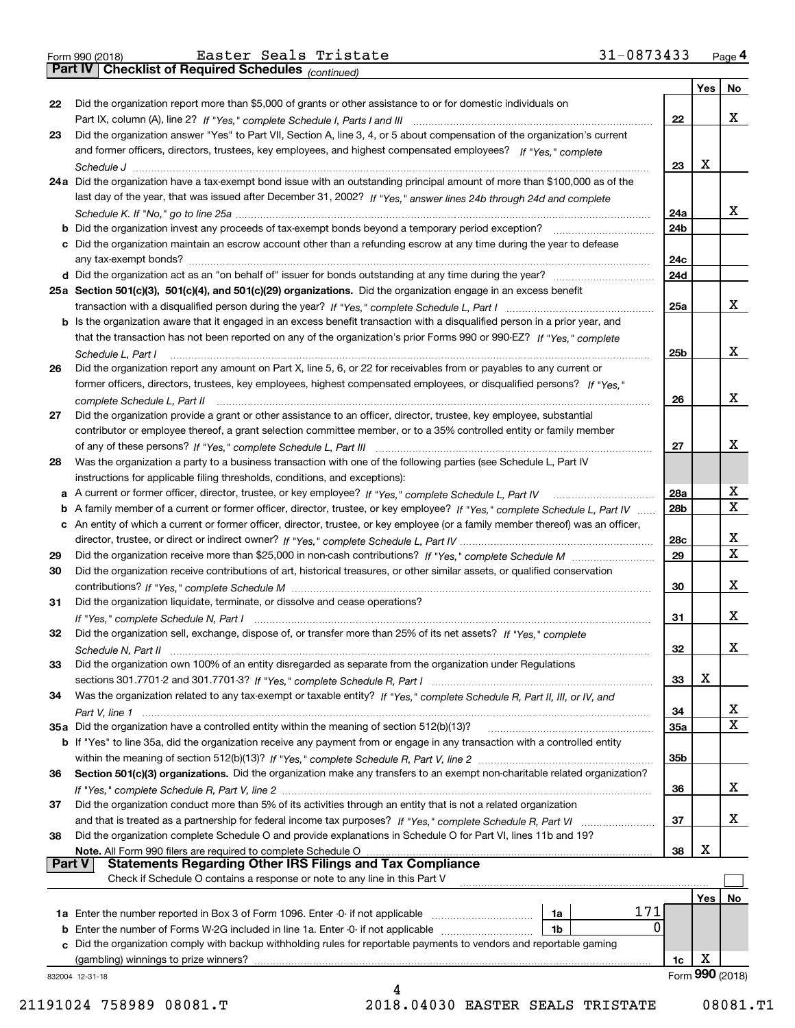*(continued)*

|               | 832004 12-31-18<br>4                                                                                                              |                 |            |                 |  |  |  |  |
|---------------|-----------------------------------------------------------------------------------------------------------------------------------|-----------------|------------|-----------------|--|--|--|--|
|               |                                                                                                                                   | 1c              |            | Form 990 (2018) |  |  |  |  |
|               | (gambling) winnings to prize winners?                                                                                             |                 | х          |                 |  |  |  |  |
|               | c Did the organization comply with backup withholding rules for reportable payments to vendors and reportable gaming              |                 |            |                 |  |  |  |  |
|               | 0<br>1b                                                                                                                           |                 |            |                 |  |  |  |  |
|               | 171<br><b>1a</b> Enter the number reported in Box 3 of Form 1096. Enter -0- if not applicable <i>manumumumum</i><br>1a            |                 |            |                 |  |  |  |  |
|               |                                                                                                                                   |                 | <b>Yes</b> | No              |  |  |  |  |
|               | Check if Schedule O contains a response or note to any line in this Part V                                                        |                 |            |                 |  |  |  |  |
| <b>Part V</b> | <b>Statements Regarding Other IRS Filings and Tax Compliance</b>                                                                  |                 |            |                 |  |  |  |  |
|               | Note. All Form 990 filers are required to complete Schedule O                                                                     | 38              | х          |                 |  |  |  |  |
| 38            | Did the organization complete Schedule O and provide explanations in Schedule O for Part VI, lines 11b and 19?                    |                 |            |                 |  |  |  |  |
|               | and that is treated as a partnership for federal income tax purposes? If "Yes," complete Schedule R, Part VI                      | 37              |            | x               |  |  |  |  |
| 37            | Did the organization conduct more than 5% of its activities through an entity that is not a related organization                  |                 |            |                 |  |  |  |  |
|               |                                                                                                                                   | 36              |            | x               |  |  |  |  |
| 36            | Section 501(c)(3) organizations. Did the organization make any transfers to an exempt non-charitable related organization?        |                 |            |                 |  |  |  |  |
|               |                                                                                                                                   | 35 <sub>b</sub> |            |                 |  |  |  |  |
|               | b If "Yes" to line 35a, did the organization receive any payment from or engage in any transaction with a controlled entity       |                 |            |                 |  |  |  |  |
|               | 35a Did the organization have a controlled entity within the meaning of section 512(b)(13)?                                       | 35a             |            | X               |  |  |  |  |
|               |                                                                                                                                   | 34              |            | х               |  |  |  |  |
| 34            | Was the organization related to any tax-exempt or taxable entity? If "Yes," complete Schedule R, Part II, III, or IV, and         |                 |            |                 |  |  |  |  |
|               |                                                                                                                                   | 33              | х          |                 |  |  |  |  |
| 33            | Did the organization own 100% of an entity disregarded as separate from the organization under Regulations                        |                 |            |                 |  |  |  |  |
|               |                                                                                                                                   | 32              |            | x               |  |  |  |  |
| 32            | Did the organization sell, exchange, dispose of, or transfer more than 25% of its net assets? If "Yes," complete                  |                 |            |                 |  |  |  |  |
|               |                                                                                                                                   | 31              |            | х               |  |  |  |  |
| 31            | Did the organization liquidate, terminate, or dissolve and cease operations?                                                      |                 |            |                 |  |  |  |  |
|               |                                                                                                                                   | 30              |            | x               |  |  |  |  |
| 30            | Did the organization receive contributions of art, historical treasures, or other similar assets, or qualified conservation       |                 |            |                 |  |  |  |  |
| 29            |                                                                                                                                   | 29              |            | $\mathbf x$     |  |  |  |  |
|               |                                                                                                                                   | 28c             |            | x               |  |  |  |  |
|               | c An entity of which a current or former officer, director, trustee, or key employee (or a family member thereof) was an officer, |                 |            |                 |  |  |  |  |
|               | b A family member of a current or former officer, director, trustee, or key employee? If "Yes," complete Schedule L, Part IV      | 28 <sub>b</sub> |            | $\mathbf X$     |  |  |  |  |
|               |                                                                                                                                   | 28a             |            | х               |  |  |  |  |
|               | instructions for applicable filing thresholds, conditions, and exceptions):                                                       |                 |            |                 |  |  |  |  |
| 28            | Was the organization a party to a business transaction with one of the following parties (see Schedule L, Part IV                 |                 |            |                 |  |  |  |  |
|               |                                                                                                                                   | 27              |            | х               |  |  |  |  |
|               | contributor or employee thereof, a grant selection committee member, or to a 35% controlled entity or family member               |                 |            |                 |  |  |  |  |
| 27            | Did the organization provide a grant or other assistance to an officer, director, trustee, key employee, substantial              |                 |            |                 |  |  |  |  |
|               | complete Schedule L, Part II manufactured and complete Schedule L, Part II manufactured and complete Schedule L, Part II          | 26              |            | х               |  |  |  |  |
|               | former officers, directors, trustees, key employees, highest compensated employees, or disqualified persons? If "Yes."            |                 |            |                 |  |  |  |  |
| 26            | Did the organization report any amount on Part X, line 5, 6, or 22 for receivables from or payables to any current or             |                 |            |                 |  |  |  |  |
|               | Schedule L. Part I                                                                                                                | 25 <sub>b</sub> |            | х               |  |  |  |  |
|               | that the transaction has not been reported on any of the organization's prior Forms 990 or 990-EZ? If "Yes," complete             |                 |            |                 |  |  |  |  |
|               | b Is the organization aware that it engaged in an excess benefit transaction with a disqualified person in a prior year, and      |                 |            |                 |  |  |  |  |
|               |                                                                                                                                   | 25a             |            | х               |  |  |  |  |
|               | 25a Section 501(c)(3), 501(c)(4), and 501(c)(29) organizations. Did the organization engage in an excess benefit                  |                 |            |                 |  |  |  |  |
|               |                                                                                                                                   | 24d             |            |                 |  |  |  |  |
|               |                                                                                                                                   | 24c             |            |                 |  |  |  |  |
|               | c Did the organization maintain an escrow account other than a refunding escrow at any time during the year to defease            |                 |            |                 |  |  |  |  |
|               | b Did the organization invest any proceeds of tax-exempt bonds beyond a temporary period exception?                               | 24b             |            |                 |  |  |  |  |
|               |                                                                                                                                   | 24a             |            | x               |  |  |  |  |
|               | last day of the year, that was issued after December 31, 2002? If "Yes," answer lines 24b through 24d and complete                |                 |            |                 |  |  |  |  |
|               | 24a Did the organization have a tax-exempt bond issue with an outstanding principal amount of more than \$100,000 as of the       |                 |            |                 |  |  |  |  |
|               |                                                                                                                                   | 23              | x          |                 |  |  |  |  |
|               | and former officers, directors, trustees, key employees, and highest compensated employees? If "Yes," complete                    |                 |            |                 |  |  |  |  |
| 23            | Did the organization answer "Yes" to Part VII, Section A, line 3, 4, or 5 about compensation of the organization's current        |                 |            |                 |  |  |  |  |
|               |                                                                                                                                   | 22              |            | x               |  |  |  |  |
| 22            | Did the organization report more than \$5,000 of grants or other assistance to or for domestic individuals on                     |                 | Yes $ $    | No.             |  |  |  |  |
|               |                                                                                                                                   |                 |            |                 |  |  |  |  |

21191024 758989 08081.T 2018.04030 EASTER SEALS TRISTATE 08081.T1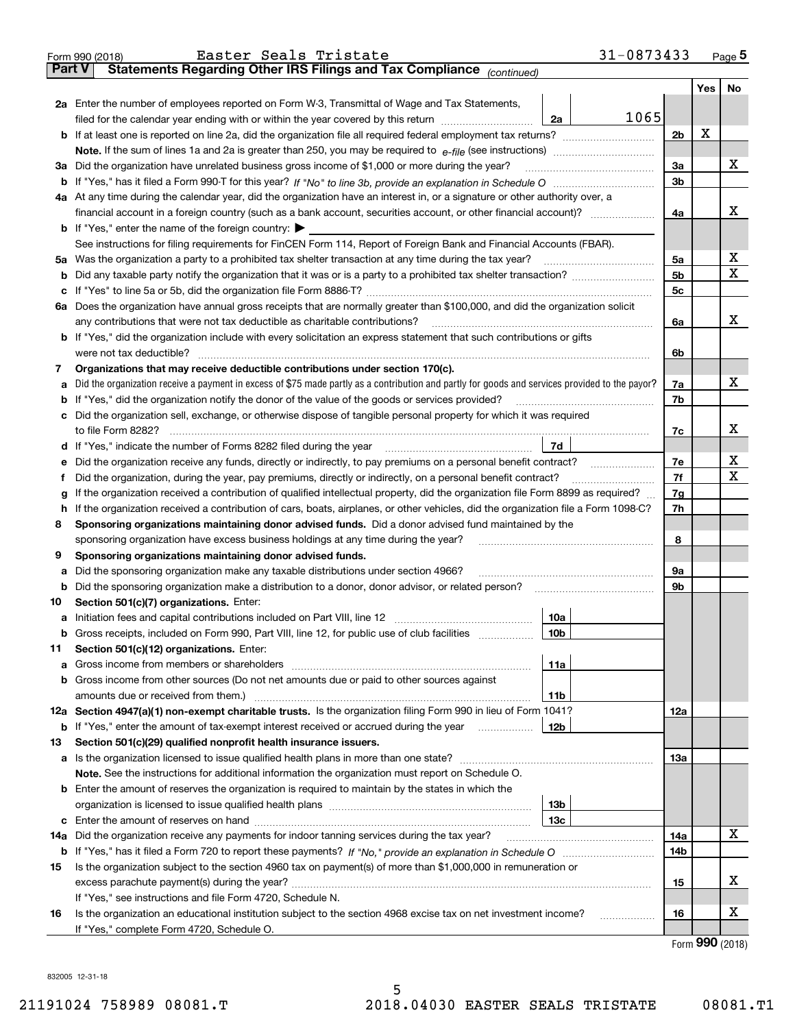|        | 31-0873433<br>Easter Seals Tristate<br>Form 990 (2018)                                                                                          |                |                             | Page $5$ |  |  |  |  |
|--------|-------------------------------------------------------------------------------------------------------------------------------------------------|----------------|-----------------------------|----------|--|--|--|--|
| Part V | Statements Regarding Other IRS Filings and Tax Compliance (continued)                                                                           |                |                             |          |  |  |  |  |
|        |                                                                                                                                                 |                | Yes                         | No       |  |  |  |  |
|        | 2a Enter the number of employees reported on Form W-3, Transmittal of Wage and Tax Statements,                                                  |                |                             |          |  |  |  |  |
|        | 1065<br>filed for the calendar year ending with or within the year covered by this return<br>2a                                                 |                |                             |          |  |  |  |  |
|        |                                                                                                                                                 | 2 <sub>b</sub> | X                           |          |  |  |  |  |
|        | Note. If the sum of lines 1a and 2a is greater than 250, you may be required to $e$ -file (see instructions) <i>marrouum</i> manu-              |                |                             |          |  |  |  |  |
|        | 3a Did the organization have unrelated business gross income of \$1,000 or more during the year?                                                | 3a             |                             | x        |  |  |  |  |
|        |                                                                                                                                                 | 3 <sub>b</sub> |                             |          |  |  |  |  |
|        | 4a At any time during the calendar year, did the organization have an interest in, or a signature or other authority over, a                    |                |                             |          |  |  |  |  |
|        | financial account in a foreign country (such as a bank account, securities account, or other financial account)?                                | 4a             |                             | x        |  |  |  |  |
|        | <b>b</b> If "Yes," enter the name of the foreign country: $\blacktriangleright$                                                                 |                |                             |          |  |  |  |  |
|        | See instructions for filing requirements for FinCEN Form 114, Report of Foreign Bank and Financial Accounts (FBAR).                             |                |                             |          |  |  |  |  |
|        | 5a Was the organization a party to a prohibited tax shelter transaction at any time during the tax year?                                        | 5a             |                             | х        |  |  |  |  |
|        |                                                                                                                                                 | 5 <sub>b</sub> |                             | х        |  |  |  |  |
| с      |                                                                                                                                                 | 5 <sub>c</sub> |                             |          |  |  |  |  |
|        | 6a Does the organization have annual gross receipts that are normally greater than \$100,000, and did the organization solicit                  |                |                             |          |  |  |  |  |
|        | any contributions that were not tax deductible as charitable contributions?                                                                     | 6a             |                             | x        |  |  |  |  |
|        | <b>b</b> If "Yes," did the organization include with every solicitation an express statement that such contributions or gifts                   |                |                             |          |  |  |  |  |
|        | were not tax deductible?                                                                                                                        | 6b             |                             |          |  |  |  |  |
| 7      | Organizations that may receive deductible contributions under section 170(c).                                                                   |                |                             |          |  |  |  |  |
| а      | Did the organization receive a payment in excess of \$75 made partly as a contribution and partly for goods and services provided to the payor? | 7a             |                             | x        |  |  |  |  |
| b      | If "Yes," did the organization notify the donor of the value of the goods or services provided?                                                 | 7b             |                             |          |  |  |  |  |
|        | c Did the organization sell, exchange, or otherwise dispose of tangible personal property for which it was required                             |                |                             |          |  |  |  |  |
|        | to file Form 8282?                                                                                                                              | 7c             |                             | x        |  |  |  |  |
|        | 7d                                                                                                                                              |                |                             |          |  |  |  |  |
|        | Did the organization receive any funds, directly or indirectly, to pay premiums on a personal benefit contract?                                 | 7e             |                             | х        |  |  |  |  |
| е      | Did the organization, during the year, pay premiums, directly or indirectly, on a personal benefit contract?                                    | 7f             |                             | X        |  |  |  |  |
| Ť      |                                                                                                                                                 | 7g             |                             |          |  |  |  |  |
|        | If the organization received a contribution of qualified intellectual property, did the organization file Form 8899 as required?<br>g           |                |                             |          |  |  |  |  |
|        | If the organization received a contribution of cars, boats, airplanes, or other vehicles, did the organization file a Form 1098-C?<br>h         |                |                             |          |  |  |  |  |
| 8      | Sponsoring organizations maintaining donor advised funds. Did a donor advised fund maintained by the                                            |                |                             |          |  |  |  |  |
|        | sponsoring organization have excess business holdings at any time during the year?                                                              | 8              |                             |          |  |  |  |  |
| 9      | Sponsoring organizations maintaining donor advised funds.                                                                                       |                |                             |          |  |  |  |  |
| а      | Did the sponsoring organization make any taxable distributions under section 4966?                                                              | 9а             |                             |          |  |  |  |  |
| b      | Did the sponsoring organization make a distribution to a donor, donor advisor, or related person?                                               | 9b             |                             |          |  |  |  |  |
| 10     | Section 501(c)(7) organizations. Enter:                                                                                                         |                |                             |          |  |  |  |  |
|        | 10a                                                                                                                                             |                |                             |          |  |  |  |  |
|        | <b>b</b> Gross receipts, included on Form 990, Part VIII, line 12, for public use of club facilities <i>manument</i><br>10b                     |                |                             |          |  |  |  |  |
| 11     | Section 501(c)(12) organizations. Enter:                                                                                                        |                |                             |          |  |  |  |  |
| а      | 11a                                                                                                                                             |                |                             |          |  |  |  |  |
| b      | Gross income from other sources (Do not net amounts due or paid to other sources against                                                        |                |                             |          |  |  |  |  |
|        | amounts due or received from them.)<br>11b                                                                                                      |                |                             |          |  |  |  |  |
|        | 12a Section 4947(a)(1) non-exempt charitable trusts. Is the organization filing Form 990 in lieu of Form 1041?                                  | 12a            |                             |          |  |  |  |  |
| b      | If "Yes," enter the amount of tax-exempt interest received or accrued during the year<br>12b                                                    |                |                             |          |  |  |  |  |
| 13     | Section 501(c)(29) qualified nonprofit health insurance issuers.                                                                                |                |                             |          |  |  |  |  |
| а      | Is the organization licensed to issue qualified health plans in more than one state?                                                            | 13а            |                             |          |  |  |  |  |
|        | <b>Note.</b> See the instructions for additional information the organization must report on Schedule O.                                        |                |                             |          |  |  |  |  |
|        | <b>b</b> Enter the amount of reserves the organization is required to maintain by the states in which the                                       |                |                             |          |  |  |  |  |
|        | 13b                                                                                                                                             |                |                             |          |  |  |  |  |
|        | 13 <sub>c</sub>                                                                                                                                 |                |                             |          |  |  |  |  |
| 14a    | Did the organization receive any payments for indoor tanning services during the tax year?                                                      | 14a            |                             | x        |  |  |  |  |
| b      |                                                                                                                                                 | 14b            |                             |          |  |  |  |  |
| 15     | Is the organization subject to the section 4960 tax on payment(s) of more than \$1,000,000 in remuneration or                                   |                |                             |          |  |  |  |  |
|        |                                                                                                                                                 | 15             |                             | x        |  |  |  |  |
|        | If "Yes," see instructions and file Form 4720, Schedule N.                                                                                      |                |                             |          |  |  |  |  |
| 16     | Is the organization an educational institution subject to the section 4968 excise tax on net investment income?<br>.                            | 16             |                             | x        |  |  |  |  |
|        | If "Yes," complete Form 4720, Schedule O.                                                                                                       |                | $F_{\text{arm}}$ 990 (2019) |          |  |  |  |  |
|        |                                                                                                                                                 |                |                             |          |  |  |  |  |

Form (2018) **990**

832005 12-31-18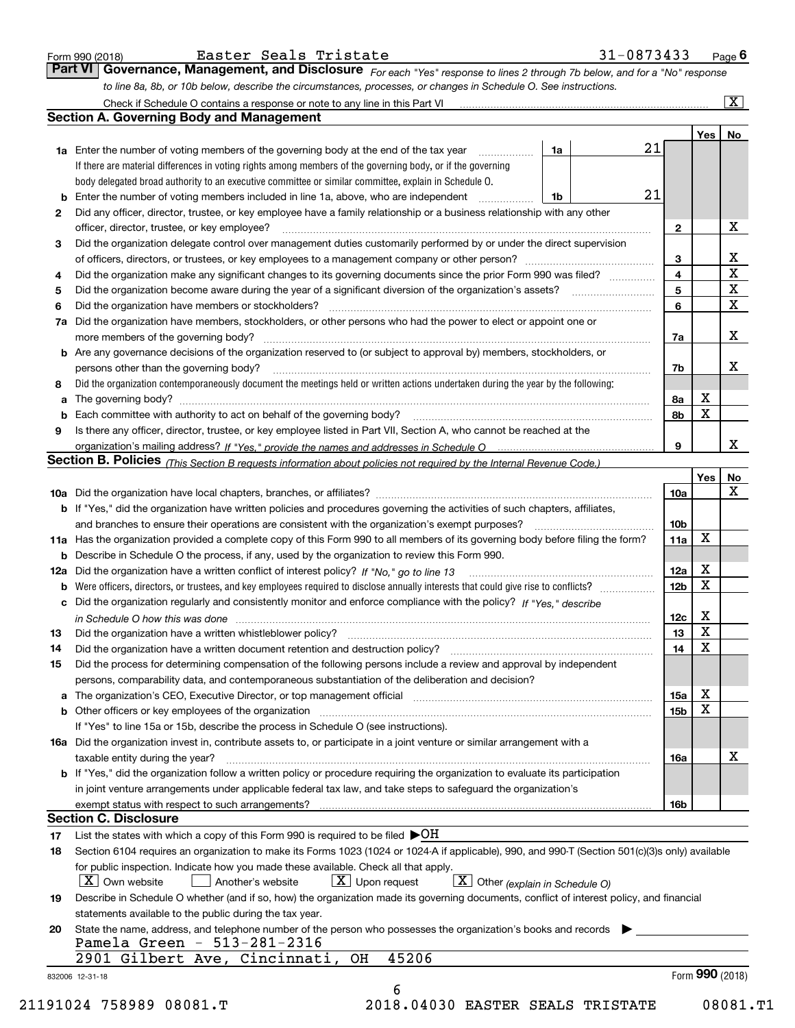| Form 990 (2018 |  |  |
|----------------|--|--|
|                |  |  |

Easter Seals Tristate 31-0873433

*For each "Yes" response to lines 2 through 7b below, and for a "No" response to line 8a, 8b, or 10b below, describe the circumstances, processes, or changes in Schedule O. See instructions.* Form 990 (2018) **Easter Seals Tristate 1990 (2018)** Page **6**<br>**Part VI Governance, Management, and Disclosure** For each "Yes" response to lines 2 through 7b below, and for a "No" response

|                 |                                                                                                                                                                                                                                |    |  |    |                        | Yes   No        |                                                    |  |  |  |  |  |
|-----------------|--------------------------------------------------------------------------------------------------------------------------------------------------------------------------------------------------------------------------------|----|--|----|------------------------|-----------------|----------------------------------------------------|--|--|--|--|--|
|                 | <b>1a</b> Enter the number of voting members of the governing body at the end of the tax year                                                                                                                                  | 1a |  | 21 |                        |                 |                                                    |  |  |  |  |  |
|                 | If there are material differences in voting rights among members of the governing body, or if the governing                                                                                                                    |    |  |    |                        |                 |                                                    |  |  |  |  |  |
|                 | body delegated broad authority to an executive committee or similar committee, explain in Schedule O.                                                                                                                          |    |  |    |                        |                 |                                                    |  |  |  |  |  |
| b               | Enter the number of voting members included in line 1a, above, who are independent                                                                                                                                             | 1b |  | 21 |                        |                 |                                                    |  |  |  |  |  |
| 2               | Did any officer, director, trustee, or key employee have a family relationship or a business relationship with any other                                                                                                       |    |  |    |                        |                 |                                                    |  |  |  |  |  |
|                 | officer, director, trustee, or key employee?                                                                                                                                                                                   |    |  |    | $\mathbf{2}$           |                 | X                                                  |  |  |  |  |  |
| 3               | Did the organization delegate control over management duties customarily performed by or under the direct supervision                                                                                                          |    |  |    |                        |                 |                                                    |  |  |  |  |  |
|                 |                                                                                                                                                                                                                                |    |  |    | 3                      |                 | $\mathbf{X}$                                       |  |  |  |  |  |
| 4               | Did the organization make any significant changes to its governing documents since the prior Form 990 was filed?                                                                                                               |    |  |    | 4                      |                 | $\overline{\textbf{x}}$<br>$\overline{\mathbf{x}}$ |  |  |  |  |  |
| 5               |                                                                                                                                                                                                                                |    |  |    |                        |                 |                                                    |  |  |  |  |  |
| 6               | Did the organization have members or stockholders?                                                                                                                                                                             |    |  |    |                        |                 |                                                    |  |  |  |  |  |
| 7a              | Did the organization have members, stockholders, or other persons who had the power to elect or appoint one or                                                                                                                 |    |  |    |                        |                 |                                                    |  |  |  |  |  |
|                 |                                                                                                                                                                                                                                |    |  |    | 7a                     |                 | X                                                  |  |  |  |  |  |
|                 | <b>b</b> Are any governance decisions of the organization reserved to (or subject to approval by) members, stockholders, or                                                                                                    |    |  |    |                        |                 |                                                    |  |  |  |  |  |
|                 | persons other than the governing body?                                                                                                                                                                                         |    |  |    | 7b                     |                 | X                                                  |  |  |  |  |  |
| 8               | Did the organization contemporaneously document the meetings held or written actions undertaken during the year by the following:                                                                                              |    |  |    |                        |                 |                                                    |  |  |  |  |  |
| a               |                                                                                                                                                                                                                                |    |  |    | 8а                     | X               |                                                    |  |  |  |  |  |
|                 |                                                                                                                                                                                                                                |    |  |    | 8b                     | X               |                                                    |  |  |  |  |  |
| 9               | Is there any officer, director, trustee, or key employee listed in Part VII, Section A, who cannot be reached at the                                                                                                           |    |  |    |                        |                 |                                                    |  |  |  |  |  |
|                 |                                                                                                                                                                                                                                |    |  |    | 9                      |                 | X                                                  |  |  |  |  |  |
|                 | Section B. Policies <sub>(This</sub> Section B requests information about policies not required by the Internal Revenue Code.)                                                                                                 |    |  |    |                        |                 |                                                    |  |  |  |  |  |
|                 |                                                                                                                                                                                                                                |    |  |    |                        | Yes             | No                                                 |  |  |  |  |  |
|                 |                                                                                                                                                                                                                                |    |  |    | 10a                    |                 | X                                                  |  |  |  |  |  |
|                 | <b>b</b> If "Yes," did the organization have written policies and procedures governing the activities of such chapters, affiliates,                                                                                            |    |  |    |                        |                 |                                                    |  |  |  |  |  |
|                 |                                                                                                                                                                                                                                |    |  |    | 10 <sub>b</sub>        |                 |                                                    |  |  |  |  |  |
|                 |                                                                                                                                                                                                                                |    |  |    | 11a                    | X               |                                                    |  |  |  |  |  |
|                 | 11a Has the organization provided a complete copy of this Form 990 to all members of its governing body before filing the form?                                                                                                |    |  |    |                        |                 |                                                    |  |  |  |  |  |
|                 | <b>b</b> Describe in Schedule O the process, if any, used by the organization to review this Form 990.                                                                                                                         |    |  |    |                        | X               |                                                    |  |  |  |  |  |
|                 |                                                                                                                                                                                                                                |    |  |    | 12a<br>12 <sub>b</sub> | X               |                                                    |  |  |  |  |  |
| b               |                                                                                                                                                                                                                                |    |  |    |                        |                 |                                                    |  |  |  |  |  |
|                 | c Did the organization regularly and consistently monitor and enforce compliance with the policy? If "Yes," describe                                                                                                           |    |  |    |                        |                 |                                                    |  |  |  |  |  |
|                 | in Schedule O how this was done measured and the control of the control of the state of the control of the control of the control of the control of the control of the control of the control of the control of the control of |    |  |    | 12c                    | X               |                                                    |  |  |  |  |  |
| 13              |                                                                                                                                                                                                                                |    |  |    | 13                     | $\mathbf x$     |                                                    |  |  |  |  |  |
| 14              |                                                                                                                                                                                                                                |    |  |    | 14                     | X               |                                                    |  |  |  |  |  |
| 15              | Did the process for determining compensation of the following persons include a review and approval by independent                                                                                                             |    |  |    |                        |                 |                                                    |  |  |  |  |  |
|                 | persons, comparability data, and contemporaneous substantiation of the deliberation and decision?                                                                                                                              |    |  |    |                        |                 |                                                    |  |  |  |  |  |
|                 | a The organization's CEO, Executive Director, or top management official manufactured content of the organization's CEO, Executive Director, or top management official                                                        |    |  |    | 15a                    | х               |                                                    |  |  |  |  |  |
|                 |                                                                                                                                                                                                                                |    |  |    | 15 <sub>b</sub>        | X               |                                                    |  |  |  |  |  |
|                 | If "Yes" to line 15a or 15b, describe the process in Schedule O (see instructions).                                                                                                                                            |    |  |    |                        |                 |                                                    |  |  |  |  |  |
|                 | 16a Did the organization invest in, contribute assets to, or participate in a joint venture or similar arrangement with a                                                                                                      |    |  |    |                        |                 |                                                    |  |  |  |  |  |
|                 | taxable entity during the year?                                                                                                                                                                                                |    |  |    | 16a                    |                 | X                                                  |  |  |  |  |  |
|                 | b If "Yes," did the organization follow a written policy or procedure requiring the organization to evaluate its participation                                                                                                 |    |  |    |                        |                 |                                                    |  |  |  |  |  |
|                 | in joint venture arrangements under applicable federal tax law, and take steps to safequard the organization's                                                                                                                 |    |  |    |                        |                 |                                                    |  |  |  |  |  |
|                 | exempt status with respect to such arrangements?                                                                                                                                                                               |    |  |    | 16b                    |                 |                                                    |  |  |  |  |  |
|                 | <b>Section C. Disclosure</b>                                                                                                                                                                                                   |    |  |    |                        |                 |                                                    |  |  |  |  |  |
| 17              | List the states with which a copy of this Form 990 is required to be filed $\blacktriangleright$ OH                                                                                                                            |    |  |    |                        |                 |                                                    |  |  |  |  |  |
| 18              | Section 6104 requires an organization to make its Forms 1023 (1024 or 1024 A if applicable), 990, and 990-T (Section 501(c)(3)s only) available                                                                                |    |  |    |                        |                 |                                                    |  |  |  |  |  |
|                 | for public inspection. Indicate how you made these available. Check all that apply.                                                                                                                                            |    |  |    |                        |                 |                                                    |  |  |  |  |  |
|                 | $X$ Upon request<br>$\boxed{\mathbf{X}}$ Other (explain in Schedule O)<br>$X$ Own website<br>Another's website                                                                                                                 |    |  |    |                        |                 |                                                    |  |  |  |  |  |
| 19              | Describe in Schedule O whether (and if so, how) the organization made its governing documents, conflict of interest policy, and financial                                                                                      |    |  |    |                        |                 |                                                    |  |  |  |  |  |
|                 | statements available to the public during the tax year.                                                                                                                                                                        |    |  |    |                        |                 |                                                    |  |  |  |  |  |
| 20              | State the name, address, and telephone number of the person who possesses the organization's books and records                                                                                                                 |    |  |    |                        |                 |                                                    |  |  |  |  |  |
|                 | Pamela Green - 513-281-2316                                                                                                                                                                                                    |    |  |    |                        |                 |                                                    |  |  |  |  |  |
|                 | 45206<br>2901 Gilbert Ave, Cincinnati,<br>OH                                                                                                                                                                                   |    |  |    |                        |                 |                                                    |  |  |  |  |  |
| 832006 12-31-18 |                                                                                                                                                                                                                                |    |  |    |                        | Form 990 (2018) |                                                    |  |  |  |  |  |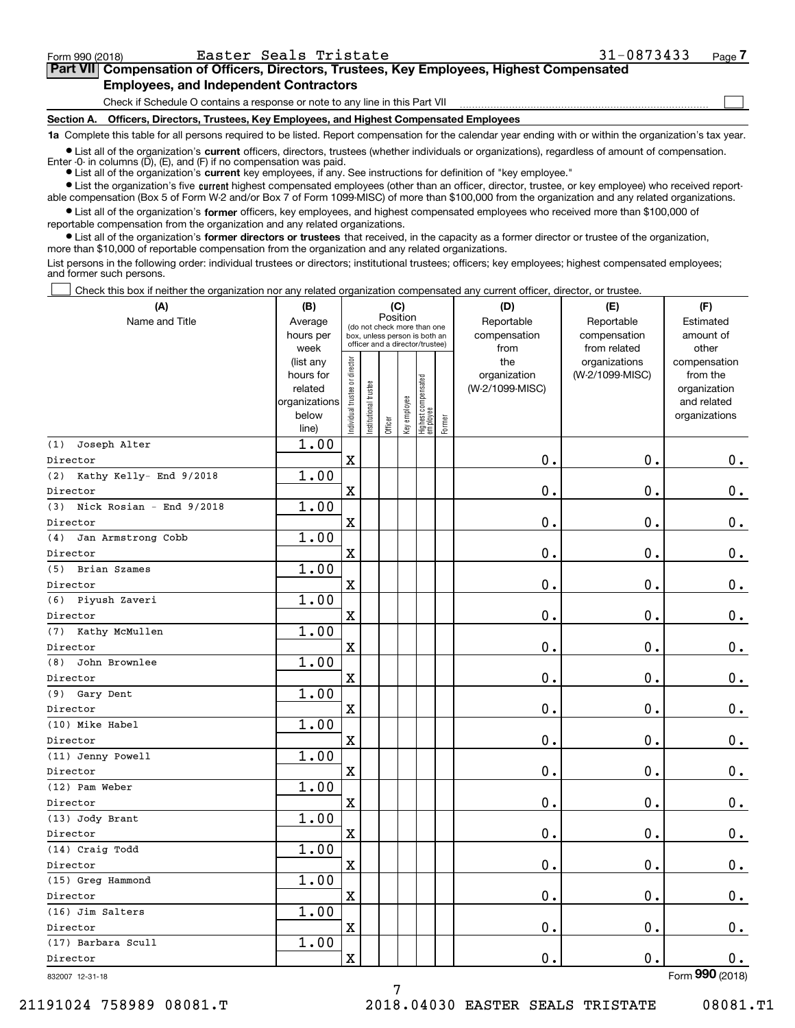$\mathcal{L}^{\text{max}}$ 

## **7Part VII Compensation of Officers, Directors, Trustees, Key Employees, Highest Compensated Employees, and Independent Contractors**

Check if Schedule O contains a response or note to any line in this Part VII

**Section A. Officers, Directors, Trustees, Key Employees, and Highest Compensated Employees**

**1a**  Complete this table for all persons required to be listed. Report compensation for the calendar year ending with or within the organization's tax year.

**•** List all of the organization's current officers, directors, trustees (whether individuals or organizations), regardless of amount of compensation. Enter -0- in columns  $(D)$ ,  $(E)$ , and  $(F)$  if no compensation was paid.

● List all of the organization's **current** key employees, if any. See instructions for definition of "key employee."

**•** List the organization's five current highest compensated employees (other than an officer, director, trustee, or key employee) who received reportable compensation (Box 5 of Form W-2 and/or Box 7 of Form 1099-MISC) of more than \$100,000 from the organization and any related organizations.

 $\bullet$  List all of the organization's **former** officers, key employees, and highest compensated employees who received more than \$100,000 of reportable compensation from the organization and any related organizations.

**•** List all of the organization's former directors or trustees that received, in the capacity as a former director or trustee of the organization, more than \$10,000 of reportable compensation from the organization and any related organizations.

List persons in the following order: individual trustees or directors; institutional trustees; officers; key employees; highest compensated employees; and former such persons.

Check this box if neither the organization nor any related organization compensated any current officer, director, or trustee.  $\mathcal{L}^{\text{max}}$ 

| (A)                             | (B)                      |                                         |                       |                                                                  | (C)          |                                  |        | (D)             | (E)             | (F)                         |
|---------------------------------|--------------------------|-----------------------------------------|-----------------------|------------------------------------------------------------------|--------------|----------------------------------|--------|-----------------|-----------------|-----------------------------|
| Name and Title                  | Average                  | Position<br>(do not check more than one |                       |                                                                  |              |                                  |        | Reportable      | Reportable      | Estimated                   |
|                                 | hours per                |                                         |                       | box, unless person is both an<br>officer and a director/trustee) |              |                                  |        | compensation    | compensation    | amount of                   |
|                                 | week                     |                                         |                       |                                                                  |              |                                  |        | from            | from related    | other                       |
|                                 | (list any                |                                         |                       |                                                                  |              |                                  |        | the             | organizations   | compensation                |
|                                 | hours for                |                                         |                       |                                                                  |              |                                  |        | organization    | (W-2/1099-MISC) | from the                    |
|                                 | related<br>organizations |                                         |                       |                                                                  |              |                                  |        | (W-2/1099-MISC) |                 | organization<br>and related |
|                                 | below                    |                                         |                       |                                                                  |              |                                  |        |                 |                 | organizations               |
|                                 | line)                    | Individual trustee or director          | Institutional trustee | Officer                                                          | Key employee | Highest compensated<br> employee | Former |                 |                 |                             |
| Joseph Alter<br>(1)             | 1.00                     |                                         |                       |                                                                  |              |                                  |        |                 |                 |                             |
| Director                        |                          | X                                       |                       |                                                                  |              |                                  |        | 0.              | 0.              | 0.                          |
| (2) Kathy Kelly- End 9/2018     | 1.00                     |                                         |                       |                                                                  |              |                                  |        |                 |                 |                             |
| Director                        |                          | X                                       |                       |                                                                  |              |                                  |        | 0.              | $\mathbf 0$ .   | 0.                          |
| Nick Rosian - End 9/2018<br>(3) | 1.00                     |                                         |                       |                                                                  |              |                                  |        |                 |                 |                             |
| Director                        |                          | X                                       |                       |                                                                  |              |                                  |        | 0.              | $\mathbf 0$ .   | $\mathbf 0$ .               |
| Jan Armstrong Cobb<br>(4)       | 1.00                     |                                         |                       |                                                                  |              |                                  |        |                 |                 |                             |
| Director                        |                          | X                                       |                       |                                                                  |              |                                  |        | 0.              | $\mathbf 0$ .   | $\mathbf 0$ .               |
| (5) Brian Szames                | 1.00                     |                                         |                       |                                                                  |              |                                  |        |                 |                 |                             |
| Director                        |                          | X                                       |                       |                                                                  |              |                                  |        | 0.              | $\mathbf 0$ .   | $\mathbf 0$ .               |
| (6) Piyush Zaveri               | 1.00                     |                                         |                       |                                                                  |              |                                  |        |                 |                 |                             |
| Director                        |                          | X                                       |                       |                                                                  |              |                                  |        | 0.              | $\mathbf 0$ .   | $\mathbf 0$ .               |
| (7) Kathy McMullen              | 1.00                     |                                         |                       |                                                                  |              |                                  |        |                 |                 |                             |
| Director                        |                          | X                                       |                       |                                                                  |              |                                  |        | 0.              | $\mathbf 0$ .   | $\mathbf 0$ .               |
| John Brownlee<br>(8)            | 1.00                     |                                         |                       |                                                                  |              |                                  |        |                 |                 |                             |
| Director                        |                          | X                                       |                       |                                                                  |              |                                  |        | 0.              | $\mathbf 0$ .   | $\mathbf 0$ .               |
| (9) Gary Dent                   | 1.00                     |                                         |                       |                                                                  |              |                                  |        |                 |                 |                             |
| Director                        |                          | X                                       |                       |                                                                  |              |                                  |        | 0.              | $\mathbf 0$ .   | $\mathbf 0$ .               |
| (10) Mike Habel                 | 1.00                     |                                         |                       |                                                                  |              |                                  |        |                 |                 |                             |
| Director                        |                          | X                                       |                       |                                                                  |              |                                  |        | 0.              | $\mathbf 0$ .   | $\mathbf 0$ .               |
| (11) Jenny Powell               | 1.00                     |                                         |                       |                                                                  |              |                                  |        |                 |                 |                             |
| Director                        |                          | X                                       |                       |                                                                  |              |                                  |        | 0.              | $\mathbf 0$ .   | $0$ .                       |
| (12) Pam Weber                  | 1.00                     |                                         |                       |                                                                  |              |                                  |        |                 |                 |                             |
| Director                        |                          | X                                       |                       |                                                                  |              |                                  |        | 0.              | $\mathbf 0$ .   | 0.                          |
| (13) Jody Brant                 | 1.00                     |                                         |                       |                                                                  |              |                                  |        |                 |                 |                             |
| Director                        |                          | $\mathbf X$                             |                       |                                                                  |              |                                  |        | 0.              | 0.              | 0.                          |
| (14) Craig Todd                 | 1.00                     |                                         |                       |                                                                  |              |                                  |        |                 |                 |                             |
| Director                        |                          | X                                       |                       |                                                                  |              |                                  |        | 0.              | $\mathbf 0$ .   | 0.                          |
| (15) Greg Hammond               | 1.00                     |                                         |                       |                                                                  |              |                                  |        |                 |                 |                             |
| Director                        |                          | x                                       |                       |                                                                  |              |                                  |        | $\mathbf 0$ .   | $\mathbf 0$ .   | 0.                          |
| (16) Jim Salters                | 1.00                     |                                         |                       |                                                                  |              |                                  |        |                 |                 |                             |
| Director                        |                          | x                                       |                       |                                                                  |              |                                  |        | 0.              | $\mathbf 0$ .   | $\mathbf{0}$ .              |
| (17) Barbara Scull              | 1.00                     |                                         |                       |                                                                  |              |                                  |        |                 |                 |                             |
| Director                        |                          | x                                       |                       |                                                                  |              |                                  |        | $\mathbf 0$ .   | $\mathbf 0$ .   | 0.                          |
| 832007 12-31-18                 |                          |                                         |                       |                                                                  |              |                                  |        |                 |                 | Form 990 (2018)             |

832007 12-31-18

21191024 758989 08081.T 2018.04030 EASTER SEALS TRISTATE 08081.T1

7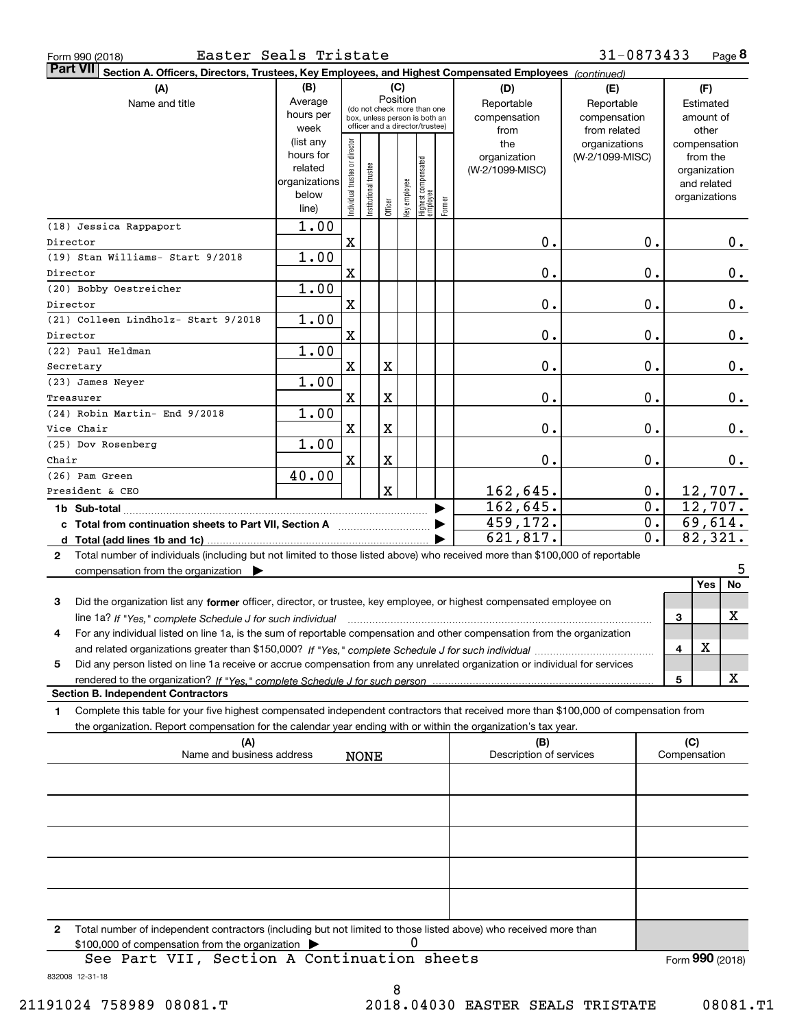| Form 990 (2018 |  |  |
|----------------|--|--|
|                |  |  |

|              | Part VII Section A. Officers, Directors, Trustees, Key Employees, and Highest Compensated Employees (continued)                      |                        |                                |                                 |             |              |                                   |        |                         |                  |                             |
|--------------|--------------------------------------------------------------------------------------------------------------------------------------|------------------------|--------------------------------|---------------------------------|-------------|--------------|-----------------------------------|--------|-------------------------|------------------|-----------------------------|
|              | (A)                                                                                                                                  | (B)                    |                                |                                 |             | (C)          |                                   |        | (D)                     | (E)              | (F)                         |
|              | Name and title                                                                                                                       | Average                |                                | (do not check more than one     |             | Position     |                                   |        | Reportable              | Reportable       | Estimated                   |
|              |                                                                                                                                      | hours per              |                                | box, unless person is both an   |             |              |                                   |        | compensation            | compensation     | amount of                   |
|              |                                                                                                                                      | week                   |                                | officer and a director/trustee) |             |              |                                   |        | from                    | from related     | other                       |
|              |                                                                                                                                      | (list any<br>hours for |                                |                                 |             |              |                                   |        | the                     | organizations    | compensation                |
|              |                                                                                                                                      | related                |                                |                                 |             |              |                                   |        | organization            | (W-2/1099-MISC)  | from the                    |
|              |                                                                                                                                      | organizations          |                                |                                 |             |              |                                   |        | (W-2/1099-MISC)         |                  | organization<br>and related |
|              |                                                                                                                                      | below                  |                                |                                 |             |              |                                   |        |                         |                  | organizations               |
|              |                                                                                                                                      | line)                  | Individual trustee or director | Institutional trustee           | Officer     | key employee | Highest compensated<br>  employee | Former |                         |                  |                             |
|              | (18) Jessica Rappaport                                                                                                               | 1.00                   |                                |                                 |             |              |                                   |        |                         |                  |                             |
| Director     |                                                                                                                                      |                        | X                              |                                 |             |              |                                   |        | $\mathbf 0$ .           | 0.               | 0.                          |
|              | (19) Stan Williams- Start 9/2018                                                                                                     | 1.00                   |                                |                                 |             |              |                                   |        |                         |                  |                             |
| Director     |                                                                                                                                      |                        | X                              |                                 |             |              |                                   |        | $\mathbf 0$ .           | $0$ .            | 0.                          |
|              | (20) Bobby Oestreicher                                                                                                               | 1.00                   |                                |                                 |             |              |                                   |        |                         |                  |                             |
| Director     |                                                                                                                                      |                        | X                              |                                 |             |              |                                   |        | $\mathbf 0$ .           | 0.               | 0.                          |
|              | (21) Colleen Lindholz- Start 9/2018                                                                                                  | 1.00                   |                                |                                 |             |              |                                   |        |                         |                  |                             |
| Director     |                                                                                                                                      |                        | X                              |                                 |             |              |                                   |        | $\mathbf 0$ .           | 0.               | 0.                          |
|              | (22) Paul Heldman                                                                                                                    | 1.00                   |                                |                                 |             |              |                                   |        |                         |                  |                             |
| Secretary    |                                                                                                                                      |                        | X                              |                                 | X           |              |                                   |        | $\mathbf 0$ .           | 0.               | 0.                          |
|              | (23) James Neyer                                                                                                                     | 1.00                   |                                |                                 |             |              |                                   |        |                         |                  |                             |
| Treasurer    |                                                                                                                                      |                        | X                              |                                 | X           |              |                                   |        | $\mathbf 0$ .           | $\mathbf 0$ .    | 0.                          |
|              | (24) Robin Martin- End 9/2018                                                                                                        | 1.00                   |                                |                                 |             |              |                                   |        |                         |                  |                             |
| Vice Chair   |                                                                                                                                      |                        | X                              |                                 | X           |              |                                   |        | $\mathbf 0$ .           | $\mathbf 0$ .    | 0.                          |
|              | (25) Dov Rosenberg                                                                                                                   | 1.00                   |                                |                                 |             |              |                                   |        |                         |                  |                             |
| Chair        |                                                                                                                                      |                        | X                              |                                 | X           |              |                                   |        | $\mathbf 0$ .           | $\mathbf 0$ .    | 0.                          |
|              | (26) Pam Green                                                                                                                       | 40.00                  |                                |                                 |             |              |                                   |        |                         |                  |                             |
|              | President & CEO                                                                                                                      |                        |                                |                                 | $\mathbf X$ |              |                                   |        | 162,645.                | 0.               | <u>12,707.</u>              |
|              | 1b Sub-total                                                                                                                         |                        |                                |                                 |             |              |                                   |        | 162,645.                | $\overline{0}$ . | 12,707.                     |
|              | c Total from continuation sheets to Part VII, Section A [11] [12] Total from continuation sheets to Part VII, Section A              |                        |                                |                                 |             |              |                                   |        | 459,172.                | 0.               | 69,614.                     |
|              |                                                                                                                                      |                        |                                |                                 |             |              |                                   |        | 621,817.                | $\overline{0}$ . | 82,321.                     |
| $\mathbf{2}$ | Total number of individuals (including but not limited to those listed above) who received more than \$100,000 of reportable         |                        |                                |                                 |             |              |                                   |        |                         |                  |                             |
|              | compensation from the organization $\blacktriangleright$                                                                             |                        |                                |                                 |             |              |                                   |        |                         |                  | 5                           |
|              |                                                                                                                                      |                        |                                |                                 |             |              |                                   |        |                         |                  | No<br><b>Yes</b>            |
| 3            | Did the organization list any former officer, director, or trustee, key employee, or highest compensated employee on                 |                        |                                |                                 |             |              |                                   |        |                         |                  |                             |
|              | line 1a? If "Yes," complete Schedule J for such individual                                                                           |                        |                                |                                 |             |              |                                   |        |                         |                  | х<br>3                      |
| 4            | For any individual listed on line 1a, is the sum of reportable compensation and other compensation from the organization             |                        |                                |                                 |             |              |                                   |        |                         |                  |                             |
|              |                                                                                                                                      |                        |                                |                                 |             |              |                                   |        |                         |                  | X<br>4                      |
| 5            | Did any person listed on line 1a receive or accrue compensation from any unrelated organization or individual for services           |                        |                                |                                 |             |              |                                   |        |                         |                  |                             |
|              |                                                                                                                                      |                        |                                |                                 |             |              |                                   |        |                         |                  | x<br>5                      |
|              | <b>Section B. Independent Contractors</b>                                                                                            |                        |                                |                                 |             |              |                                   |        |                         |                  |                             |
| 1            | Complete this table for your five highest compensated independent contractors that received more than \$100,000 of compensation from |                        |                                |                                 |             |              |                                   |        |                         |                  |                             |
|              | the organization. Report compensation for the calendar year ending with or within the organization's tax year.                       |                        |                                |                                 |             |              |                                   |        |                         |                  |                             |
|              | (A)                                                                                                                                  |                        |                                |                                 |             |              |                                   |        | (B)                     |                  | (C)                         |
|              | Name and business address                                                                                                            |                        |                                | <b>NONE</b>                     |             |              |                                   |        | Description of services |                  | Compensation                |
|              |                                                                                                                                      |                        |                                |                                 |             |              |                                   |        |                         |                  |                             |
|              |                                                                                                                                      |                        |                                |                                 |             |              |                                   |        |                         |                  |                             |
|              |                                                                                                                                      |                        |                                |                                 |             |              |                                   |        |                         |                  |                             |
|              |                                                                                                                                      |                        |                                |                                 |             |              |                                   |        |                         |                  |                             |
|              |                                                                                                                                      |                        |                                |                                 |             |              |                                   |        |                         |                  |                             |
|              |                                                                                                                                      |                        |                                |                                 |             |              |                                   |        |                         |                  |                             |
|              |                                                                                                                                      |                        |                                |                                 |             |              |                                   |        |                         |                  |                             |
|              |                                                                                                                                      |                        |                                |                                 |             |              |                                   |        |                         |                  |                             |
|              |                                                                                                                                      |                        |                                |                                 |             |              |                                   |        |                         |                  |                             |
| 2            | Total number of independent contractors (including but not limited to those listed above) who received more than                     |                        |                                |                                 |             |              |                                   |        |                         |                  |                             |
|              | \$100,000 of compensation from the organization                                                                                      |                        |                                |                                 |             | 0            |                                   |        |                         |                  |                             |
|              | See Part VII Section A Continuation sheets                                                                                           |                        |                                |                                 |             |              |                                   |        |                         |                  | $F_{\text{orm}}$ 990 (2018) |

832008 12-31-18 See Part VII, Section A Continuation sheets Form (2018) **990**

8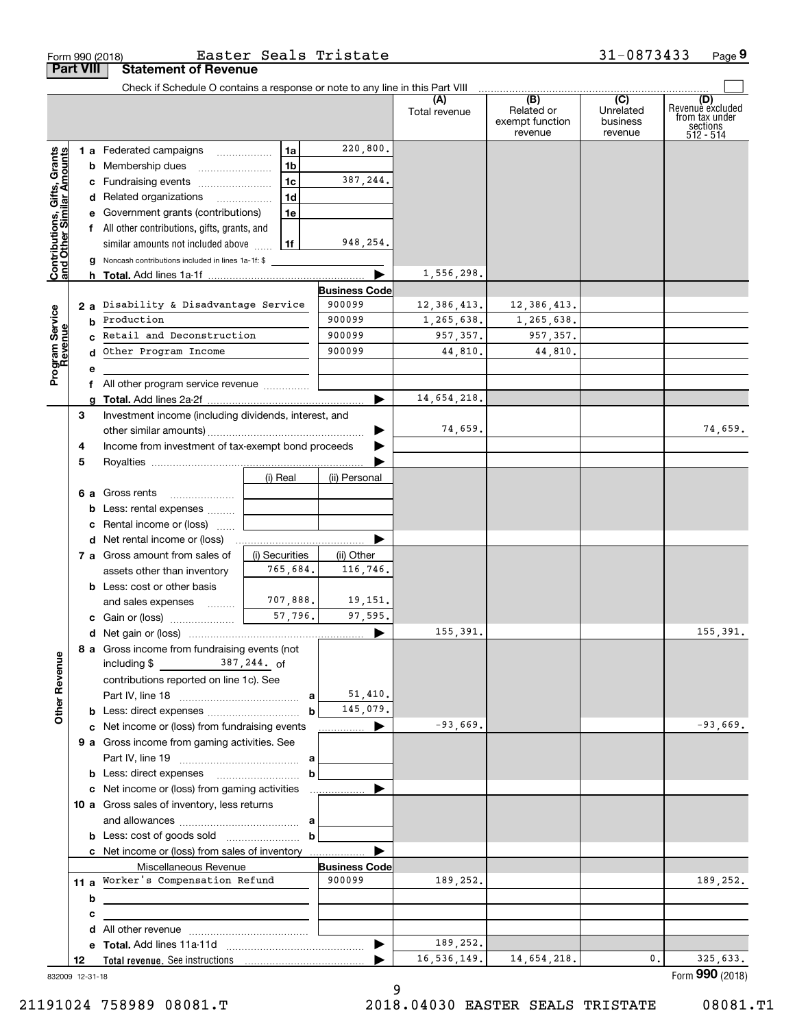|                                                           |                  | Form 990 (2018)                                                                                                      | Easter Seals Tristate |                                |                           |                                                 | 31-0873433                              | Page 9                                                             |
|-----------------------------------------------------------|------------------|----------------------------------------------------------------------------------------------------------------------|-----------------------|--------------------------------|---------------------------|-------------------------------------------------|-----------------------------------------|--------------------------------------------------------------------|
|                                                           | <b>Part VIII</b> | <b>Statement of Revenue</b>                                                                                          |                       |                                |                           |                                                 |                                         |                                                                    |
|                                                           |                  | Check if Schedule O contains a response or note to any line in this Part VIII                                        |                       |                                | (A)<br>Total revenue      | (B)<br>Related or<br>exempt function<br>revenue | (C)<br>Unrelated<br>business<br>revenue | (D)<br>Revenue excluded<br>from tax under<br>sections<br>512 - 514 |
| Contributions, Gifts, Grants<br>and Other Similar Amounts |                  | 1 a Federated campaigns                                                                                              | 1a                    | 220,800.                       |                           |                                                 |                                         |                                                                    |
|                                                           |                  | <b>b</b> Membership dues <i></i>                                                                                     | 1 <sub>b</sub>        |                                |                           |                                                 |                                         |                                                                    |
|                                                           |                  | c Fundraising events                                                                                                 | 1 <sub>c</sub>        | 387,244.                       |                           |                                                 |                                         |                                                                    |
|                                                           |                  | d Related organizations                                                                                              | 1 <sub>d</sub>        |                                |                           |                                                 |                                         |                                                                    |
|                                                           |                  | e Government grants (contributions)                                                                                  | 1e                    |                                |                           |                                                 |                                         |                                                                    |
|                                                           |                  | f All other contributions, gifts, grants, and                                                                        |                       |                                |                           |                                                 |                                         |                                                                    |
|                                                           |                  | similar amounts not included above                                                                                   | l 1f                  | 948,254.                       |                           |                                                 |                                         |                                                                    |
|                                                           |                  | <b>g</b> Noncash contributions included in lines 1a-1f: \$                                                           |                       |                                |                           |                                                 |                                         |                                                                    |
|                                                           |                  |                                                                                                                      |                       |                                | 1,556,298.                |                                                 |                                         |                                                                    |
|                                                           |                  | 2 a Disability & Disadvantage Service                                                                                |                       | <b>Business Code</b><br>900099 |                           |                                                 |                                         |                                                                    |
|                                                           |                  | Production                                                                                                           |                       | 900099                         | 12,386,413.<br>1,265,638. | 12,386,413.                                     |                                         |                                                                    |
|                                                           | b                | Retail and Deconstruction                                                                                            |                       | 900099                         | 957, 357.                 | 1,265,638.<br>957,357.                          |                                         |                                                                    |
| Program Service<br>Revenue                                |                  | Other Program Income                                                                                                 | 900099                | 44,810.                        | 44,810.                   |                                                 |                                         |                                                                    |
|                                                           | е                |                                                                                                                      |                       |                                |                           |                                                 |                                         |                                                                    |
|                                                           |                  | f All other program service revenue                                                                                  |                       |                                |                           |                                                 |                                         |                                                                    |
|                                                           |                  |                                                                                                                      |                       |                                | 14,654,218.               |                                                 |                                         |                                                                    |
|                                                           | З                | Investment income (including dividends, interest, and                                                                |                       |                                |                           |                                                 |                                         |                                                                    |
|                                                           |                  |                                                                                                                      |                       | ▶                              | 74,659.                   |                                                 |                                         | 74,659.                                                            |
|                                                           | 4                | Income from investment of tax-exempt bond proceeds                                                                   |                       |                                |                           |                                                 |                                         |                                                                    |
|                                                           | 5                |                                                                                                                      |                       |                                |                           |                                                 |                                         |                                                                    |
|                                                           |                  |                                                                                                                      | (i) Real              | (ii) Personal                  |                           |                                                 |                                         |                                                                    |
|                                                           |                  | <b>6 a</b> Gross rents                                                                                               |                       |                                |                           |                                                 |                                         |                                                                    |
|                                                           |                  | <b>b</b> Less: rental expenses                                                                                       |                       |                                |                           |                                                 |                                         |                                                                    |
|                                                           |                  | c Rental income or (loss)                                                                                            |                       |                                |                           |                                                 |                                         |                                                                    |
|                                                           |                  | <b>d</b> Net rental income or (loss)                                                                                 |                       |                                |                           |                                                 |                                         |                                                                    |
|                                                           |                  | 7 a Gross amount from sales of                                                                                       | (i) Securities        | (ii) Other                     |                           |                                                 |                                         |                                                                    |
|                                                           |                  | assets other than inventory                                                                                          | 765,684.              | 116,746.                       |                           |                                                 |                                         |                                                                    |
|                                                           |                  | <b>b</b> Less: cost or other basis                                                                                   | 707,888.              |                                |                           |                                                 |                                         |                                                                    |
|                                                           |                  | and sales expenses                                                                                                   | 57,796.               | 19,151.<br>97,595.             |                           |                                                 |                                         |                                                                    |
|                                                           |                  | <b>c</b> Gain or (loss)                                                                                              |                       |                                | 155,391.                  |                                                 |                                         | 155,391.                                                           |
|                                                           |                  | 8 a Gross income from fundraising events (not                                                                        |                       |                                |                           |                                                 |                                         |                                                                    |
| <b>Other Revenue</b>                                      |                  | including $\frac{244}{100}$ and $\frac{387}{244}$ of                                                                 |                       |                                |                           |                                                 |                                         |                                                                    |
|                                                           |                  | contributions reported on line 1c). See                                                                              |                       |                                |                           |                                                 |                                         |                                                                    |
|                                                           |                  |                                                                                                                      |                       | 51,410.                        |                           |                                                 |                                         |                                                                    |
|                                                           |                  | <b>b</b> Less: direct expenses <i>manually contained</i>                                                             |                       | 145,079.                       |                           |                                                 |                                         |                                                                    |
|                                                           |                  | c Net income or (loss) from fundraising events                                                                       |                       | ▶                              | $-93,669.$                |                                                 |                                         | $-93,669.$                                                         |
|                                                           |                  | 9 a Gross income from gaming activities. See                                                                         |                       |                                |                           |                                                 |                                         |                                                                    |
|                                                           |                  |                                                                                                                      |                       |                                |                           |                                                 |                                         |                                                                    |
|                                                           |                  | <b>b</b> Less: direct expenses <b>contained b</b>                                                                    |                       |                                |                           |                                                 |                                         |                                                                    |
|                                                           |                  |                                                                                                                      |                       |                                |                           |                                                 |                                         |                                                                    |
|                                                           |                  | 10 a Gross sales of inventory, less returns                                                                          |                       |                                |                           |                                                 |                                         |                                                                    |
|                                                           |                  |                                                                                                                      |                       |                                |                           |                                                 |                                         |                                                                    |
|                                                           |                  |                                                                                                                      |                       |                                |                           |                                                 |                                         |                                                                    |
|                                                           |                  | c Net income or (loss) from sales of inventory                                                                       |                       |                                |                           |                                                 |                                         |                                                                    |
|                                                           |                  | Miscellaneous Revenue<br>11 a Worker's Compensation Refund                                                           |                       | <b>Business Code</b><br>900099 | 189,252.                  |                                                 |                                         | 189,252.                                                           |
|                                                           |                  |                                                                                                                      |                       |                                |                           |                                                 |                                         |                                                                    |
|                                                           | b<br>c           | <u> 1980 - Jan Samuel Barbara, martin a shekara 1980 - Shekara 1980 - Shekara 1980 - Shekara 1980 - Shekara 1980</u> |                       |                                |                           |                                                 |                                         |                                                                    |
|                                                           |                  |                                                                                                                      |                       |                                |                           |                                                 |                                         |                                                                    |
|                                                           |                  |                                                                                                                      |                       |                                | 189,252.                  |                                                 |                                         |                                                                    |
|                                                           | 12               |                                                                                                                      |                       |                                | 16,536,149.               | 14,654,218.                                     | 0.                                      | 325,633.                                                           |
|                                                           | 832009 12-31-18  |                                                                                                                      |                       |                                |                           |                                                 |                                         | Form 990 (2018)                                                    |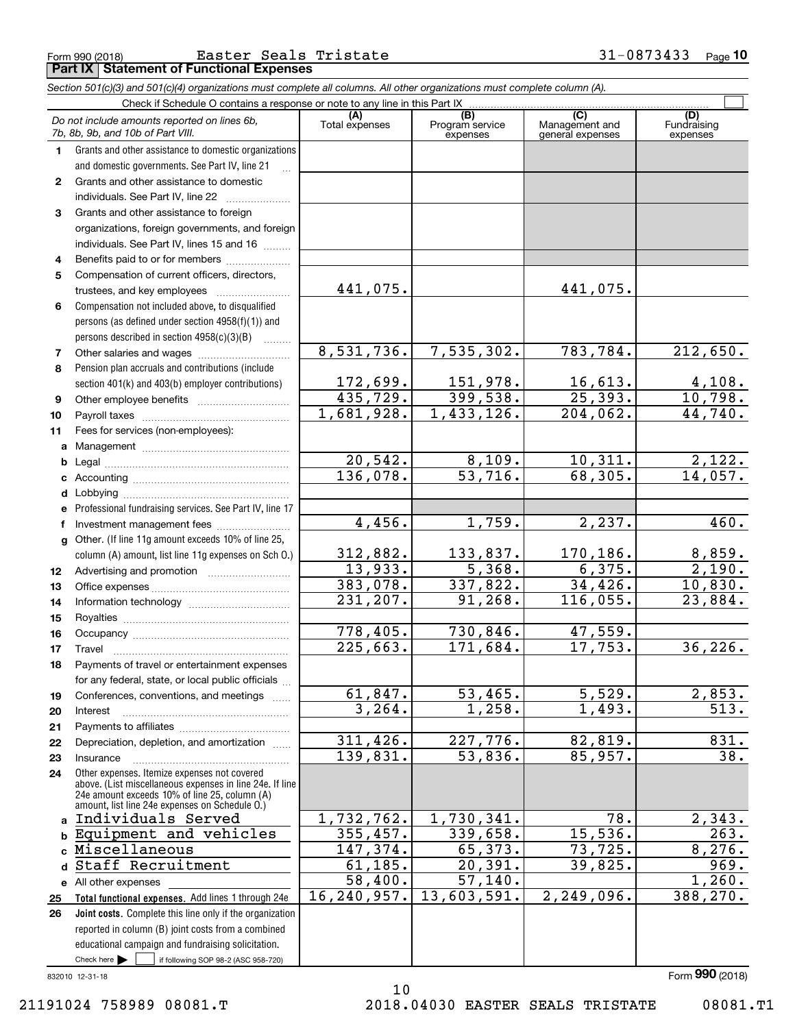|              | Check if Schedule O contains a response or note to any line in this Part IX                                                                                                                                 |                             |                                    |                                           |                                |
|--------------|-------------------------------------------------------------------------------------------------------------------------------------------------------------------------------------------------------------|-----------------------------|------------------------------------|-------------------------------------------|--------------------------------|
|              | Do not include amounts reported on lines 6b,<br>7b, 8b, 9b, and 10b of Part VIII.                                                                                                                           | Total expenses              | (B)<br>Program service<br>expenses | (C)<br>Management and<br>general expenses | (D)<br>Fundraising<br>expenses |
| $\mathbf 1$  | Grants and other assistance to domestic organizations                                                                                                                                                       |                             |                                    |                                           |                                |
|              | and domestic governments. See Part IV, line 21                                                                                                                                                              |                             |                                    |                                           |                                |
| $\mathbf{2}$ | Grants and other assistance to domestic                                                                                                                                                                     |                             |                                    |                                           |                                |
|              | individuals. See Part IV, line 22                                                                                                                                                                           |                             |                                    |                                           |                                |
| 3            | Grants and other assistance to foreign                                                                                                                                                                      |                             |                                    |                                           |                                |
|              | organizations, foreign governments, and foreign                                                                                                                                                             |                             |                                    |                                           |                                |
|              | individuals. See Part IV, lines 15 and 16                                                                                                                                                                   |                             |                                    |                                           |                                |
| 4            | Benefits paid to or for members                                                                                                                                                                             |                             |                                    |                                           |                                |
| 5            | Compensation of current officers, directors,                                                                                                                                                                |                             |                                    |                                           |                                |
|              | trustees, and key employees                                                                                                                                                                                 | 441,075.                    |                                    | 441,075.                                  |                                |
| 6            | Compensation not included above, to disqualified                                                                                                                                                            |                             |                                    |                                           |                                |
|              | persons (as defined under section 4958(f)(1)) and                                                                                                                                                           |                             |                                    |                                           |                                |
|              | persons described in section 4958(c)(3)(B)                                                                                                                                                                  |                             |                                    |                                           |                                |
| 7            |                                                                                                                                                                                                             | 8,531,736.                  | 7,535,302.                         | 783,784.                                  | 212,650.                       |
| 8            | Pension plan accruals and contributions (include                                                                                                                                                            |                             |                                    |                                           |                                |
|              | section 401(k) and 403(b) employer contributions)                                                                                                                                                           | $\frac{172,699}{435,729}$ . | <u>151,978.</u><br>399,538.        | $\frac{16,613.}{25,393.}$                 | $\frac{4,108}{10,798}$         |
| 9            | Other employee benefits                                                                                                                                                                                     |                             |                                    |                                           |                                |
| 10           |                                                                                                                                                                                                             | 1,681,928.                  | 1,433,126.                         | 204,062.                                  | 44,740.                        |
| 11           | Fees for services (non-employees):                                                                                                                                                                          |                             |                                    |                                           |                                |
| a            |                                                                                                                                                                                                             |                             |                                    |                                           |                                |
| b            |                                                                                                                                                                                                             | 20,542.<br>136,078.         | $\frac{8,109}{53,716}$             | 10,311.<br>68, 305.                       | 2,122.<br>14,057.              |
| c            |                                                                                                                                                                                                             |                             |                                    |                                           |                                |
| d            |                                                                                                                                                                                                             |                             |                                    |                                           |                                |
| е            | Professional fundraising services. See Part IV, line 17                                                                                                                                                     | 4,456.                      | 1,759.                             | 2,237.                                    | 460.                           |
| f            | Investment management fees<br>Other. (If line 11g amount exceeds 10% of line 25,                                                                                                                            |                             |                                    |                                           |                                |
| g            | column (A) amount, list line 11g expenses on Sch O.)                                                                                                                                                        | 312,882.                    | 133,837.                           | <u>170,186.</u>                           | 8,859.                         |
| 12           |                                                                                                                                                                                                             | 13,933.                     | 5,368.                             | 6,375.                                    | 2,190.                         |
| 13           |                                                                                                                                                                                                             | 383,078.                    | 337,822.                           | 34,426.                                   | 10,830.                        |
| 14           |                                                                                                                                                                                                             | 231, 207.                   | 91,268.                            | 116,055.                                  | 23,884.                        |
| 15           |                                                                                                                                                                                                             |                             |                                    |                                           |                                |
| 16           |                                                                                                                                                                                                             | 778,405.                    | 730,846.                           | <u>47,559.</u>                            |                                |
| 17           | Travel                                                                                                                                                                                                      | 225,663.                    | 171,684.                           | 17,753.                                   | 36, 226.                       |
| 18           | Payments of travel or entertainment expenses                                                                                                                                                                |                             |                                    |                                           |                                |
|              | for any federal, state, or local public officials                                                                                                                                                           |                             |                                    |                                           |                                |
| 19           | Conferences, conventions, and meetings                                                                                                                                                                      | 61,847.                     | 53,465.                            | 5,529.                                    | 2,853.                         |
| 20           | Interest                                                                                                                                                                                                    | 3, 264.                     | 1,258.                             | $\overline{1,493}$ .                      | 513.                           |
| 21           |                                                                                                                                                                                                             |                             |                                    |                                           |                                |
| 22           | Depreciation, depletion, and amortization                                                                                                                                                                   | 311,426.                    | 227,776.                           | 82,819.                                   | 831.                           |
| 23           | Insurance                                                                                                                                                                                                   | 139,831.                    | 53,836.                            | 85,957.                                   | 38.                            |
| 24           | Other expenses. Itemize expenses not covered<br>above. (List miscellaneous expenses in line 24e. If line<br>24e amount exceeds 10% of line 25, column (A)<br>amount, list line 24e expenses on Schedule O.) |                             |                                    |                                           |                                |
| a            | Individuals Served                                                                                                                                                                                          | 1,732,762.                  | 1,730,341.                         | 78.                                       | 2,343.                         |
| b            | Equipment and vehicles                                                                                                                                                                                      | 355,457.                    | 339,658.                           | 15,536.                                   | 263.                           |
|              | Miscellaneous                                                                                                                                                                                               | 147,374.                    | 65,373.                            | 73,725.                                   | 8,276.                         |
| d            | Staff Recruitment                                                                                                                                                                                           | 61, 185.                    | 20,391.                            | 39,825.                                   | 969.                           |
|              | e All other expenses                                                                                                                                                                                        | 58,400.                     | 57, 140.                           |                                           | 1,260.                         |
| 25           | Total functional expenses. Add lines 1 through 24e                                                                                                                                                          | 16, 240, 957.               | 13,603,591.                        | 2,249,096.                                | 388,270.                       |
| 26           | Joint costs. Complete this line only if the organization                                                                                                                                                    |                             |                                    |                                           |                                |
|              | reported in column (B) joint costs from a combined                                                                                                                                                          |                             |                                    |                                           |                                |
|              | educational campaign and fundraising solicitation.                                                                                                                                                          |                             |                                    |                                           |                                |
|              | Check here $\blacktriangleright$<br>if following SOP 98-2 (ASC 958-720)                                                                                                                                     |                             |                                    |                                           |                                |

10

832010 12-31-18

## Form 990 (2018) Easter Seals Tristate 31-0873433 <sub>Page</sub> **Part IX Statement of Functional Expenses**

*Section 501(c)(3) and 501(c)(4) organizations must complete all columns. All other organizations must complete column (A).*

**10**

Form (2018) **990**

21191024 758989 08081.T 2018.04030 EASTER SEALS TRISTATE 08081.T1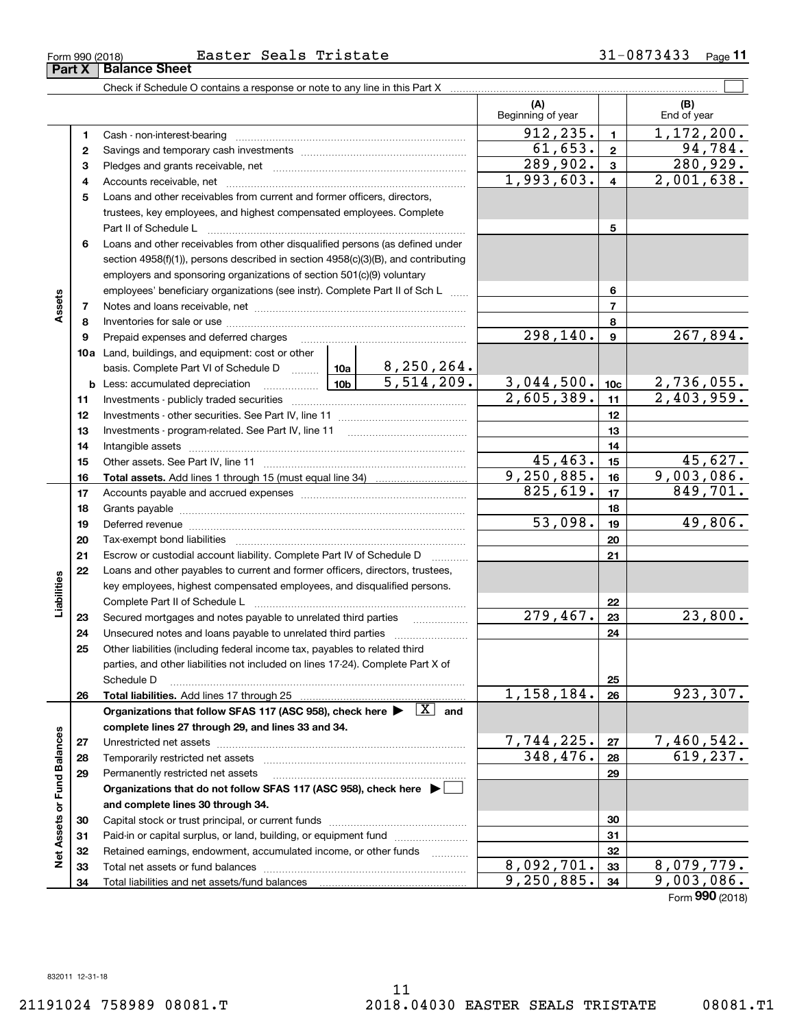Form 990 (2018) **Easter Seals Tristate** 3 l-U8 / 34 33 Page **Part X Balance Sheet** <u>Seals Tristate</u>

**11**

|                             |    |                                                                                                                                                                                                                                | (A)<br>Beginning of year |                         | (B)<br>End of year       |
|-----------------------------|----|--------------------------------------------------------------------------------------------------------------------------------------------------------------------------------------------------------------------------------|--------------------------|-------------------------|--------------------------|
|                             | 1  |                                                                                                                                                                                                                                | 912, 235.                | $\mathbf{1}$            | 1,172,200.               |
| Assets                      | 2  |                                                                                                                                                                                                                                | 61,653.                  | $\mathbf{2}$            | 94, 784.                 |
|                             | 3  |                                                                                                                                                                                                                                | $\overline{289,902}$ .   | $\mathbf{3}$            | $\overline{280,929}$ .   |
|                             | 4  |                                                                                                                                                                                                                                | 1,993,603.               | $\overline{\mathbf{4}}$ | $\overline{2,001,638}$ . |
|                             | 5  | Loans and other receivables from current and former officers, directors,                                                                                                                                                       |                          |                         |                          |
|                             |    | trustees, key employees, and highest compensated employees. Complete                                                                                                                                                           |                          |                         |                          |
|                             |    | Part II of Schedule L                                                                                                                                                                                                          |                          | 5                       |                          |
|                             | 6  | Loans and other receivables from other disqualified persons (as defined under                                                                                                                                                  |                          |                         |                          |
|                             |    | section 4958(f)(1)), persons described in section 4958(c)(3)(B), and contributing                                                                                                                                              |                          |                         |                          |
|                             |    | employers and sponsoring organizations of section 501(c)(9) voluntary                                                                                                                                                          |                          |                         |                          |
|                             |    | employees' beneficiary organizations (see instr). Complete Part II of Sch L                                                                                                                                                    | 6                        |                         |                          |
|                             | 7  |                                                                                                                                                                                                                                |                          | $\overline{7}$          |                          |
|                             | 8  |                                                                                                                                                                                                                                |                          | 8                       |                          |
|                             | 9  | Prepaid expenses and deferred charges [11] [11] [11] [12] [12] [12] [12] [13] [13] [13] [13] [13] [13] [13] [1                                                                                                                 | 298,140.                 | $\boldsymbol{9}$        | 267,894.                 |
|                             |    | 10a Land, buildings, and equipment: cost or other                                                                                                                                                                              |                          |                         |                          |
|                             |    |                                                                                                                                                                                                                                |                          |                         |                          |
|                             |    | $\overline{\phantom{a}}$ 10b<br><b>b</b> Less: accumulated depreciation                                                                                                                                                        | 3,044,500.               | 10 <sub>c</sub>         | <u>2,736,055.</u>        |
|                             | 11 |                                                                                                                                                                                                                                | 2,605,389.               | 11                      | 2,403,959.               |
|                             | 12 |                                                                                                                                                                                                                                |                          | 12                      |                          |
|                             | 13 |                                                                                                                                                                                                                                |                          | 13                      |                          |
|                             | 14 |                                                                                                                                                                                                                                |                          | 14                      |                          |
|                             | 15 |                                                                                                                                                                                                                                | 45,463.                  | 15                      | 45,627.                  |
|                             | 16 |                                                                                                                                                                                                                                | 9,250,885.               | 16                      | 9,003,086.               |
|                             | 17 |                                                                                                                                                                                                                                | 825, 619.                | 17                      | 849,701.                 |
|                             | 18 |                                                                                                                                                                                                                                |                          | 18                      |                          |
|                             | 19 | Deferred revenue information and contact the contract of the contract of the contract of the contract of the contract of the contract of the contract of the contract of the contract of the contract of the contract of the c | 53,098.                  | 19                      | 49,806.                  |
|                             | 20 |                                                                                                                                                                                                                                |                          | 20                      |                          |
|                             | 21 | Escrow or custodial account liability. Complete Part IV of Schedule D                                                                                                                                                          |                          | 21                      |                          |
|                             | 22 | Loans and other payables to current and former officers, directors, trustees,                                                                                                                                                  |                          |                         |                          |
|                             |    | key employees, highest compensated employees, and disqualified persons.                                                                                                                                                        |                          |                         |                          |
| Liabilities                 |    | Complete Part II of Schedule L                                                                                                                                                                                                 |                          | 22                      |                          |
|                             | 23 | Secured mortgages and notes payable to unrelated third parties                                                                                                                                                                 | 279,467.                 | 23                      | 23,800.                  |
|                             | 24 |                                                                                                                                                                                                                                |                          | 24                      |                          |
|                             | 25 | Other liabilities (including federal income tax, payables to related third                                                                                                                                                     |                          |                         |                          |
|                             |    | parties, and other liabilities not included on lines 17-24). Complete Part X of                                                                                                                                                |                          | 25                      |                          |
|                             | 26 | Schedule D<br>Total liabilities. Add lines 17 through 25                                                                                                                                                                       | 1,158,184.               | 26                      | 923,307.                 |
|                             |    | Organizations that follow SFAS 117 (ASC 958), check here $\blacktriangleright \begin{array}{ c } \hline X & \text{and} \end{array}$                                                                                            |                          |                         |                          |
|                             |    | complete lines 27 through 29, and lines 33 and 34.                                                                                                                                                                             |                          |                         |                          |
|                             | 27 |                                                                                                                                                                                                                                | 7,744,225.               | 27                      | 7,460,542.               |
|                             | 28 |                                                                                                                                                                                                                                | 348, 476.                | 28                      | 619,237.                 |
|                             | 29 | Permanently restricted net assets                                                                                                                                                                                              |                          | 29                      |                          |
|                             |    | Organizations that do not follow SFAS 117 (ASC 958), check here ▶ │                                                                                                                                                            |                          |                         |                          |
| Net Assets or Fund Balances |    | and complete lines 30 through 34.                                                                                                                                                                                              |                          |                         |                          |
|                             | 30 |                                                                                                                                                                                                                                |                          | 30                      |                          |
|                             | 31 | Paid-in or capital surplus, or land, building, or equipment fund                                                                                                                                                               |                          | 31                      |                          |
|                             | 32 | Retained earnings, endowment, accumulated income, or other funds<br>1.1.1.1.1.1.1.1.1.1                                                                                                                                        |                          | 32                      |                          |
|                             | 33 |                                                                                                                                                                                                                                | 8,092,701.               | 33                      | 8,079,779.               |
|                             | 34 |                                                                                                                                                                                                                                | 9,250,885.               | 34                      | 9,003,086.               |

Form (2018) **990**

 $\overline{a}$ 

 $\overline{\phantom{a}}$ 

|            | Easter |
|------------|--------|
| anaa Bhaat |        |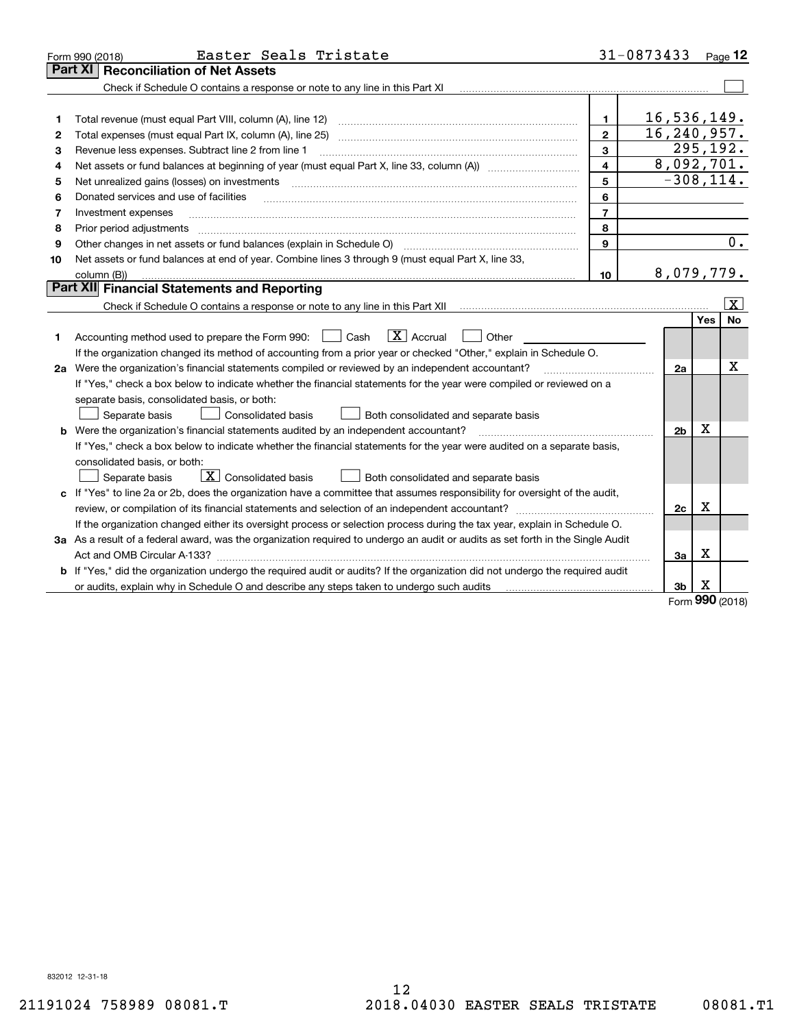| Part XI<br><b>Reconciliation of Net Assets</b><br>Check if Schedule O contains a response or note to any line in this Part XI                                                                                                                                                                                                                                                                                                                                                                                 |                     |
|---------------------------------------------------------------------------------------------------------------------------------------------------------------------------------------------------------------------------------------------------------------------------------------------------------------------------------------------------------------------------------------------------------------------------------------------------------------------------------------------------------------|---------------------|
|                                                                                                                                                                                                                                                                                                                                                                                                                                                                                                               |                     |
|                                                                                                                                                                                                                                                                                                                                                                                                                                                                                                               |                     |
|                                                                                                                                                                                                                                                                                                                                                                                                                                                                                                               |                     |
| 16,536,149.<br>1<br>1                                                                                                                                                                                                                                                                                                                                                                                                                                                                                         |                     |
| 16, 240, 957.<br>$\mathbf{2}$<br>Total expenses (must equal Part IX, column (A), line 25)<br>2                                                                                                                                                                                                                                                                                                                                                                                                                |                     |
| $\overline{295,192}$ .<br>3<br>Revenue less expenses. Subtract line 2 from line 1<br>3                                                                                                                                                                                                                                                                                                                                                                                                                        |                     |
| 8,092,701.<br>4<br>Net assets or fund balances at beginning of year (must equal Part X, line 33, column (A)) manured manu-<br>4                                                                                                                                                                                                                                                                                                                                                                               |                     |
| $-308, 114.$<br>5<br>Net unrealized gains (losses) on investments<br>5                                                                                                                                                                                                                                                                                                                                                                                                                                        |                     |
| 6<br>Donated services and use of facilities<br>6<br>$\mathcal{L} = \{ \mathcal{L}^{\mathcal{L}}_{\mathcal{L}} \mathcal{L}^{\mathcal{L}}_{\mathcal{L}} \mathcal{L}^{\mathcal{L}}_{\mathcal{L}} \mathcal{L}^{\mathcal{L}}_{\mathcal{L}} \mathcal{L}^{\mathcal{L}}_{\mathcal{L}} \mathcal{L}^{\mathcal{L}}_{\mathcal{L}} \mathcal{L}^{\mathcal{L}}_{\mathcal{L}} \mathcal{L}^{\mathcal{L}}_{\mathcal{L}} \mathcal{L}^{\mathcal{L}}_{\mathcal{L}} \mathcal{L}^{\mathcal{L}}_{\mathcal{L}} \mathcal{L}^{\mathcal{$ |                     |
| $\overline{7}$<br>Investment expenses<br>7                                                                                                                                                                                                                                                                                                                                                                                                                                                                    |                     |
| 8<br>8<br>Prior period adjustments                                                                                                                                                                                                                                                                                                                                                                                                                                                                            |                     |
| 9<br>Other changes in net assets or fund balances (explain in Schedule O)<br>9                                                                                                                                                                                                                                                                                                                                                                                                                                | $\overline{0}$ .    |
| Net assets or fund balances at end of year. Combine lines 3 through 9 (must equal Part X, line 33,<br>10                                                                                                                                                                                                                                                                                                                                                                                                      |                     |
| 8,079,779.<br>10<br>column (B))                                                                                                                                                                                                                                                                                                                                                                                                                                                                               |                     |
| <b>Part XII</b> Financial Statements and Reporting                                                                                                                                                                                                                                                                                                                                                                                                                                                            |                     |
|                                                                                                                                                                                                                                                                                                                                                                                                                                                                                                               | $\lfloor x \rfloor$ |
| Yes                                                                                                                                                                                                                                                                                                                                                                                                                                                                                                           | <b>No</b>           |
| $\boxed{\mathbf{X}}$ Accrual<br>Accounting method used to prepare the Form 990: <u>[</u> Cash<br>Other<br>1                                                                                                                                                                                                                                                                                                                                                                                                   |                     |
| If the organization changed its method of accounting from a prior year or checked "Other," explain in Schedule O.                                                                                                                                                                                                                                                                                                                                                                                             |                     |
| 2a Were the organization's financial statements compiled or reviewed by an independent accountant?<br>2a                                                                                                                                                                                                                                                                                                                                                                                                      | х                   |
| If "Yes," check a box below to indicate whether the financial statements for the year were compiled or reviewed on a                                                                                                                                                                                                                                                                                                                                                                                          |                     |
| separate basis, consolidated basis, or both:                                                                                                                                                                                                                                                                                                                                                                                                                                                                  |                     |
| Separate basis<br><b>Consolidated basis</b><br>Both consolidated and separate basis                                                                                                                                                                                                                                                                                                                                                                                                                           |                     |
| х<br><b>b</b> Were the organization's financial statements audited by an independent accountant?<br>2 <sub>b</sub>                                                                                                                                                                                                                                                                                                                                                                                            |                     |
| If "Yes," check a box below to indicate whether the financial statements for the year were audited on a separate basis,                                                                                                                                                                                                                                                                                                                                                                                       |                     |
| consolidated basis, or both:                                                                                                                                                                                                                                                                                                                                                                                                                                                                                  |                     |
| $\mid$ $\rm X \mid$ Consolidated basis<br>Separate basis<br>Both consolidated and separate basis                                                                                                                                                                                                                                                                                                                                                                                                              |                     |
| c If "Yes" to line 2a or 2b, does the organization have a committee that assumes responsibility for oversight of the audit,                                                                                                                                                                                                                                                                                                                                                                                   |                     |
| Х<br>2c                                                                                                                                                                                                                                                                                                                                                                                                                                                                                                       |                     |
| If the organization changed either its oversight process or selection process during the tax year, explain in Schedule O.                                                                                                                                                                                                                                                                                                                                                                                     |                     |
| 3a As a result of a federal award, was the organization required to undergo an audit or audits as set forth in the Single Audit                                                                                                                                                                                                                                                                                                                                                                               |                     |
| x<br>3a<br>Act and OMB Circular A-133?                                                                                                                                                                                                                                                                                                                                                                                                                                                                        |                     |
| b If "Yes," did the organization undergo the required audit or audits? If the organization did not undergo the required audit                                                                                                                                                                                                                                                                                                                                                                                 |                     |
| X<br>3 <sub>b</sub><br>or audits, explain why in Schedule O and describe any steps taken to undergo such audits<br><b>non</b>                                                                                                                                                                                                                                                                                                                                                                                 |                     |

Form (2018) **990**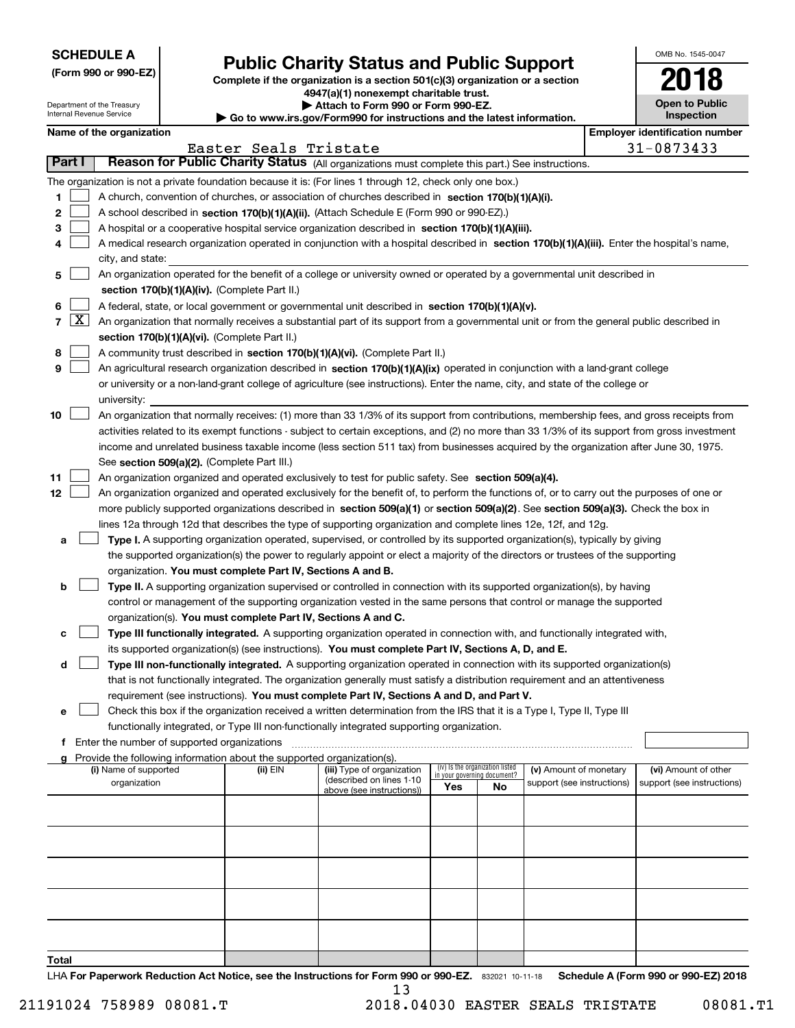| <b>SCHEDULE A</b> |
|-------------------|
|-------------------|

Department of the Treasury Internal Revenue Service

**(Form 990 or 990-EZ)**

# **Public Charity Status and Public Support**

**Complete if the organization is a section 501(c)(3) organization or a section 4947(a)(1) nonexempt charitable trust. | Attach to Form 990 or Form 990-EZ.**   $\blacktriangleright$  Go to

| www.irs.gov/Form990 for instructions and the latest information. |  |
|------------------------------------------------------------------|--|
|------------------------------------------------------------------|--|

| OMB No. 1545-0047                   |
|-------------------------------------|
| 2018                                |
| <b>Open to Public</b><br>Inspection |

|  |  |  | Name of the organization |
|--|--|--|--------------------------|
|--|--|--|--------------------------|

|                |                     | Name of the organization                                                                                                                      |                       |                            |     |                                 |                            |  | <b>Employer identification number</b> |  |  |
|----------------|---------------------|-----------------------------------------------------------------------------------------------------------------------------------------------|-----------------------|----------------------------|-----|---------------------------------|----------------------------|--|---------------------------------------|--|--|
|                |                     |                                                                                                                                               | Easter Seals Tristate |                            |     |                                 |                            |  | 31-0873433                            |  |  |
| Part I         |                     | Reason for Public Charity Status (All organizations must complete this part.) See instructions.                                               |                       |                            |     |                                 |                            |  |                                       |  |  |
|                |                     | The organization is not a private foundation because it is: (For lines 1 through 12, check only one box.)                                     |                       |                            |     |                                 |                            |  |                                       |  |  |
| 1              |                     | A church, convention of churches, or association of churches described in section 170(b)(1)(A)(i).                                            |                       |                            |     |                                 |                            |  |                                       |  |  |
| 2              |                     | A school described in section 170(b)(1)(A)(ii). (Attach Schedule E (Form 990 or 990-EZ).)                                                     |                       |                            |     |                                 |                            |  |                                       |  |  |
| з              |                     | A hospital or a cooperative hospital service organization described in section 170(b)(1)(A)(iii).                                             |                       |                            |     |                                 |                            |  |                                       |  |  |
| 4              |                     | A medical research organization operated in conjunction with a hospital described in section 170(b)(1)(A)(iii). Enter the hospital's name,    |                       |                            |     |                                 |                            |  |                                       |  |  |
|                |                     | city, and state:                                                                                                                              |                       |                            |     |                                 |                            |  |                                       |  |  |
| 5              |                     | An organization operated for the benefit of a college or university owned or operated by a governmental unit described in                     |                       |                            |     |                                 |                            |  |                                       |  |  |
|                |                     | section 170(b)(1)(A)(iv). (Complete Part II.)                                                                                                 |                       |                            |     |                                 |                            |  |                                       |  |  |
| 6              |                     | A federal, state, or local government or governmental unit described in section 170(b)(1)(A)(v).                                              |                       |                            |     |                                 |                            |  |                                       |  |  |
| $\overline{7}$ | $\lfloor x \rfloor$ | An organization that normally receives a substantial part of its support from a governmental unit or from the general public described in     |                       |                            |     |                                 |                            |  |                                       |  |  |
|                |                     | section 170(b)(1)(A)(vi). (Complete Part II.)                                                                                                 |                       |                            |     |                                 |                            |  |                                       |  |  |
| 8              |                     | A community trust described in section 170(b)(1)(A)(vi). (Complete Part II.)                                                                  |                       |                            |     |                                 |                            |  |                                       |  |  |
| 9              |                     | An agricultural research organization described in section 170(b)(1)(A)(ix) operated in conjunction with a land-grant college                 |                       |                            |     |                                 |                            |  |                                       |  |  |
|                |                     | or university or a non-land-grant college of agriculture (see instructions). Enter the name, city, and state of the college or                |                       |                            |     |                                 |                            |  |                                       |  |  |
|                |                     | university:                                                                                                                                   |                       |                            |     |                                 |                            |  |                                       |  |  |
| 10             |                     | An organization that normally receives: (1) more than 33 1/3% of its support from contributions, membership fees, and gross receipts from     |                       |                            |     |                                 |                            |  |                                       |  |  |
|                |                     | activities related to its exempt functions - subject to certain exceptions, and (2) no more than 33 1/3% of its support from gross investment |                       |                            |     |                                 |                            |  |                                       |  |  |
|                |                     | income and unrelated business taxable income (less section 511 tax) from businesses acquired by the organization after June 30, 1975.         |                       |                            |     |                                 |                            |  |                                       |  |  |
|                |                     | See section 509(a)(2). (Complete Part III.)                                                                                                   |                       |                            |     |                                 |                            |  |                                       |  |  |
| 11             |                     | An organization organized and operated exclusively to test for public safety. See section 509(a)(4).                                          |                       |                            |     |                                 |                            |  |                                       |  |  |
| 12             |                     | An organization organized and operated exclusively for the benefit of, to perform the functions of, or to carry out the purposes of one or    |                       |                            |     |                                 |                            |  |                                       |  |  |
|                |                     | more publicly supported organizations described in section 509(a)(1) or section 509(a)(2). See section 509(a)(3). Check the box in            |                       |                            |     |                                 |                            |  |                                       |  |  |
|                |                     | lines 12a through 12d that describes the type of supporting organization and complete lines 12e, 12f, and 12g.                                |                       |                            |     |                                 |                            |  |                                       |  |  |
| a              |                     | Type I. A supporting organization operated, supervised, or controlled by its supported organization(s), typically by giving                   |                       |                            |     |                                 |                            |  |                                       |  |  |
|                |                     | the supported organization(s) the power to regularly appoint or elect a majority of the directors or trustees of the supporting               |                       |                            |     |                                 |                            |  |                                       |  |  |
|                |                     | organization. You must complete Part IV, Sections A and B.                                                                                    |                       |                            |     |                                 |                            |  |                                       |  |  |
| b              |                     | Type II. A supporting organization supervised or controlled in connection with its supported organization(s), by having                       |                       |                            |     |                                 |                            |  |                                       |  |  |
|                |                     | control or management of the supporting organization vested in the same persons that control or manage the supported                          |                       |                            |     |                                 |                            |  |                                       |  |  |
|                |                     | organization(s). You must complete Part IV, Sections A and C.                                                                                 |                       |                            |     |                                 |                            |  |                                       |  |  |
| с              |                     | Type III functionally integrated. A supporting organization operated in connection with, and functionally integrated with,                    |                       |                            |     |                                 |                            |  |                                       |  |  |
|                |                     | its supported organization(s) (see instructions). You must complete Part IV, Sections A, D, and E.                                            |                       |                            |     |                                 |                            |  |                                       |  |  |
| d              |                     | Type III non-functionally integrated. A supporting organization operated in connection with its supported organization(s)                     |                       |                            |     |                                 |                            |  |                                       |  |  |
|                |                     | that is not functionally integrated. The organization generally must satisfy a distribution requirement and an attentiveness                  |                       |                            |     |                                 |                            |  |                                       |  |  |
|                |                     | requirement (see instructions). You must complete Part IV, Sections A and D, and Part V.                                                      |                       |                            |     |                                 |                            |  |                                       |  |  |
| е              |                     | Check this box if the organization received a written determination from the IRS that it is a Type I, Type II, Type III                       |                       |                            |     |                                 |                            |  |                                       |  |  |
|                |                     | functionally integrated, or Type III non-functionally integrated supporting organization.                                                     |                       |                            |     |                                 |                            |  |                                       |  |  |
|                |                     | f Enter the number of supported organizations                                                                                                 |                       |                            |     |                                 |                            |  |                                       |  |  |
|                |                     | g Provide the following information about the supported organization(s).<br>(i) Name of supported                                             | (ii) EIN              | (iii) Type of organization |     | (iv) Is the organization listed | (v) Amount of monetary     |  | (vi) Amount of other                  |  |  |
|                |                     | organization                                                                                                                                  |                       | (described on lines 1-10   |     | in your governing document?     | support (see instructions) |  | support (see instructions)            |  |  |
|                |                     |                                                                                                                                               |                       | above (see instructions))  | Yes | No                              |                            |  |                                       |  |  |
|                |                     |                                                                                                                                               |                       |                            |     |                                 |                            |  |                                       |  |  |
|                |                     |                                                                                                                                               |                       |                            |     |                                 |                            |  |                                       |  |  |
|                |                     |                                                                                                                                               |                       |                            |     |                                 |                            |  |                                       |  |  |
|                |                     |                                                                                                                                               |                       |                            |     |                                 |                            |  |                                       |  |  |
|                |                     |                                                                                                                                               |                       |                            |     |                                 |                            |  |                                       |  |  |
|                |                     |                                                                                                                                               |                       |                            |     |                                 |                            |  |                                       |  |  |
|                |                     |                                                                                                                                               |                       |                            |     |                                 |                            |  |                                       |  |  |
|                |                     |                                                                                                                                               |                       |                            |     |                                 |                            |  |                                       |  |  |
|                |                     |                                                                                                                                               |                       |                            |     |                                 |                            |  |                                       |  |  |
| Total          |                     |                                                                                                                                               |                       |                            |     |                                 |                            |  |                                       |  |  |

LHA For Paperwork Reduction Act Notice, see the Instructions for Form 990 or 990-EZ. 832021 10-11-18 Schedule A (Form 990 or 990-EZ) 2018 13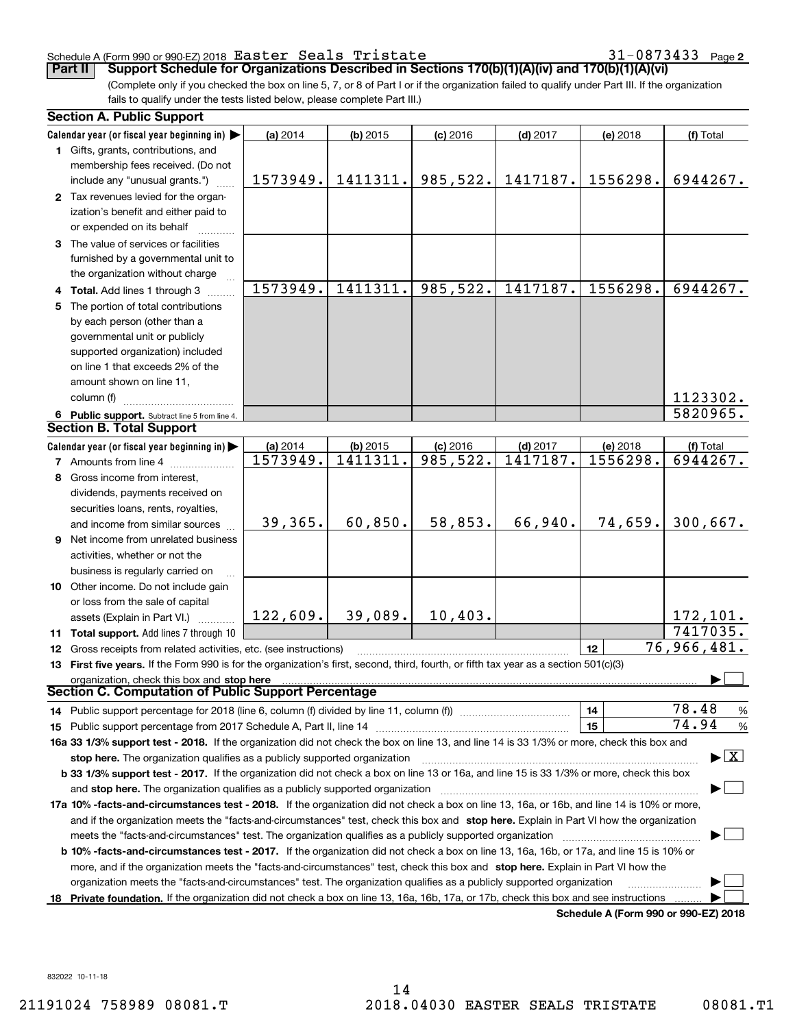### Schedule A (Form 990 or 990-EZ)2018  ${\tt Easter}$   ${\tt Seals}$   ${\tt Tristate}$   ${\tt 31-0873433}$   ${\tt Page}$

31-0873433 Page 2

(Complete only if you checked the box on line 5, 7, or 8 of Part I or if the organization failed to qualify under Part III. If the organization fails to qualify under the tests listed below, please complete Part III.) **Part II Support Schedule for Organizations Described in Sections 170(b)(1)(A)(iv) and 170(b)(1)(A)(vi)**

| <b>Section A. Public Support</b>                                                                                                               |          |            |                       |            |                                      |                                         |
|------------------------------------------------------------------------------------------------------------------------------------------------|----------|------------|-----------------------|------------|--------------------------------------|-----------------------------------------|
| Calendar year (or fiscal year beginning in)                                                                                                    | (a) 2014 | $(b)$ 2015 | $(c)$ 2016            | $(d)$ 2017 | (e) 2018                             | (f) Total                               |
| 1 Gifts, grants, contributions, and                                                                                                            |          |            |                       |            |                                      |                                         |
| membership fees received. (Do not                                                                                                              |          |            |                       |            |                                      |                                         |
| include any "unusual grants.")                                                                                                                 | 1573949. | 1411311.   | 985,522.              | 1417187.   | 1556298.                             | 6944267.                                |
| 2 Tax revenues levied for the organ-                                                                                                           |          |            |                       |            |                                      |                                         |
| ization's benefit and either paid to                                                                                                           |          |            |                       |            |                                      |                                         |
| or expended on its behalf                                                                                                                      |          |            |                       |            |                                      |                                         |
| 3 The value of services or facilities                                                                                                          |          |            |                       |            |                                      |                                         |
| furnished by a governmental unit to                                                                                                            |          |            |                       |            |                                      |                                         |
| the organization without charge                                                                                                                |          |            |                       |            |                                      |                                         |
| 4 Total. Add lines 1 through 3                                                                                                                 | 1573949. | 1411311.   | 985,522.              | 1417187.   | 1556298.                             | 6944267.                                |
| 5 The portion of total contributions                                                                                                           |          |            |                       |            |                                      |                                         |
| by each person (other than a                                                                                                                   |          |            |                       |            |                                      |                                         |
| governmental unit or publicly                                                                                                                  |          |            |                       |            |                                      |                                         |
| supported organization) included                                                                                                               |          |            |                       |            |                                      |                                         |
| on line 1 that exceeds 2% of the                                                                                                               |          |            |                       |            |                                      |                                         |
| amount shown on line 11,                                                                                                                       |          |            |                       |            |                                      |                                         |
| column (f)                                                                                                                                     |          |            |                       |            |                                      | 1123302.                                |
| 6 Public support. Subtract line 5 from line 4.                                                                                                 |          |            |                       |            |                                      | 5820965.                                |
| <b>Section B. Total Support</b>                                                                                                                |          |            |                       |            |                                      |                                         |
| Calendar year (or fiscal year beginning in)                                                                                                    | (a) 2014 | $(b)$ 2015 | $(c)$ 2016            | $(d)$ 2017 | (e) 2018                             | (f) Total                               |
| <b>7</b> Amounts from line 4                                                                                                                   | 1573949. | 1411311.   | $\overline{985,}522.$ | 1417187.   | 1556298.                             | 6944267.                                |
| 8 Gross income from interest,                                                                                                                  |          |            |                       |            |                                      |                                         |
| dividends, payments received on                                                                                                                |          |            |                       |            |                                      |                                         |
| securities loans, rents, royalties,                                                                                                            |          |            |                       |            |                                      |                                         |
| and income from similar sources                                                                                                                | 39,365.  | 60,850.    | 58,853.               | 66,940.    | 74,659.                              | 300,667.                                |
| 9 Net income from unrelated business                                                                                                           |          |            |                       |            |                                      |                                         |
| activities, whether or not the                                                                                                                 |          |            |                       |            |                                      |                                         |
| business is regularly carried on                                                                                                               |          |            |                       |            |                                      |                                         |
| <b>10</b> Other income. Do not include gain                                                                                                    |          |            |                       |            |                                      |                                         |
| or loss from the sale of capital                                                                                                               |          |            |                       |            |                                      |                                         |
| assets (Explain in Part VI.)                                                                                                                   | 122,609. | 39,089.    | 10,403.               |            |                                      | 172, 101.                               |
| 11 Total support. Add lines 7 through 10                                                                                                       |          |            |                       |            |                                      | 7417035.                                |
| 12 Gross receipts from related activities, etc. (see instructions)                                                                             |          |            |                       |            | 12                                   | 76,966,481.                             |
| 13 First five years. If the Form 990 is for the organization's first, second, third, fourth, or fifth tax year as a section 501(c)(3)          |          |            |                       |            |                                      |                                         |
| organization, check this box and stop here                                                                                                     |          |            |                       |            |                                      |                                         |
| Section C. Computation of Public Support Percentage                                                                                            |          |            |                       |            |                                      |                                         |
| 14 Public support percentage for 2018 (line 6, column (f) divided by line 11, column (f) <i>manumeronoming</i>                                 |          |            |                       |            | 14                                   | 78.48<br>$\frac{9}{6}$                  |
|                                                                                                                                                |          |            |                       |            | 15                                   | 74.94<br>%                              |
| 16a 33 1/3% support test - 2018. If the organization did not check the box on line 13, and line 14 is 33 1/3% or more, check this box and      |          |            |                       |            |                                      |                                         |
| stop here. The organization qualifies as a publicly supported organization                                                                     |          |            |                       |            |                                      | $\blacktriangleright$ $\vert$ X $\vert$ |
| b 33 1/3% support test - 2017. If the organization did not check a box on line 13 or 16a, and line 15 is 33 1/3% or more, check this box       |          |            |                       |            |                                      |                                         |
| and stop here. The organization qualifies as a publicly supported organization                                                                 |          |            |                       |            |                                      |                                         |
| 17a 10% -facts-and-circumstances test - 2018. If the organization did not check a box on line 13, 16a, or 16b, and line 14 is 10% or more,     |          |            |                       |            |                                      |                                         |
| and if the organization meets the "facts-and-circumstances" test, check this box and stop here. Explain in Part VI how the organization        |          |            |                       |            |                                      |                                         |
| meets the "facts-and-circumstances" test. The organization qualifies as a publicly supported organization                                      |          |            |                       |            |                                      |                                         |
| <b>b 10% -facts-and-circumstances test - 2017.</b> If the organization did not check a box on line 13, 16a, 16b, or 17a, and line 15 is 10% or |          |            |                       |            |                                      |                                         |
| more, and if the organization meets the "facts-and-circumstances" test, check this box and stop here. Explain in Part VI how the               |          |            |                       |            |                                      |                                         |
| organization meets the "facts-and-circumstances" test. The organization qualifies as a publicly supported organization                         |          |            |                       |            |                                      |                                         |
| 18 Private foundation. If the organization did not check a box on line 13, 16a, 16b, 17a, or 17b, check this box and see instructions          |          |            |                       |            |                                      |                                         |
|                                                                                                                                                |          |            |                       |            | Schedule A (Form 990 or 990-F7) 2018 |                                         |

**Schedule A (Form 990 or 990-EZ) 2018**

832022 10-11-18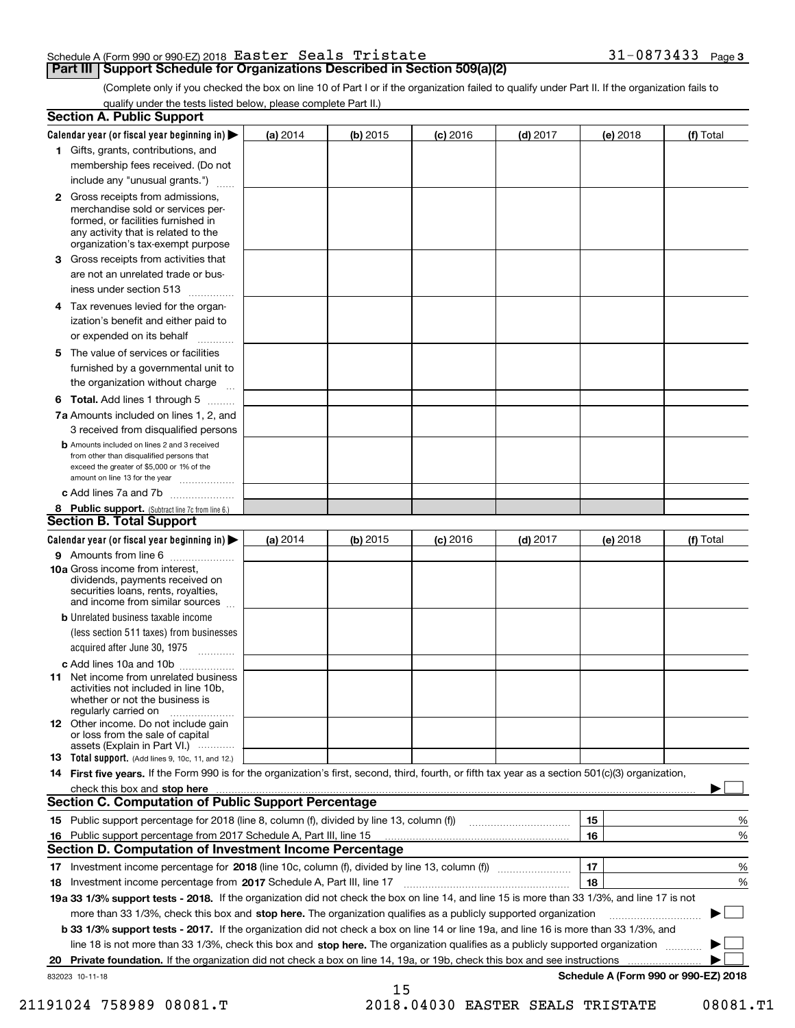| Schedule A (Form 990 or 990-EZ) 2018 $\,$ Easter $\,$ Sea $1\mathrm{s}\,$ Tristate $\,$ |  |  | $31 - 0873433$ Page 3 |  |
|-----------------------------------------------------------------------------------------|--|--|-----------------------|--|
|                                                                                         |  |  |                       |  |

(Complete only if you checked the box on line 10 of Part I or if the organization failed to qualify under Part II. If the organization fails to qualify under the tests listed below, please complete Part II.)

|    | <b>Section A. Public Support</b>                                                                                                                                                                                                    |            |            |                 |            |          |                                      |
|----|-------------------------------------------------------------------------------------------------------------------------------------------------------------------------------------------------------------------------------------|------------|------------|-----------------|------------|----------|--------------------------------------|
|    | Calendar year (or fiscal year beginning in) $\blacktriangleright$                                                                                                                                                                   | (a) $2014$ | $(b)$ 2015 | <b>(c)</b> 2016 | $(d)$ 2017 | (e) 2018 | (f) Total                            |
|    | 1 Gifts, grants, contributions, and                                                                                                                                                                                                 |            |            |                 |            |          |                                      |
|    | membership fees received. (Do not                                                                                                                                                                                                   |            |            |                 |            |          |                                      |
|    | include any "unusual grants.")                                                                                                                                                                                                      |            |            |                 |            |          |                                      |
|    | <b>2</b> Gross receipts from admissions,<br>merchandise sold or services per-<br>formed, or facilities furnished in<br>any activity that is related to the<br>organization's tax-exempt purpose                                     |            |            |                 |            |          |                                      |
|    | 3 Gross receipts from activities that<br>are not an unrelated trade or bus-                                                                                                                                                         |            |            |                 |            |          |                                      |
|    | iness under section 513                                                                                                                                                                                                             |            |            |                 |            |          |                                      |
|    | 4 Tax revenues levied for the organ-<br>ization's benefit and either paid to<br>or expended on its behalf<br>.                                                                                                                      |            |            |                 |            |          |                                      |
|    | 5 The value of services or facilities                                                                                                                                                                                               |            |            |                 |            |          |                                      |
|    | furnished by a governmental unit to<br>the organization without charge                                                                                                                                                              |            |            |                 |            |          |                                      |
|    |                                                                                                                                                                                                                                     |            |            |                 |            |          |                                      |
|    | <b>6 Total.</b> Add lines 1 through 5<br>7a Amounts included on lines 1, 2, and                                                                                                                                                     |            |            |                 |            |          |                                      |
|    | 3 received from disqualified persons                                                                                                                                                                                                |            |            |                 |            |          |                                      |
|    | <b>b</b> Amounts included on lines 2 and 3 received<br>from other than disqualified persons that<br>exceed the greater of \$5,000 or 1% of the<br>amount on line 13 for the year                                                    |            |            |                 |            |          |                                      |
|    | c Add lines 7a and 7b                                                                                                                                                                                                               |            |            |                 |            |          |                                      |
|    | 8 Public support. (Subtract line 7c from line 6.)                                                                                                                                                                                   |            |            |                 |            |          |                                      |
|    | Section B. Total Support                                                                                                                                                                                                            |            |            |                 |            |          |                                      |
|    | Calendar year (or fiscal year beginning in)                                                                                                                                                                                         | (a) $2014$ | $(b)$ 2015 | <b>(c)</b> 2016 | $(d)$ 2017 | (e) 2018 | (f) Total                            |
|    | 9 Amounts from line 6                                                                                                                                                                                                               |            |            |                 |            |          |                                      |
|    | <b>10a</b> Gross income from interest,<br>dividends, payments received on<br>securities loans, rents, royalties,<br>and income from similar sources                                                                                 |            |            |                 |            |          |                                      |
|    | <b>b</b> Unrelated business taxable income<br>(less section 511 taxes) from businesses<br>acquired after June 30, 1975                                                                                                              |            |            |                 |            |          |                                      |
|    | c Add lines 10a and 10b                                                                                                                                                                                                             |            |            |                 |            |          |                                      |
|    | 11 Net income from unrelated business<br>activities not included in line 10b,<br>whether or not the business is<br>regularly carried on                                                                                             |            |            |                 |            |          |                                      |
|    | 12 Other income. Do not include gain<br>or loss from the sale of capital<br>assets (Explain in Part VI.)                                                                                                                            |            |            |                 |            |          |                                      |
|    | <b>13</b> Total support. (Add lines 9, 10c, 11, and 12.)                                                                                                                                                                            |            |            |                 |            |          |                                      |
|    | 14 First five years. If the Form 990 is for the organization's first, second, third, fourth, or fifth tax year as a section 501(c)(3) organization,                                                                                 |            |            |                 |            |          |                                      |
|    | check this box and <b>stop here</b> with the construction of the construction of the construction of the construction of the construction of the construction of the construction of the construction of the construction of the co |            |            |                 |            |          |                                      |
|    | <b>Section C. Computation of Public Support Percentage</b>                                                                                                                                                                          |            |            |                 |            |          |                                      |
|    |                                                                                                                                                                                                                                     |            |            |                 |            | 15       | %                                    |
|    | 16 Public support percentage from 2017 Schedule A, Part III, line 15                                                                                                                                                                |            |            |                 |            | 16       | %                                    |
|    | <b>Section D. Computation of Investment Income Percentage</b>                                                                                                                                                                       |            |            |                 |            |          |                                      |
|    | 17 Investment income percentage for 2018 (line 10c, column (f), divided by line 13, column (f))                                                                                                                                     |            |            |                 |            | 17       | %                                    |
|    | 18 Investment income percentage from 2017 Schedule A, Part III, line 17                                                                                                                                                             |            |            |                 |            | 18       | %                                    |
|    | 19a 33 1/3% support tests - 2018. If the organization did not check the box on line 14, and line 15 is more than 33 1/3%, and line 17 is not                                                                                        |            |            |                 |            |          |                                      |
|    | more than 33 1/3%, check this box and stop here. The organization qualifies as a publicly supported organization                                                                                                                    |            |            |                 |            |          |                                      |
|    | b 33 1/3% support tests - 2017. If the organization did not check a box on line 14 or line 19a, and line 16 is more than 33 1/3%, and                                                                                               |            |            |                 |            |          |                                      |
|    | line 18 is not more than 33 1/3%, check this box and stop here. The organization qualifies as a publicly supported organization                                                                                                     |            |            |                 |            |          |                                      |
| 20 | Private foundation. If the organization did not check a box on line 14, 19a, or 19b, check this box and see instructions                                                                                                            |            |            |                 |            |          |                                      |
|    | 832023 10-11-18                                                                                                                                                                                                                     |            | 15         |                 |            |          | Schedule A (Form 990 or 990-EZ) 2018 |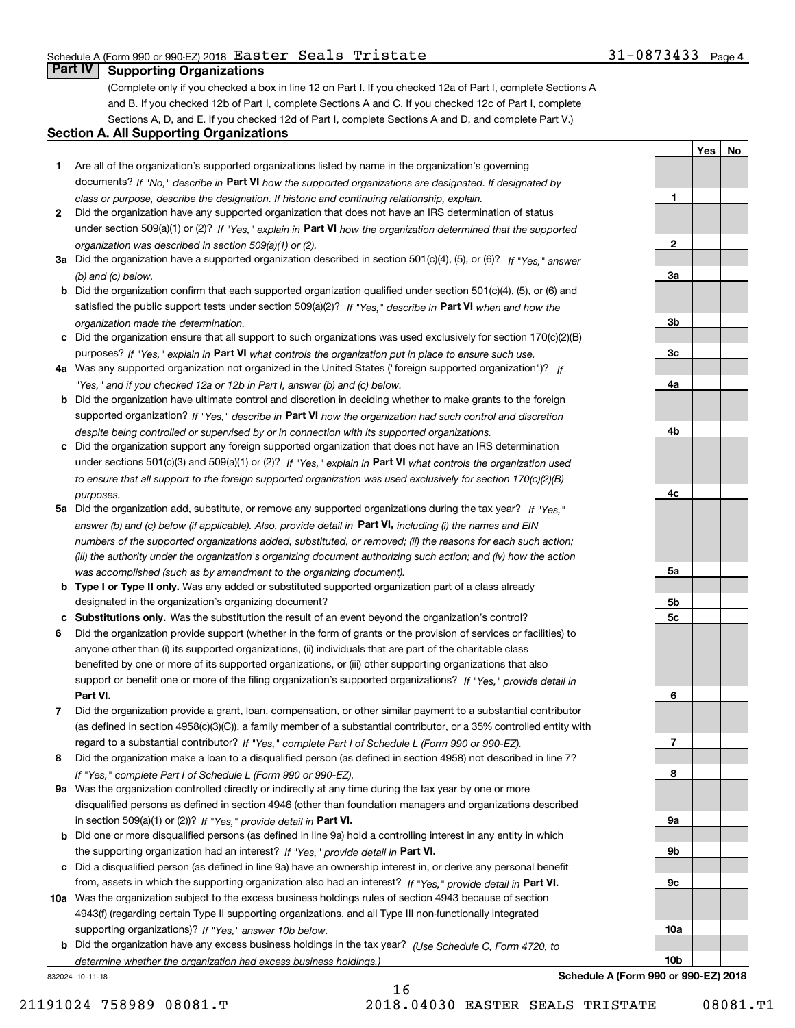## Schedule A (Form 990 or 990-EZ)2018  ${\tt Easter}$   ${\tt Seals}$   ${\tt Tristate}$   ${\tt 31-0873433}$   ${\tt Page}$

**1**

**2**

**3a**

**3b**

**YesNo**

## **Part IV Supporting Organizations**

(Complete only if you checked a box in line 12 on Part I. If you checked 12a of Part I, complete Sections A and B. If you checked 12b of Part I, complete Sections A and C. If you checked 12c of Part I, complete Sections A, D, and E. If you checked 12d of Part I, complete Sections A and D, and complete Part V.)

## **Section A. All Supporting Organizations**

- **1** Are all of the organization's supported organizations listed by name in the organization's governing documents? If "No," describe in **Part VI** how the supported organizations are designated. If designated by *class or purpose, describe the designation. If historic and continuing relationship, explain.*
- **2** Did the organization have any supported organization that does not have an IRS determination of status under section 509(a)(1) or (2)? If "Yes," explain in Part VI how the organization determined that the supported *organization was described in section 509(a)(1) or (2).*
- **3a** Did the organization have a supported organization described in section 501(c)(4), (5), or (6)? If "Yes," answer *(b) and (c) below.*
- **b** Did the organization confirm that each supported organization qualified under section 501(c)(4), (5), or (6) and satisfied the public support tests under section 509(a)(2)? If "Yes," describe in **Part VI** when and how the *organization made the determination.*
- **c**Did the organization ensure that all support to such organizations was used exclusively for section 170(c)(2)(B) purposes? If "Yes," explain in **Part VI** what controls the organization put in place to ensure such use.
- **4a***If* Was any supported organization not organized in the United States ("foreign supported organization")? *"Yes," and if you checked 12a or 12b in Part I, answer (b) and (c) below.*
- **b** Did the organization have ultimate control and discretion in deciding whether to make grants to the foreign supported organization? If "Yes," describe in **Part VI** how the organization had such control and discretion *despite being controlled or supervised by or in connection with its supported organizations.*
- **c** Did the organization support any foreign supported organization that does not have an IRS determination under sections 501(c)(3) and 509(a)(1) or (2)? If "Yes," explain in **Part VI** what controls the organization used *to ensure that all support to the foreign supported organization was used exclusively for section 170(c)(2)(B) purposes.*
- **5a** Did the organization add, substitute, or remove any supported organizations during the tax year? If "Yes," answer (b) and (c) below (if applicable). Also, provide detail in **Part VI,** including (i) the names and EIN *numbers of the supported organizations added, substituted, or removed; (ii) the reasons for each such action; (iii) the authority under the organization's organizing document authorizing such action; and (iv) how the action was accomplished (such as by amendment to the organizing document).*
- **b** Type I or Type II only. Was any added or substituted supported organization part of a class already designated in the organization's organizing document?
- **cSubstitutions only.**  Was the substitution the result of an event beyond the organization's control?
- **6** Did the organization provide support (whether in the form of grants or the provision of services or facilities) to **Part VI.** *If "Yes," provide detail in* support or benefit one or more of the filing organization's supported organizations? anyone other than (i) its supported organizations, (ii) individuals that are part of the charitable class benefited by one or more of its supported organizations, or (iii) other supporting organizations that also
- **7**Did the organization provide a grant, loan, compensation, or other similar payment to a substantial contributor *If "Yes," complete Part I of Schedule L (Form 990 or 990-EZ).* regard to a substantial contributor? (as defined in section 4958(c)(3)(C)), a family member of a substantial contributor, or a 35% controlled entity with
- **8** Did the organization make a loan to a disqualified person (as defined in section 4958) not described in line 7? *If "Yes," complete Part I of Schedule L (Form 990 or 990-EZ).*
- **9a** Was the organization controlled directly or indirectly at any time during the tax year by one or more in section 509(a)(1) or (2))? If "Yes," *provide detail in* <code>Part VI.</code> disqualified persons as defined in section 4946 (other than foundation managers and organizations described
- **b** Did one or more disqualified persons (as defined in line 9a) hold a controlling interest in any entity in which the supporting organization had an interest? If "Yes," provide detail in P**art VI**.
- **c**Did a disqualified person (as defined in line 9a) have an ownership interest in, or derive any personal benefit from, assets in which the supporting organization also had an interest? If "Yes," provide detail in P**art VI.**
- **10a** Was the organization subject to the excess business holdings rules of section 4943 because of section supporting organizations)? If "Yes," answer 10b below. 4943(f) (regarding certain Type II supporting organizations, and all Type III non-functionally integrated
- **b** Did the organization have any excess business holdings in the tax year? (Use Schedule C, Form 4720, to *determine whether the organization had excess business holdings.)*

16

832024 10-11-18



21191024 758989 08081.T 2018.04030 EASTER SEALS TRISTATE 08081.T1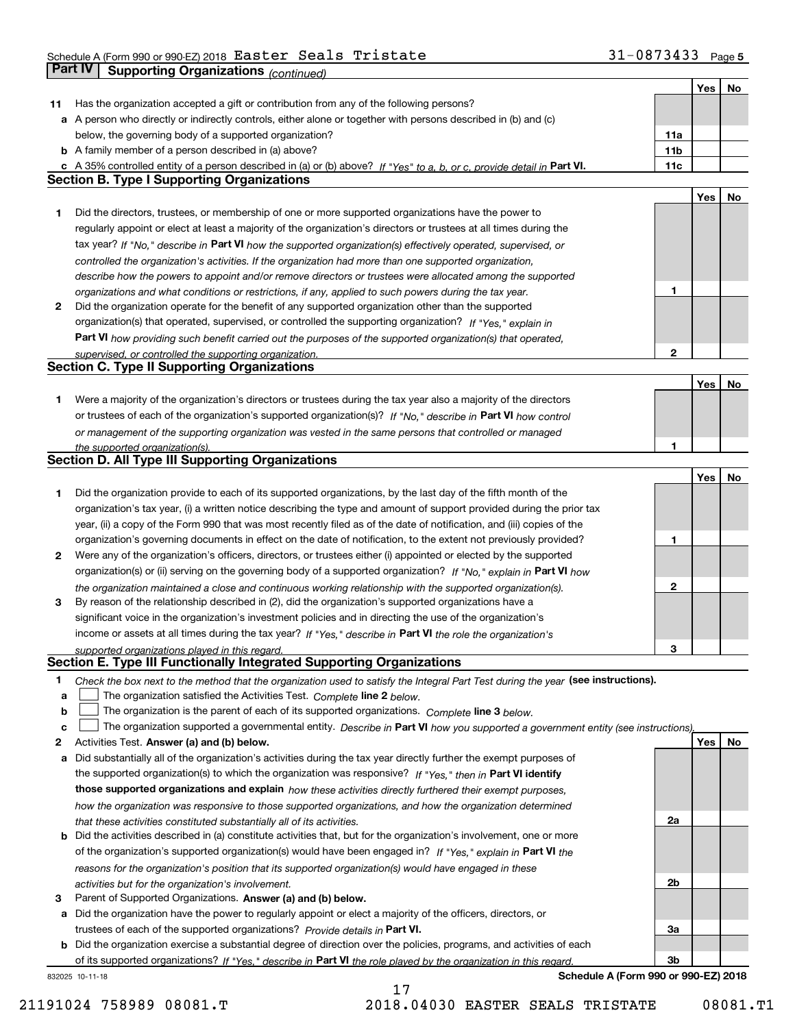#### Schedule A (Form 990 or 990-EZ) 2018 <code>Easter Seals Tristate</code>  $\texttt{31-0873433}$  Page Easter Seals Tristate 31-0873433

|              | <b>Part IV</b><br>Supporting Organizations (continued)                                                                                                                                                               |                 |     |    |
|--------------|----------------------------------------------------------------------------------------------------------------------------------------------------------------------------------------------------------------------|-----------------|-----|----|
|              |                                                                                                                                                                                                                      |                 | Yes | No |
| 11           | Has the organization accepted a gift or contribution from any of the following persons?                                                                                                                              |                 |     |    |
|              | a A person who directly or indirectly controls, either alone or together with persons described in (b) and (c)                                                                                                       |                 |     |    |
|              | below, the governing body of a supported organization?                                                                                                                                                               | 11a             |     |    |
|              | <b>b</b> A family member of a person described in (a) above?                                                                                                                                                         | 11 <sub>b</sub> |     |    |
|              | c A 35% controlled entity of a person described in (a) or (b) above? If "Yes" to a, b, or c, provide detail in Part VI.                                                                                              | 11c             |     |    |
|              | <b>Section B. Type I Supporting Organizations</b>                                                                                                                                                                    |                 |     |    |
|              |                                                                                                                                                                                                                      |                 | Yes | No |
| 1            | Did the directors, trustees, or membership of one or more supported organizations have the power to                                                                                                                  |                 |     |    |
|              | regularly appoint or elect at least a majority of the organization's directors or trustees at all times during the                                                                                                   |                 |     |    |
|              | tax year? If "No," describe in Part VI how the supported organization(s) effectively operated, supervised, or                                                                                                        |                 |     |    |
|              | controlled the organization's activities. If the organization had more than one supported organization,                                                                                                              |                 |     |    |
|              |                                                                                                                                                                                                                      |                 |     |    |
|              | describe how the powers to appoint and/or remove directors or trustees were allocated among the supported                                                                                                            | 1               |     |    |
| $\mathbf{2}$ | organizations and what conditions or restrictions, if any, applied to such powers during the tax year.<br>Did the organization operate for the benefit of any supported organization other than the supported        |                 |     |    |
|              |                                                                                                                                                                                                                      |                 |     |    |
|              | organization(s) that operated, supervised, or controlled the supporting organization? If "Yes," explain in                                                                                                           |                 |     |    |
|              | Part VI how providing such benefit carried out the purposes of the supported organization(s) that operated,                                                                                                          | $\mathbf{2}$    |     |    |
|              | supervised, or controlled the supporting organization.<br><b>Section C. Type II Supporting Organizations</b>                                                                                                         |                 |     |    |
|              |                                                                                                                                                                                                                      |                 | Yes | No |
| 1            | Were a majority of the organization's directors or trustees during the tax year also a majority of the directors                                                                                                     |                 |     |    |
|              | or trustees of each of the organization's supported organization(s)? If "No," describe in Part VI how control                                                                                                        |                 |     |    |
|              |                                                                                                                                                                                                                      |                 |     |    |
|              | or management of the supporting organization was vested in the same persons that controlled or managed                                                                                                               |                 |     |    |
|              | the supported organization(s).<br><b>Section D. All Type III Supporting Organizations</b>                                                                                                                            |                 |     |    |
|              |                                                                                                                                                                                                                      |                 | Yes | No |
| 1            | Did the organization provide to each of its supported organizations, by the last day of the fifth month of the                                                                                                       |                 |     |    |
|              | organization's tax year, (i) a written notice describing the type and amount of support provided during the prior tax                                                                                                |                 |     |    |
|              | year, (ii) a copy of the Form 990 that was most recently filed as of the date of notification, and (iii) copies of the                                                                                               |                 |     |    |
|              |                                                                                                                                                                                                                      |                 |     |    |
|              | organization's governing documents in effect on the date of notification, to the extent not previously provided?                                                                                                     | 1               |     |    |
| 2            | Were any of the organization's officers, directors, or trustees either (i) appointed or elected by the supported                                                                                                     |                 |     |    |
|              | organization(s) or (ii) serving on the governing body of a supported organization? If "No," explain in Part VI how                                                                                                   | 2               |     |    |
| 3            | the organization maintained a close and continuous working relationship with the supported organization(s).<br>By reason of the relationship described in (2), did the organization's supported organizations have a |                 |     |    |
|              | significant voice in the organization's investment policies and in directing the use of the organization's                                                                                                           |                 |     |    |
|              |                                                                                                                                                                                                                      |                 |     |    |
|              | income or assets at all times during the tax year? If "Yes," describe in Part VI the role the organization's                                                                                                         |                 |     |    |
|              | supported organizations played in this regard.<br>Section E. Type III Functionally Integrated Supporting Organizations                                                                                               | 3               |     |    |
| 1            | Check the box next to the method that the organization used to satisfy the Integral Part Test during the year (see instructions).                                                                                    |                 |     |    |
| a            | The organization satisfied the Activities Test. Complete line 2 below.                                                                                                                                               |                 |     |    |
| b            | The organization is the parent of each of its supported organizations. Complete line 3 below.                                                                                                                        |                 |     |    |
| C            | The organization supported a governmental entity. Describe in Part VI how you supported a government entity (see instructions),                                                                                      |                 |     |    |
| 2            | Activities Test. Answer (a) and (b) below.                                                                                                                                                                           |                 | Yes | No |
| a            | Did substantially all of the organization's activities during the tax year directly further the exempt purposes of                                                                                                   |                 |     |    |
|              | the supported organization(s) to which the organization was responsive? If "Yes." then in Part VI identify                                                                                                           |                 |     |    |
|              | those supported organizations and explain how these activities directly furthered their exempt purposes,                                                                                                             |                 |     |    |
|              |                                                                                                                                                                                                                      |                 |     |    |
|              | how the organization was responsive to those supported organizations, and how the organization determined                                                                                                            | 2a              |     |    |
|              | that these activities constituted substantially all of its activities.<br><b>b</b> Did the activities described in (a) constitute activities that, but for the organization's involvement, one or more               |                 |     |    |
|              |                                                                                                                                                                                                                      |                 |     |    |
|              | of the organization's supported organization(s) would have been engaged in? If "Yes," explain in Part VI the                                                                                                         |                 |     |    |
|              | reasons for the organization's position that its supported organization(s) would have engaged in these                                                                                                               | 2b              |     |    |
| 3            | activities but for the organization's involvement.<br>Parent of Supported Organizations. Answer (a) and (b) below.                                                                                                   |                 |     |    |
|              | Did the organization have the power to regularly appoint or elect a majority of the officers, directors, or                                                                                                          |                 |     |    |
| а            | trustees of each of the supported organizations? Provide details in Part VI.                                                                                                                                         | За              |     |    |
|              | <b>b</b> Did the organization exercise a substantial degree of direction over the policies, programs, and activities of each                                                                                         |                 |     |    |
|              | of its supported organizations? If "Yes," describe in Part VI the role played by the organization in this regard                                                                                                     | Зb              |     |    |
|              | Schedule A (Form 990 or 990-EZ) 2018<br>832025 10-11-18                                                                                                                                                              |                 |     |    |

**Schedule A (Form 990 or 990-EZ) 2018**

21191024 758989 08081.T 2018.04030 EASTER SEALS TRISTATE 08081.T1

17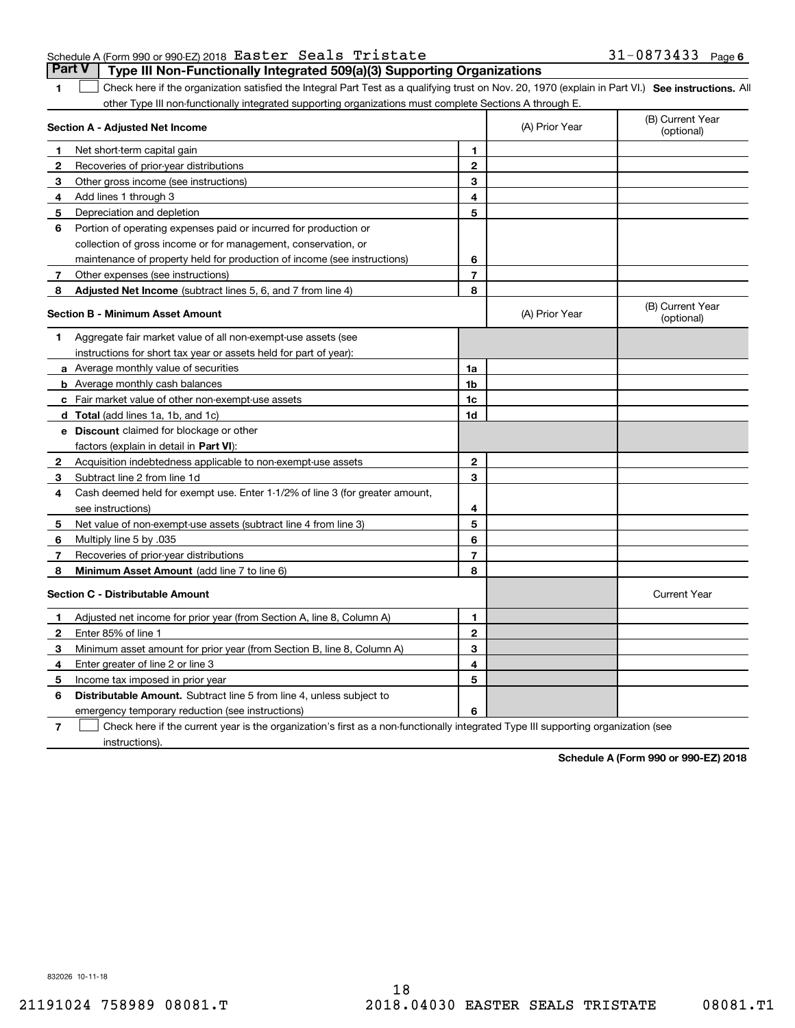|  | Schedule A (Form 990 or 990-EZ) 2018 Easter Seals Tristate |  |                                                                                       | $31 - 0873433$ Page 6 |  |
|--|------------------------------------------------------------|--|---------------------------------------------------------------------------------------|-----------------------|--|
|  |                                                            |  | <b>Part V</b> Type III Non-Functionally Integrated 509(a)(3) Supporting Organizations |                       |  |

**1**

1 Check here if the organization satisfied the Integral Part Test as a qualifying trust on Nov. 20, 1970 (explain in Part VI.) See instructions. All other Type III non-functionally integrated supporting organizations must complete Sections A through E.

|              | Section A - Adjusted Net Income                                              |                | (A) Prior Year | (B) Current Year<br>(optional) |
|--------------|------------------------------------------------------------------------------|----------------|----------------|--------------------------------|
| 1.           | Net short-term capital gain                                                  | 1              |                |                                |
| 2            | Recoveries of prior-year distributions                                       | $\overline{2}$ |                |                                |
| 3            | Other gross income (see instructions)                                        | 3              |                |                                |
| 4            | Add lines 1 through 3                                                        | 4              |                |                                |
| 5            | Depreciation and depletion                                                   | 5              |                |                                |
| 6            | Portion of operating expenses paid or incurred for production or             |                |                |                                |
|              | collection of gross income or for management, conservation, or               |                |                |                                |
|              | maintenance of property held for production of income (see instructions)     | 6              |                |                                |
| 7            | Other expenses (see instructions)                                            | $\overline{7}$ |                |                                |
| 8            | <b>Adjusted Net Income</b> (subtract lines 5, 6, and 7 from line 4)          | 8              |                |                                |
|              | Section B - Minimum Asset Amount                                             |                | (A) Prior Year | (B) Current Year<br>(optional) |
| 1.           | Aggregate fair market value of all non-exempt-use assets (see                |                |                |                                |
|              | instructions for short tax year or assets held for part of year):            |                |                |                                |
|              | a Average monthly value of securities                                        | 1a             |                |                                |
|              | <b>b</b> Average monthly cash balances                                       | 1b             |                |                                |
|              | c Fair market value of other non-exempt-use assets                           | 1c             |                |                                |
|              | d Total (add lines 1a, 1b, and 1c)                                           | 1d             |                |                                |
|              | <b>e</b> Discount claimed for blockage or other                              |                |                |                                |
|              | factors (explain in detail in Part VI):                                      |                |                |                                |
| 2            | Acquisition indebtedness applicable to non-exempt-use assets                 | $\mathbf{2}$   |                |                                |
| 3            | Subtract line 2 from line 1d                                                 | 3              |                |                                |
| 4            | Cash deemed held for exempt use. Enter 1-1/2% of line 3 (for greater amount, |                |                |                                |
|              | see instructions)                                                            | 4              |                |                                |
| 5            | Net value of non-exempt-use assets (subtract line 4 from line 3)             | 5              |                |                                |
| 6            | Multiply line 5 by .035                                                      | 6              |                |                                |
| 7            | Recoveries of prior-year distributions                                       | $\overline{7}$ |                |                                |
| 8            | Minimum Asset Amount (add line 7 to line 6)                                  | 8              |                |                                |
|              | <b>Section C - Distributable Amount</b>                                      |                |                | <b>Current Year</b>            |
| 1            | Adjusted net income for prior year (from Section A, line 8, Column A)        | 1              |                |                                |
| $\mathbf{2}$ | Enter 85% of line 1                                                          | $\mathbf 2$    |                |                                |
| 3            | Minimum asset amount for prior year (from Section B, line 8, Column A)       | 3              |                |                                |
| 4            | Enter greater of line 2 or line 3                                            | 4              |                |                                |
| 5            | Income tax imposed in prior year                                             | 5              |                |                                |
| 6            | <b>Distributable Amount.</b> Subtract line 5 from line 4, unless subject to  |                |                |                                |
|              | emergency temporary reduction (see instructions)                             | 6              |                |                                |
|              | $\sim$ $\sim$ $\sim$                                                         |                |                |                                |

**7**Check here if the current year is the organization's first as a non-functionally integrated Type III supporting organization (see instructions).

**Schedule A (Form 990 or 990-EZ) 2018**

832026 10-11-18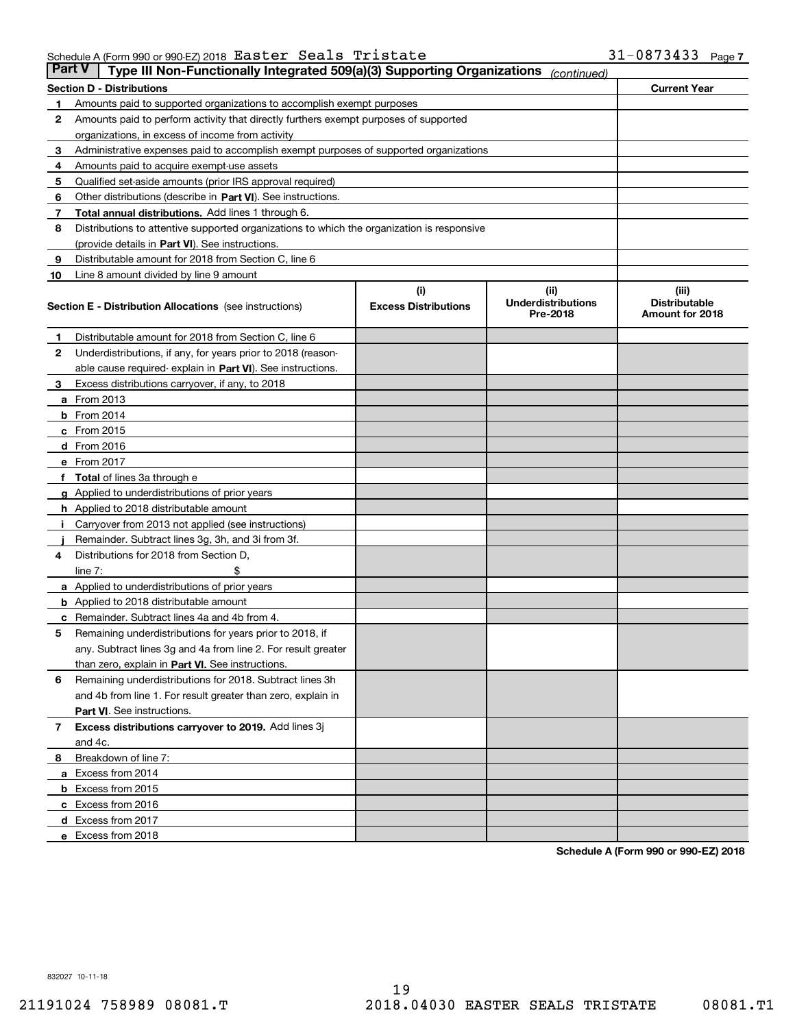|    | <b>Part V</b><br>Type III Non-Functionally Integrated 509(a)(3) Supporting Organizations<br>(continued) |                             |                                       |                                         |  |  |  |
|----|---------------------------------------------------------------------------------------------------------|-----------------------------|---------------------------------------|-----------------------------------------|--|--|--|
|    | <b>Section D - Distributions</b>                                                                        |                             |                                       |                                         |  |  |  |
| 1  | Amounts paid to supported organizations to accomplish exempt purposes                                   |                             |                                       |                                         |  |  |  |
| 2  | Amounts paid to perform activity that directly furthers exempt purposes of supported                    |                             |                                       |                                         |  |  |  |
|    | organizations, in excess of income from activity                                                        |                             |                                       |                                         |  |  |  |
| з  | Administrative expenses paid to accomplish exempt purposes of supported organizations                   |                             |                                       |                                         |  |  |  |
| 4  | Amounts paid to acquire exempt-use assets                                                               |                             |                                       |                                         |  |  |  |
| 5  | Qualified set-aside amounts (prior IRS approval required)                                               |                             |                                       |                                         |  |  |  |
| 6  | Other distributions (describe in Part VI). See instructions.                                            |                             |                                       |                                         |  |  |  |
| 7  | Total annual distributions. Add lines 1 through 6.                                                      |                             |                                       |                                         |  |  |  |
| 8  | Distributions to attentive supported organizations to which the organization is responsive              |                             |                                       |                                         |  |  |  |
|    | (provide details in Part VI). See instructions.                                                         |                             |                                       |                                         |  |  |  |
| 9  | Distributable amount for 2018 from Section C, line 6                                                    |                             |                                       |                                         |  |  |  |
| 10 | Line 8 amount divided by line 9 amount                                                                  |                             |                                       |                                         |  |  |  |
|    |                                                                                                         | (i)                         | (iii)                                 | (iii)                                   |  |  |  |
|    | <b>Section E - Distribution Allocations</b> (see instructions)                                          | <b>Excess Distributions</b> | <b>Underdistributions</b><br>Pre-2018 | <b>Distributable</b><br>Amount for 2018 |  |  |  |
| 1  | Distributable amount for 2018 from Section C, line 6                                                    |                             |                                       |                                         |  |  |  |
| 2  | Underdistributions, if any, for years prior to 2018 (reason-                                            |                             |                                       |                                         |  |  |  |
|    | able cause required- explain in Part VI). See instructions.                                             |                             |                                       |                                         |  |  |  |
| з  | Excess distributions carryover, if any, to 2018                                                         |                             |                                       |                                         |  |  |  |
|    | <b>a</b> From 2013                                                                                      |                             |                                       |                                         |  |  |  |
|    | <b>b</b> From $2014$                                                                                    |                             |                                       |                                         |  |  |  |
|    | $c$ From 2015                                                                                           |                             |                                       |                                         |  |  |  |
|    | <b>d</b> From 2016                                                                                      |                             |                                       |                                         |  |  |  |
|    | e From 2017                                                                                             |                             |                                       |                                         |  |  |  |
|    | Total of lines 3a through e                                                                             |                             |                                       |                                         |  |  |  |
|    | <b>g</b> Applied to underdistributions of prior years                                                   |                             |                                       |                                         |  |  |  |
|    | <b>h</b> Applied to 2018 distributable amount                                                           |                             |                                       |                                         |  |  |  |
|    | Carryover from 2013 not applied (see instructions)                                                      |                             |                                       |                                         |  |  |  |
|    | Remainder. Subtract lines 3g, 3h, and 3i from 3f.                                                       |                             |                                       |                                         |  |  |  |
| 4  | Distributions for 2018 from Section D,                                                                  |                             |                                       |                                         |  |  |  |
|    | line $7:$                                                                                               |                             |                                       |                                         |  |  |  |
|    | <b>a</b> Applied to underdistributions of prior years                                                   |                             |                                       |                                         |  |  |  |
|    | <b>b</b> Applied to 2018 distributable amount                                                           |                             |                                       |                                         |  |  |  |
| с  | Remainder. Subtract lines 4a and 4b from 4.                                                             |                             |                                       |                                         |  |  |  |
| 5  | Remaining underdistributions for years prior to 2018, if                                                |                             |                                       |                                         |  |  |  |
|    | any. Subtract lines 3g and 4a from line 2. For result greater                                           |                             |                                       |                                         |  |  |  |
|    | than zero, explain in Part VI. See instructions.                                                        |                             |                                       |                                         |  |  |  |
| 6  | Remaining underdistributions for 2018. Subtract lines 3h                                                |                             |                                       |                                         |  |  |  |
|    | and 4b from line 1. For result greater than zero, explain in                                            |                             |                                       |                                         |  |  |  |
|    | Part VI. See instructions.                                                                              |                             |                                       |                                         |  |  |  |
| 7  | Excess distributions carryover to 2019. Add lines 3j                                                    |                             |                                       |                                         |  |  |  |
|    | and 4c.                                                                                                 |                             |                                       |                                         |  |  |  |
| 8  | Breakdown of line 7:                                                                                    |                             |                                       |                                         |  |  |  |
|    | a Excess from 2014                                                                                      |                             |                                       |                                         |  |  |  |
|    | <b>b</b> Excess from 2015                                                                               |                             |                                       |                                         |  |  |  |
|    | c Excess from 2016                                                                                      |                             |                                       |                                         |  |  |  |
|    | d Excess from 2017                                                                                      |                             |                                       |                                         |  |  |  |
|    | e Excess from 2018                                                                                      |                             |                                       |                                         |  |  |  |

**Schedule A (Form 990 or 990-EZ) 2018**

832027 10-11-18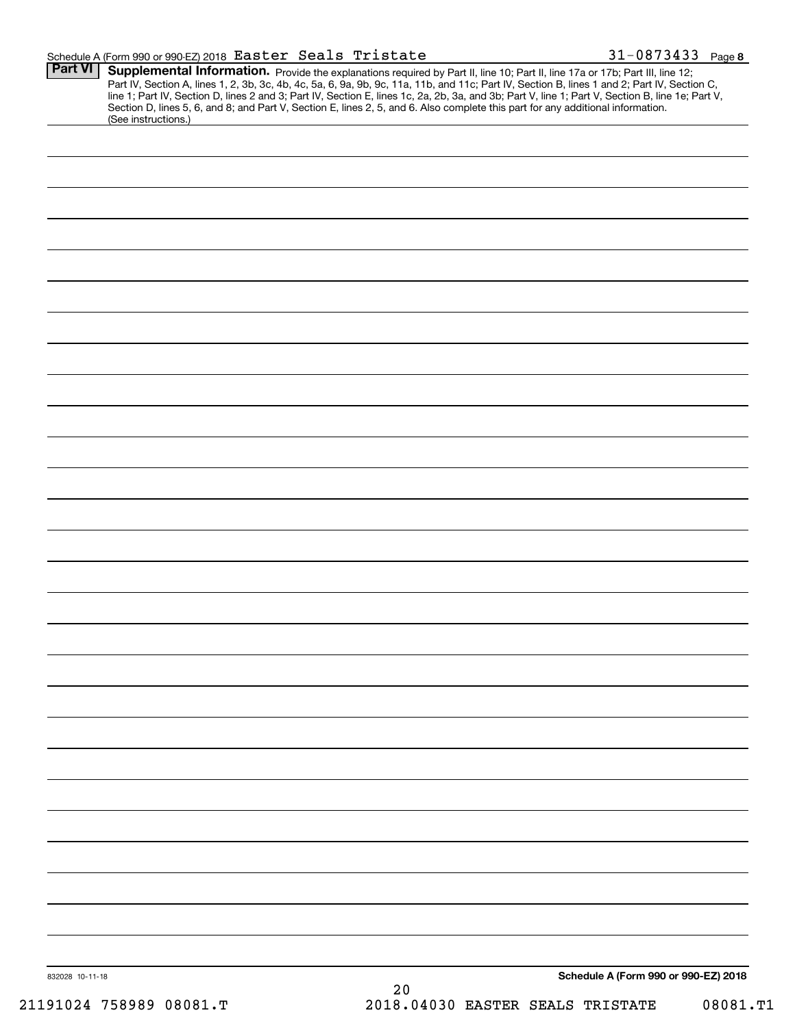|                 | Schedule A (Form 990 or 990-EZ) 2018 Easter Seals Tristate                                                                                                                                                                                                                                                                                                                                                                                                                                                                                                           | $31 - 0873433$ Page 8                |
|-----------------|----------------------------------------------------------------------------------------------------------------------------------------------------------------------------------------------------------------------------------------------------------------------------------------------------------------------------------------------------------------------------------------------------------------------------------------------------------------------------------------------------------------------------------------------------------------------|--------------------------------------|
| <b>Part VI</b>  | Supplemental Information. Provide the explanations required by Part II, line 10; Part II, line 17a or 17b; Part III, line 12;<br>Part IV, Section A, lines 1, 2, 3b, 3c, 4b, 4c, 5a, 6, 9a, 9b, 9c, 11a, 11b, and 11c; Part IV, Section B, lines 1 and 2; Part IV, Section C,<br>line 1; Part IV, Section D, lines 2 and 3; Part IV, Section E, lines 1c, 2a, 2b, 3a, and 3b; Part V, line 1; Part V, Section B, line 1e; Part V,<br>Section D, lines 5, 6, and 8; and Part V, Section E, lines 2, 5, and 6. Also complete this part for any additional information. |                                      |
|                 | (See instructions.)                                                                                                                                                                                                                                                                                                                                                                                                                                                                                                                                                  |                                      |
|                 |                                                                                                                                                                                                                                                                                                                                                                                                                                                                                                                                                                      |                                      |
|                 |                                                                                                                                                                                                                                                                                                                                                                                                                                                                                                                                                                      |                                      |
|                 |                                                                                                                                                                                                                                                                                                                                                                                                                                                                                                                                                                      |                                      |
|                 |                                                                                                                                                                                                                                                                                                                                                                                                                                                                                                                                                                      |                                      |
|                 |                                                                                                                                                                                                                                                                                                                                                                                                                                                                                                                                                                      |                                      |
|                 |                                                                                                                                                                                                                                                                                                                                                                                                                                                                                                                                                                      |                                      |
|                 |                                                                                                                                                                                                                                                                                                                                                                                                                                                                                                                                                                      |                                      |
|                 |                                                                                                                                                                                                                                                                                                                                                                                                                                                                                                                                                                      |                                      |
|                 |                                                                                                                                                                                                                                                                                                                                                                                                                                                                                                                                                                      |                                      |
|                 |                                                                                                                                                                                                                                                                                                                                                                                                                                                                                                                                                                      |                                      |
|                 |                                                                                                                                                                                                                                                                                                                                                                                                                                                                                                                                                                      |                                      |
|                 |                                                                                                                                                                                                                                                                                                                                                                                                                                                                                                                                                                      |                                      |
|                 |                                                                                                                                                                                                                                                                                                                                                                                                                                                                                                                                                                      |                                      |
|                 |                                                                                                                                                                                                                                                                                                                                                                                                                                                                                                                                                                      |                                      |
|                 |                                                                                                                                                                                                                                                                                                                                                                                                                                                                                                                                                                      |                                      |
|                 |                                                                                                                                                                                                                                                                                                                                                                                                                                                                                                                                                                      |                                      |
|                 |                                                                                                                                                                                                                                                                                                                                                                                                                                                                                                                                                                      |                                      |
|                 |                                                                                                                                                                                                                                                                                                                                                                                                                                                                                                                                                                      |                                      |
|                 |                                                                                                                                                                                                                                                                                                                                                                                                                                                                                                                                                                      |                                      |
|                 |                                                                                                                                                                                                                                                                                                                                                                                                                                                                                                                                                                      |                                      |
|                 |                                                                                                                                                                                                                                                                                                                                                                                                                                                                                                                                                                      |                                      |
|                 |                                                                                                                                                                                                                                                                                                                                                                                                                                                                                                                                                                      |                                      |
|                 |                                                                                                                                                                                                                                                                                                                                                                                                                                                                                                                                                                      |                                      |
|                 |                                                                                                                                                                                                                                                                                                                                                                                                                                                                                                                                                                      |                                      |
|                 |                                                                                                                                                                                                                                                                                                                                                                                                                                                                                                                                                                      |                                      |
|                 |                                                                                                                                                                                                                                                                                                                                                                                                                                                                                                                                                                      |                                      |
|                 |                                                                                                                                                                                                                                                                                                                                                                                                                                                                                                                                                                      |                                      |
|                 |                                                                                                                                                                                                                                                                                                                                                                                                                                                                                                                                                                      |                                      |
|                 |                                                                                                                                                                                                                                                                                                                                                                                                                                                                                                                                                                      | Schedule A (Form 990 or 990-EZ) 2018 |
| 832028 10-11-18 |                                                                                                                                                                                                                                                                                                                                                                                                                                                                                                                                                                      |                                      |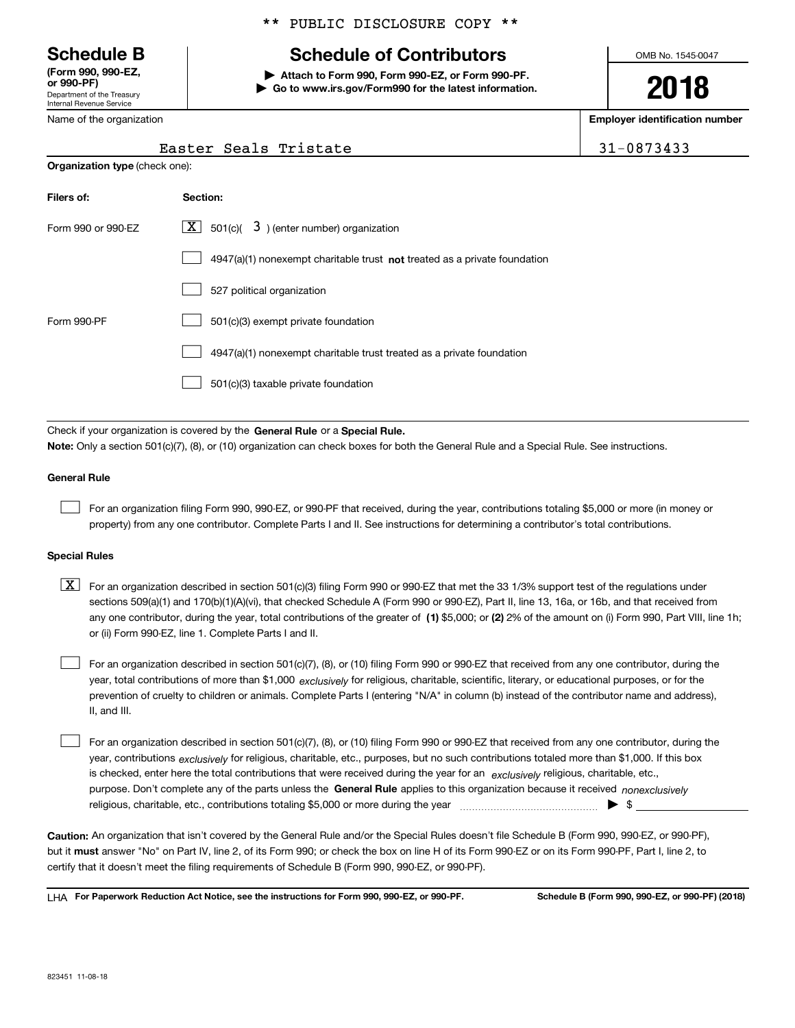Department of the Treasury Internal Revenue Service **(Form 990, 990-EZ, or 990-PF)**

Name of the organization

## \*\* PUBLIC DISCLOSURE COPY \*\*

## **Schedule B Schedule of Contributors**

**| Attach to Form 990, Form 990-EZ, or Form 990-PF. | Go to www.irs.gov/Form990 for the latest information.** OMB No. 1545-0047

**2018**

**Employer identification number**

| 0873433 |  |
|---------|--|
|---------|--|

| Easter Seals Tristate | $\frac{1}{31-0873433}$ |
|-----------------------|------------------------|

| <b>Organization type (check one):</b> |                                                                                    |  |  |  |  |  |
|---------------------------------------|------------------------------------------------------------------------------------|--|--|--|--|--|
| Filers of:                            | Section:                                                                           |  |  |  |  |  |
| Form 990 or 990-EZ                    | $ \mathbf{X} $ 501(c)( 3) (enter number) organization                              |  |  |  |  |  |
|                                       | $4947(a)(1)$ nonexempt charitable trust <b>not</b> treated as a private foundation |  |  |  |  |  |
|                                       | 527 political organization                                                         |  |  |  |  |  |
| Form 990-PF                           | 501(c)(3) exempt private foundation                                                |  |  |  |  |  |
|                                       | 4947(a)(1) nonexempt charitable trust treated as a private foundation              |  |  |  |  |  |
|                                       | 501(c)(3) taxable private foundation                                               |  |  |  |  |  |

Check if your organization is covered by the **General Rule** or a **Special Rule. Note:**  Only a section 501(c)(7), (8), or (10) organization can check boxes for both the General Rule and a Special Rule. See instructions.

## **General Rule**

 $\mathcal{L}^{\text{max}}$ 

For an organization filing Form 990, 990-EZ, or 990-PF that received, during the year, contributions totaling \$5,000 or more (in money or property) from any one contributor. Complete Parts I and II. See instructions for determining a contributor's total contributions.

#### **Special Rules**

any one contributor, during the year, total contributions of the greater of  $\,$  (1) \$5,000; or **(2)** 2% of the amount on (i) Form 990, Part VIII, line 1h;  $\boxed{\textbf{X}}$  For an organization described in section 501(c)(3) filing Form 990 or 990-EZ that met the 33 1/3% support test of the regulations under sections 509(a)(1) and 170(b)(1)(A)(vi), that checked Schedule A (Form 990 or 990-EZ), Part II, line 13, 16a, or 16b, and that received from or (ii) Form 990-EZ, line 1. Complete Parts I and II.

year, total contributions of more than \$1,000 *exclusively* for religious, charitable, scientific, literary, or educational purposes, or for the For an organization described in section 501(c)(7), (8), or (10) filing Form 990 or 990-EZ that received from any one contributor, during the prevention of cruelty to children or animals. Complete Parts I (entering "N/A" in column (b) instead of the contributor name and address), II, and III.  $\mathcal{L}^{\text{max}}$ 

purpose. Don't complete any of the parts unless the **General Rule** applies to this organization because it received *nonexclusively* year, contributions <sub>exclusively</sub> for religious, charitable, etc., purposes, but no such contributions totaled more than \$1,000. If this box is checked, enter here the total contributions that were received during the year for an  $\;$ exclusively religious, charitable, etc., For an organization described in section 501(c)(7), (8), or (10) filing Form 990 or 990-EZ that received from any one contributor, during the religious, charitable, etc., contributions totaling \$5,000 or more during the year  $\Box$ — $\Box$   $\Box$  $\mathcal{L}^{\text{max}}$ 

**Caution:**  An organization that isn't covered by the General Rule and/or the Special Rules doesn't file Schedule B (Form 990, 990-EZ, or 990-PF),  **must** but it answer "No" on Part IV, line 2, of its Form 990; or check the box on line H of its Form 990-EZ or on its Form 990-PF, Part I, line 2, to certify that it doesn't meet the filing requirements of Schedule B (Form 990, 990-EZ, or 990-PF).

**For Paperwork Reduction Act Notice, see the instructions for Form 990, 990-EZ, or 990-PF. Schedule B (Form 990, 990-EZ, or 990-PF) (2018)** LHA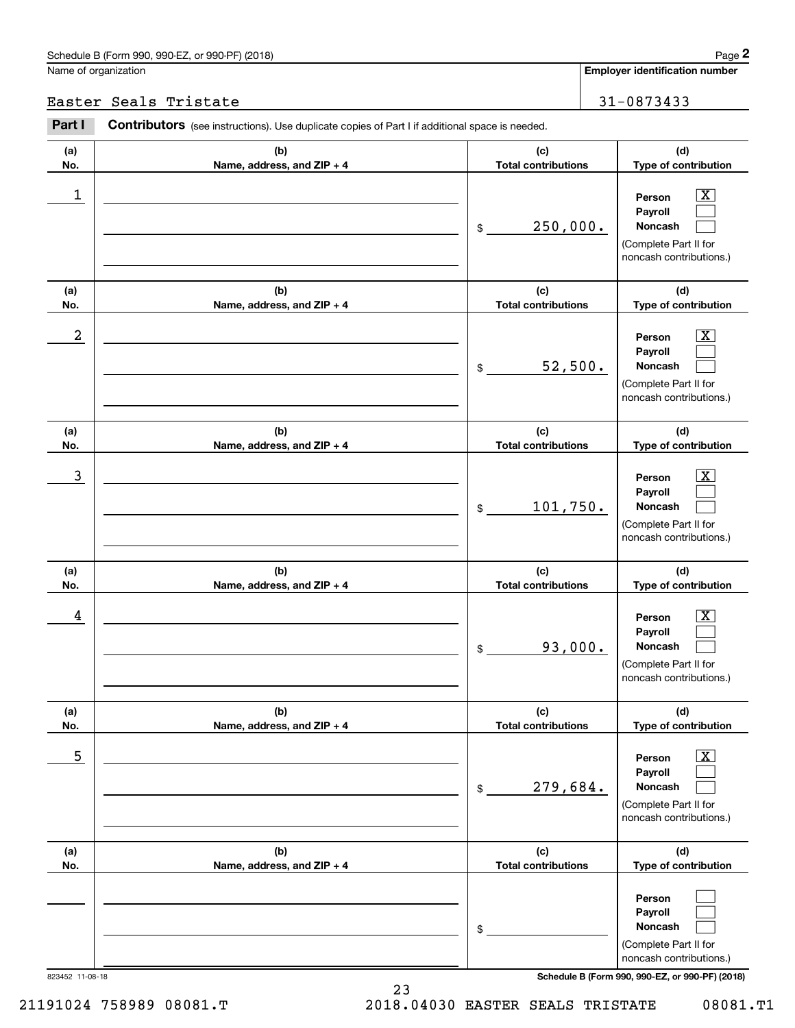Name of organization

|                         | Schedule B (Form 990, 990-EZ, or 990-PF) (2018)                                                       |                                   | Page 2                                                                                                      |
|-------------------------|-------------------------------------------------------------------------------------------------------|-----------------------------------|-------------------------------------------------------------------------------------------------------------|
|                         | Jame of organization                                                                                  |                                   | <b>Employer identification number</b>                                                                       |
|                         | Easter Seals Tristate                                                                                 |                                   | 31-0873433                                                                                                  |
| Part I                  | <b>Contributors</b> (see instructions). Use duplicate copies of Part I if additional space is needed. |                                   |                                                                                                             |
| (a)<br>No.              | (b)<br>Name, address, and ZIP + 4                                                                     | (c)<br><b>Total contributions</b> | (d)<br>Type of contribution                                                                                 |
| $\mathbf 1$             |                                                                                                       | 250,000.<br>\$                    | $\overline{\mathbf{X}}$<br>Person<br>Payroll<br>Noncash<br>(Complete Part II for<br>noncash contributions.) |
| (a)<br>No.              | (b)<br>Name, address, and ZIP + 4                                                                     | (c)<br><b>Total contributions</b> | (d)<br>Type of contribution                                                                                 |
| $\overline{\mathbf{c}}$ |                                                                                                       | 52,500.<br>\$                     | $\overline{\mathbf{X}}$<br>Person<br>Payroll<br>Noncash<br>(Complete Part II for<br>noncash contributions.) |
| (a)<br>No.              | (b)<br>Name, address, and ZIP + 4                                                                     | (c)<br><b>Total contributions</b> | (d)<br>Type of contribution                                                                                 |
| 3                       |                                                                                                       | 101,750.<br>\$                    | $\overline{\text{X}}$<br>Person<br>Payroll<br>Noncash<br>(Complete Part II for<br>noncash contributions.)   |
| (a)<br>No.              | (b)<br>Name, address, and ZIP + 4                                                                     | (c)<br><b>Total contributions</b> | (d)<br>Type of contribution                                                                                 |
| 4                       |                                                                                                       | 93,000.<br>\$                     | $\mathbf{X}$<br>Person<br>Payroll<br>Noncash<br>(Complete Part II for<br>noncash contributions.)            |
| (a)<br>No.              | (b)<br>Name, address, and ZIP + 4                                                                     | (c)<br><b>Total contributions</b> | (d)<br>Type of contribution                                                                                 |
| 5                       |                                                                                                       | 279,684.<br>\$                    | $\overline{\mathbf{X}}$<br>Person<br>Payroll<br>Noncash<br>(Complete Part II for<br>noncash contributions.) |
| (a)<br>No.              | (b)<br>Name, address, and ZIP + 4                                                                     | (c)<br><b>Total contributions</b> | (d)<br>Type of contribution                                                                                 |
|                         |                                                                                                       | \$                                | Person<br>Payroll<br>Noncash<br>(Complete Part II for<br>noncash contributions.)                            |

823452 11-08-18 **Schedule B (Form 990, 990-EZ, or 990-PF) (2018)**

23 21191024 758989 08081.T 2018.04030 EASTER SEALS TRISTATE 08081.T1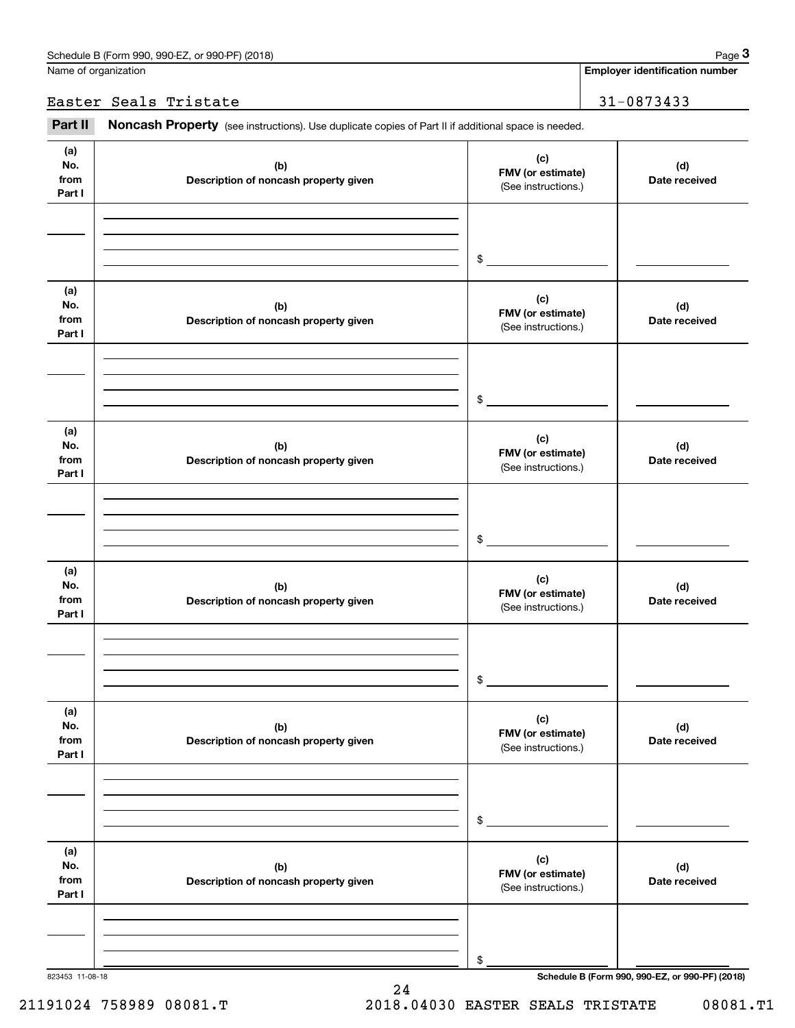**Employer identification number**

Easter Seals Tristate 31-0873433

Chedule B (Form 990, 990-EZ, or 990-PF) (2018)<br>
lame of organization<br> **Employer identification number**<br> **31** - 0873433<br> **Part II Noncash Property** (see instructions). Use duplicate copies of Part II if additional space i

| (a)<br>No.<br>from<br>Part I | (b)<br>Description of noncash property given | (c)<br>FMV (or estimate)<br>(See instructions.) | (d)<br>Date received |
|------------------------------|----------------------------------------------|-------------------------------------------------|----------------------|
|                              |                                              | \$                                              |                      |
| (a)<br>No.<br>from<br>Part I | (b)<br>Description of noncash property given | (c)<br>FMV (or estimate)<br>(See instructions.) | (d)<br>Date received |
|                              |                                              | \$                                              |                      |
| (a)<br>No.<br>from<br>Part I | (b)<br>Description of noncash property given | (c)<br>FMV (or estimate)<br>(See instructions.) | (d)<br>Date received |
|                              |                                              | $\,$                                            |                      |
| (a)<br>No.<br>from<br>Part I | (b)<br>Description of noncash property given | (c)<br>FMV (or estimate)<br>(See instructions.) | (d)<br>Date received |
|                              |                                              | \$                                              |                      |
| (a)<br>No.<br>from<br>Part I | (b)<br>Description of noncash property given | (c)<br>FMV (or estimate)<br>(See instructions.) | (d)<br>Date received |
|                              |                                              | \$                                              |                      |
| (a)<br>No.<br>from<br>Part I | (b)<br>Description of noncash property given | (c)<br>FMV (or estimate)<br>(See instructions.) | (d)<br>Date received |
|                              |                                              | \$                                              |                      |

24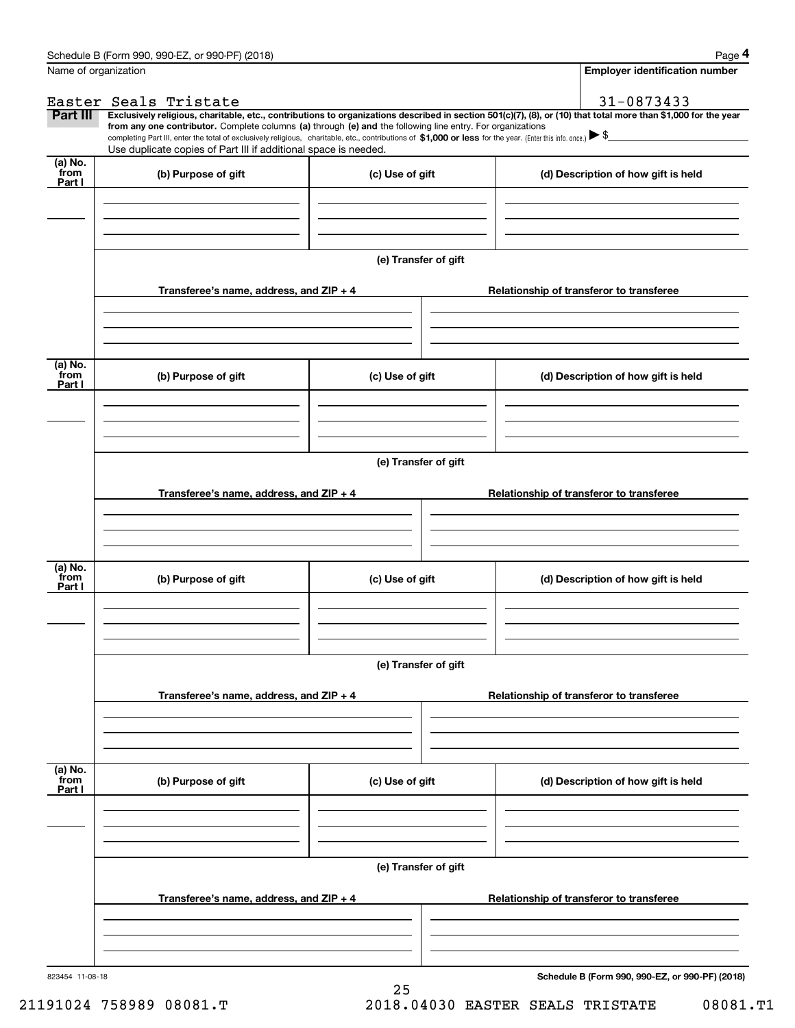|                           | Schedule B (Form 990, 990-EZ, or 990-PF) (2018)                                                                                                                                                                                                                                                 |                      |                                          |                                                 | Page 4                                |
|---------------------------|-------------------------------------------------------------------------------------------------------------------------------------------------------------------------------------------------------------------------------------------------------------------------------------------------|----------------------|------------------------------------------|-------------------------------------------------|---------------------------------------|
| Name of organization      |                                                                                                                                                                                                                                                                                                 |                      |                                          |                                                 | <b>Employer identification number</b> |
|                           | Easter Seals Tristate                                                                                                                                                                                                                                                                           |                      |                                          | 31-0873433                                      |                                       |
| Part III                  | Exclusively religious, charitable, etc., contributions to organizations described in section 501(c)(7), (8), or (10) that total more than \$1,000 for the year                                                                                                                                  |                      |                                          |                                                 |                                       |
|                           | from any one contributor. Complete columns (a) through (e) and the following line entry. For organizations<br>completing Part III, enter the total of exclusively religious, charitable, etc., contributions of \$1,000 or less for the year. (Enter this info. once.) $\blacktriangleright$ \$ |                      |                                          |                                                 |                                       |
|                           | Use duplicate copies of Part III if additional space is needed.                                                                                                                                                                                                                                 |                      |                                          |                                                 |                                       |
| (a) No.<br>from<br>Part I | (b) Purpose of gift                                                                                                                                                                                                                                                                             | (c) Use of gift      |                                          | (d) Description of how gift is held             |                                       |
|                           |                                                                                                                                                                                                                                                                                                 |                      |                                          |                                                 |                                       |
|                           |                                                                                                                                                                                                                                                                                                 |                      |                                          |                                                 |                                       |
|                           |                                                                                                                                                                                                                                                                                                 | (e) Transfer of gift |                                          |                                                 |                                       |
|                           | Transferee's name, address, and ZIP + 4                                                                                                                                                                                                                                                         |                      |                                          | Relationship of transferor to transferee        |                                       |
|                           |                                                                                                                                                                                                                                                                                                 |                      |                                          |                                                 |                                       |
| (a) No.<br>from<br>Part I | (b) Purpose of gift                                                                                                                                                                                                                                                                             | (c) Use of gift      |                                          | (d) Description of how gift is held             |                                       |
|                           |                                                                                                                                                                                                                                                                                                 |                      |                                          |                                                 |                                       |
|                           |                                                                                                                                                                                                                                                                                                 |                      |                                          |                                                 |                                       |
|                           |                                                                                                                                                                                                                                                                                                 | (e) Transfer of gift |                                          |                                                 |                                       |
|                           | Transferee's name, address, and ZIP + 4                                                                                                                                                                                                                                                         |                      |                                          | Relationship of transferor to transferee        |                                       |
|                           |                                                                                                                                                                                                                                                                                                 |                      |                                          |                                                 |                                       |
| (a) No.<br>from<br>Part I | (b) Purpose of gift                                                                                                                                                                                                                                                                             | (c) Use of gift      |                                          | (d) Description of how gift is held             |                                       |
|                           |                                                                                                                                                                                                                                                                                                 |                      |                                          |                                                 |                                       |
|                           |                                                                                                                                                                                                                                                                                                 | (e) Transfer of gift |                                          |                                                 |                                       |
|                           | Transferee's name, address, and ZIP + 4                                                                                                                                                                                                                                                         |                      | Relationship of transferor to transferee |                                                 |                                       |
|                           |                                                                                                                                                                                                                                                                                                 |                      |                                          |                                                 |                                       |
|                           |                                                                                                                                                                                                                                                                                                 |                      |                                          |                                                 |                                       |
| (a) No.<br>from<br>Part I | (b) Purpose of gift                                                                                                                                                                                                                                                                             | (c) Use of gift      |                                          | (d) Description of how gift is held             |                                       |
|                           |                                                                                                                                                                                                                                                                                                 |                      |                                          |                                                 |                                       |
|                           |                                                                                                                                                                                                                                                                                                 |                      |                                          |                                                 |                                       |
|                           |                                                                                                                                                                                                                                                                                                 | (e) Transfer of gift |                                          |                                                 |                                       |
|                           | Transferee's name, address, and ZIP + 4                                                                                                                                                                                                                                                         |                      |                                          | Relationship of transferor to transferee        |                                       |
|                           |                                                                                                                                                                                                                                                                                                 |                      |                                          |                                                 |                                       |
| 823454 11-08-18           |                                                                                                                                                                                                                                                                                                 |                      |                                          | Schedule B (Form 990, 990-EZ, or 990-PF) (2018) |                                       |

25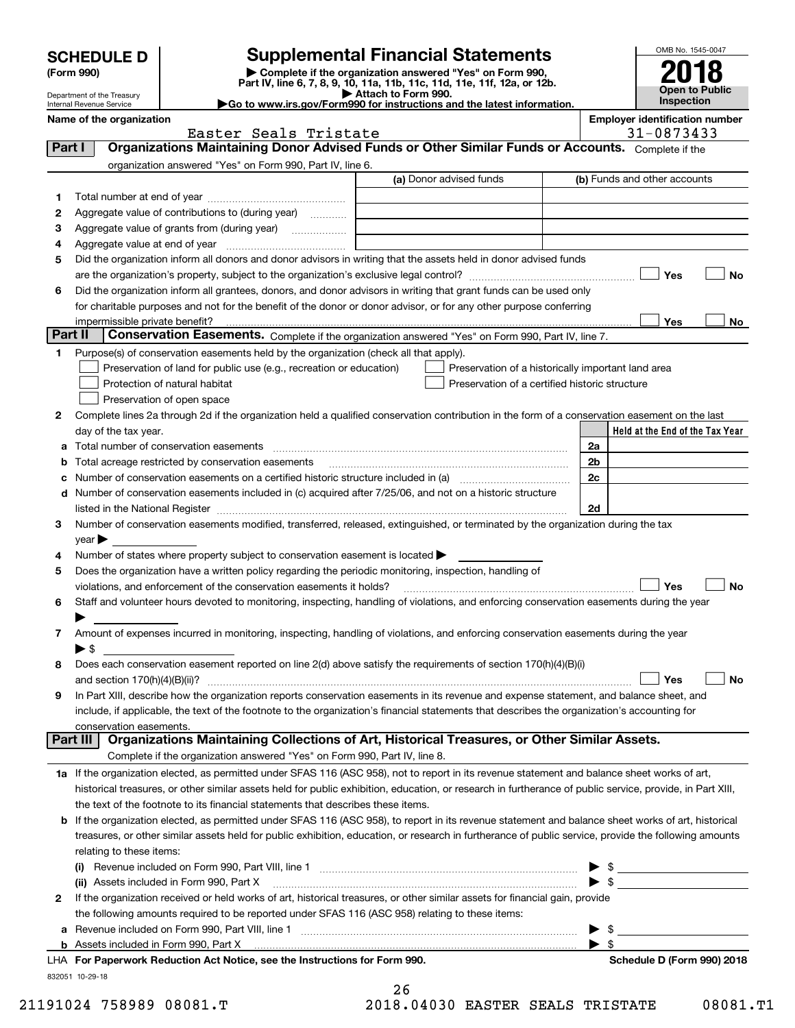| <b>SCHEDULE D</b> |  |
|-------------------|--|
|-------------------|--|

## **Supplemental Financial Statements**

(Form 990)<br>
Pepartment of the Treasury<br>
Department of the Treasury<br>
Department of the Treasury<br>
Department of the Treasury<br> **Co to www.irs.gov/Form990 for instructions and the latest information.**<br> **Co to www.irs.gov/Form9** 



Department of the Treasury Internal Revenue Service

| <b>DUDAINIUNICIN UNIU NUQUUV</b><br>Internal Revenue Service | $\blacktriangleright$ Go to www.irs.gov/Form990 for instructions and the latest information. | Inspection                            |
|--------------------------------------------------------------|----------------------------------------------------------------------------------------------|---------------------------------------|
| Name of the organization                                     |                                                                                              | <b>Employer identification number</b> |

|          | Easter Seals Tristate                                                                                                                                                                                                         | 31-0873433                      |
|----------|-------------------------------------------------------------------------------------------------------------------------------------------------------------------------------------------------------------------------------|---------------------------------|
| Part I   | Organizations Maintaining Donor Advised Funds or Other Similar Funds or Accounts. Complete if the                                                                                                                             |                                 |
|          | organization answered "Yes" on Form 990, Part IV, line 6.                                                                                                                                                                     |                                 |
|          | (a) Donor advised funds                                                                                                                                                                                                       | (b) Funds and other accounts    |
| 1        |                                                                                                                                                                                                                               |                                 |
| 2        | Aggregate value of contributions to (during year)                                                                                                                                                                             |                                 |
| з        | Aggregate value of grants from (during year)                                                                                                                                                                                  |                                 |
| 4        |                                                                                                                                                                                                                               |                                 |
| 5        | Did the organization inform all donors and donor advisors in writing that the assets held in donor advised funds                                                                                                              |                                 |
|          |                                                                                                                                                                                                                               | Yes<br>No                       |
| 6        | Did the organization inform all grantees, donors, and donor advisors in writing that grant funds can be used only                                                                                                             |                                 |
|          | for charitable purposes and not for the benefit of the donor or donor advisor, or for any other purpose conferring                                                                                                            |                                 |
|          |                                                                                                                                                                                                                               | Yes<br>No                       |
| Part II  | Conservation Easements. Complete if the organization answered "Yes" on Form 990, Part IV, line 7.                                                                                                                             |                                 |
| 1        | Purpose(s) of conservation easements held by the organization (check all that apply).                                                                                                                                         |                                 |
|          | Preservation of land for public use (e.g., recreation or education)<br>Preservation of a historically important land area                                                                                                     |                                 |
|          | Protection of natural habitat<br>Preservation of a certified historic structure                                                                                                                                               |                                 |
|          | Preservation of open space                                                                                                                                                                                                    |                                 |
|          |                                                                                                                                                                                                                               |                                 |
| 2        | Complete lines 2a through 2d if the organization held a qualified conservation contribution in the form of a conservation easement on the last                                                                                |                                 |
|          | day of the tax year.                                                                                                                                                                                                          | Held at the End of the Tax Year |
| а        |                                                                                                                                                                                                                               | 2a                              |
| b        | Total acreage restricted by conservation easements                                                                                                                                                                            | 2b                              |
| с        |                                                                                                                                                                                                                               | 2c                              |
| d        | Number of conservation easements included in (c) acquired after 7/25/06, and not on a historic structure                                                                                                                      |                                 |
|          | listed in the National Register [111] Marshall Register [11] Marshall Register [11] Marshall Register [11] Marshall Register [11] Marshall Register [11] Marshall Register [11] Marshall Register [11] Marshall Register [11] | 2d                              |
| 3        | Number of conservation easements modified, transferred, released, extinguished, or terminated by the organization during the tax                                                                                              |                                 |
|          | $year \triangleright$                                                                                                                                                                                                         |                                 |
| 4        | Number of states where property subject to conservation easement is located >                                                                                                                                                 |                                 |
| 5        | Does the organization have a written policy regarding the periodic monitoring, inspection, handling of                                                                                                                        |                                 |
|          | violations, and enforcement of the conservation easements it holds?                                                                                                                                                           | Yes<br><b>No</b>                |
| 6        | Staff and volunteer hours devoted to monitoring, inspecting, handling of violations, and enforcing conservation easements during the year                                                                                     |                                 |
|          | Amount of expenses incurred in monitoring, inspecting, handling of violations, and enforcing conservation easements during the year                                                                                           |                                 |
| 7        | $\blacktriangleright$ s                                                                                                                                                                                                       |                                 |
| 8        | Does each conservation easement reported on line 2(d) above satisfy the requirements of section 170(h)(4)(B)(i)                                                                                                               |                                 |
|          |                                                                                                                                                                                                                               | Yes<br>No                       |
| 9        | In Part XIII, describe how the organization reports conservation easements in its revenue and expense statement, and balance sheet, and                                                                                       |                                 |
|          | include, if applicable, the text of the footnote to the organization's financial statements that describes the organization's accounting for                                                                                  |                                 |
|          |                                                                                                                                                                                                                               |                                 |
| Part III | conservation easements.<br>Organizations Maintaining Collections of Art, Historical Treasures, or Other Similar Assets.                                                                                                       |                                 |
|          | Complete if the organization answered "Yes" on Form 990, Part IV, line 8.                                                                                                                                                     |                                 |
|          | 1a If the organization elected, as permitted under SFAS 116 (ASC 958), not to report in its revenue statement and balance sheet works of art,                                                                                 |                                 |
|          | historical treasures, or other similar assets held for public exhibition, education, or research in furtherance of public service, provide, in Part XIII,                                                                     |                                 |
|          | the text of the footnote to its financial statements that describes these items.                                                                                                                                              |                                 |
| b        | If the organization elected, as permitted under SFAS 116 (ASC 958), to report in its revenue statement and balance sheet works of art, historical                                                                             |                                 |
|          | treasures, or other similar assets held for public exhibition, education, or research in furtherance of public service, provide the following amounts                                                                         |                                 |
|          | relating to these items:                                                                                                                                                                                                      |                                 |
|          |                                                                                                                                                                                                                               | $\frac{1}{2}$                   |
|          | (ii) Assets included in Form 990, Part X                                                                                                                                                                                      | $\triangleright$ \$             |
| 2        | If the organization received or held works of art, historical treasures, or other similar assets for financial gain, provide                                                                                                  |                                 |
|          | the following amounts required to be reported under SFAS 116 (ASC 958) relating to these items:                                                                                                                               |                                 |
| а        |                                                                                                                                                                                                                               | \$<br>▶                         |
|          |                                                                                                                                                                                                                               | $\blacktriangleright$ \$        |
|          | LHA For Paperwork Reduction Act Notice, see the Instructions for Form 990.                                                                                                                                                    | Schedule D (Form 990) 2018      |
|          | 832051 10-29-18                                                                                                                                                                                                               |                                 |
|          | 26                                                                                                                                                                                                                            |                                 |

|  | ∠ ס  |      |  |
|--|------|------|--|
|  | ם רר | 0.10 |  |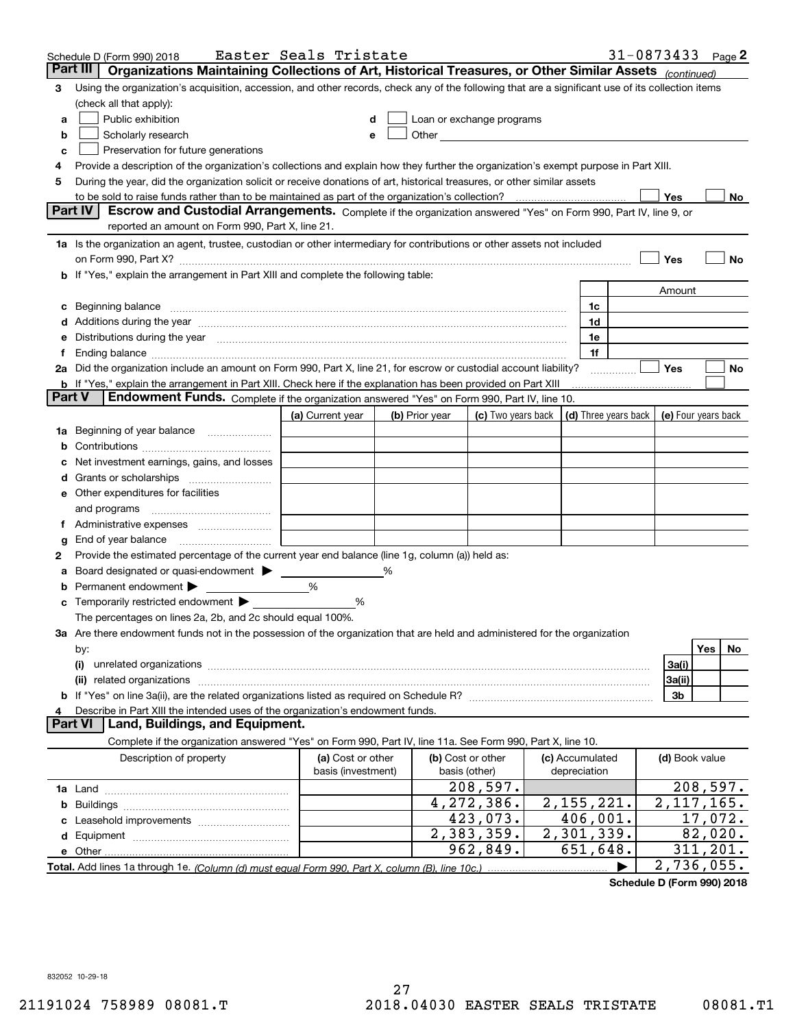|        | Schedule D (Form 990) 2018                                                                                                                                                                                                                                                                                                 | Easter Seals Tristate |   |                |                                                                                                                                                                                                                               |                 |   |                | 31-0873433 $_{Page}$ 2 |
|--------|----------------------------------------------------------------------------------------------------------------------------------------------------------------------------------------------------------------------------------------------------------------------------------------------------------------------------|-----------------------|---|----------------|-------------------------------------------------------------------------------------------------------------------------------------------------------------------------------------------------------------------------------|-----------------|---|----------------|------------------------|
|        | Part III<br>Organizations Maintaining Collections of Art, Historical Treasures, or Other Similar Assets (continued)                                                                                                                                                                                                        |                       |   |                |                                                                                                                                                                                                                               |                 |   |                |                        |
| 3      | Using the organization's acquisition, accession, and other records, check any of the following that are a significant use of its collection items                                                                                                                                                                          |                       |   |                |                                                                                                                                                                                                                               |                 |   |                |                        |
|        | (check all that apply):                                                                                                                                                                                                                                                                                                    |                       |   |                |                                                                                                                                                                                                                               |                 |   |                |                        |
| a      | Public exhibition                                                                                                                                                                                                                                                                                                          |                       |   |                | Loan or exchange programs                                                                                                                                                                                                     |                 |   |                |                        |
| b      | Scholarly research                                                                                                                                                                                                                                                                                                         |                       |   |                | Other and the contract of the contract of the contract of the contract of the contract of the contract of the contract of the contract of the contract of the contract of the contract of the contract of the contract of the |                 |   |                |                        |
| с      | Preservation for future generations                                                                                                                                                                                                                                                                                        |                       |   |                |                                                                                                                                                                                                                               |                 |   |                |                        |
| 4      | Provide a description of the organization's collections and explain how they further the organization's exempt purpose in Part XIII.                                                                                                                                                                                       |                       |   |                |                                                                                                                                                                                                                               |                 |   |                |                        |
| 5      | During the year, did the organization solicit or receive donations of art, historical treasures, or other similar assets                                                                                                                                                                                                   |                       |   |                |                                                                                                                                                                                                                               |                 |   |                |                        |
|        | to be sold to raise funds rather than to be maintained as part of the organization's collection?                                                                                                                                                                                                                           |                       |   |                |                                                                                                                                                                                                                               |                 |   | <b>Yes</b>     | No                     |
|        | Escrow and Custodial Arrangements. Complete if the organization answered "Yes" on Form 990, Part IV, line 9, or<br><b>Part IV</b><br>reported an amount on Form 990, Part X, line 21.                                                                                                                                      |                       |   |                |                                                                                                                                                                                                                               |                 |   |                |                        |
|        |                                                                                                                                                                                                                                                                                                                            |                       |   |                |                                                                                                                                                                                                                               |                 |   |                |                        |
|        | 1a Is the organization an agent, trustee, custodian or other intermediary for contributions or other assets not included                                                                                                                                                                                                   |                       |   |                |                                                                                                                                                                                                                               |                 |   | Yes            | No                     |
|        | on Form 990, Part X? [11] matter continuum matter contract to the contract of the contract of the contract of the contract of the contract of the contract of the contract of the contract of the contract of the contract of<br><b>b</b> If "Yes," explain the arrangement in Part XIII and complete the following table: |                       |   |                |                                                                                                                                                                                                                               |                 |   |                |                        |
|        |                                                                                                                                                                                                                                                                                                                            |                       |   |                |                                                                                                                                                                                                                               |                 |   |                |                        |
|        |                                                                                                                                                                                                                                                                                                                            |                       |   |                |                                                                                                                                                                                                                               | 1c              |   | Amount         |                        |
| c      | Beginning balance <u>www.maren.communication.communication.communication.communication.com</u>                                                                                                                                                                                                                             |                       |   |                |                                                                                                                                                                                                                               | 1d              |   |                |                        |
|        | e Distributions during the year manufactured and contain an account of the state of the state of the state of the state of the state of the state of the state of the state of the state of the state of the state of the stat                                                                                             |                       |   |                |                                                                                                                                                                                                                               | 1e              |   |                |                        |
|        |                                                                                                                                                                                                                                                                                                                            |                       |   |                |                                                                                                                                                                                                                               | 1f              |   |                |                        |
|        | 2a Did the organization include an amount on Form 990, Part X, line 21, for escrow or custodial account liability?                                                                                                                                                                                                         |                       |   |                |                                                                                                                                                                                                                               |                 |   | Yes            | No                     |
|        | <b>b</b> If "Yes," explain the arrangement in Part XIII. Check here if the explanation has been provided on Part XIII                                                                                                                                                                                                      |                       |   |                |                                                                                                                                                                                                                               |                 | . |                |                        |
| Part V | Endowment Funds. Complete if the organization answered "Yes" on Form 990, Part IV, line 10.                                                                                                                                                                                                                                |                       |   |                |                                                                                                                                                                                                                               |                 |   |                |                        |
|        |                                                                                                                                                                                                                                                                                                                            | (a) Current year      |   | (b) Prior year | (c) Two years back $\vert$ (d) Three years back $\vert$ (e) Four years back                                                                                                                                                   |                 |   |                |                        |
|        | 1a Beginning of year balance                                                                                                                                                                                                                                                                                               |                       |   |                |                                                                                                                                                                                                                               |                 |   |                |                        |
| b      |                                                                                                                                                                                                                                                                                                                            |                       |   |                |                                                                                                                                                                                                                               |                 |   |                |                        |
|        | Net investment earnings, gains, and losses                                                                                                                                                                                                                                                                                 |                       |   |                |                                                                                                                                                                                                                               |                 |   |                |                        |
|        |                                                                                                                                                                                                                                                                                                                            |                       |   |                |                                                                                                                                                                                                                               |                 |   |                |                        |
|        | e Other expenditures for facilities                                                                                                                                                                                                                                                                                        |                       |   |                |                                                                                                                                                                                                                               |                 |   |                |                        |
|        | and programs                                                                                                                                                                                                                                                                                                               |                       |   |                |                                                                                                                                                                                                                               |                 |   |                |                        |
|        | f Administrative expenses                                                                                                                                                                                                                                                                                                  |                       |   |                |                                                                                                                                                                                                                               |                 |   |                |                        |
| g      | End of year balance                                                                                                                                                                                                                                                                                                        |                       |   |                |                                                                                                                                                                                                                               |                 |   |                |                        |
| 2      | Provide the estimated percentage of the current year end balance (line 1g, column (a)) held as:                                                                                                                                                                                                                            |                       |   |                |                                                                                                                                                                                                                               |                 |   |                |                        |
| а      | Board designated or quasi-endowment                                                                                                                                                                                                                                                                                        |                       | % |                |                                                                                                                                                                                                                               |                 |   |                |                        |
| b      | Permanent endowment                                                                                                                                                                                                                                                                                                        | %                     |   |                |                                                                                                                                                                                                                               |                 |   |                |                        |
| c      | Temporarily restricted endowment                                                                                                                                                                                                                                                                                           | %                     |   |                |                                                                                                                                                                                                                               |                 |   |                |                        |
|        | The percentages on lines 2a, 2b, and 2c should equal 100%.                                                                                                                                                                                                                                                                 |                       |   |                |                                                                                                                                                                                                                               |                 |   |                |                        |
|        | 3a Are there endowment funds not in the possession of the organization that are held and administered for the organization                                                                                                                                                                                                 |                       |   |                |                                                                                                                                                                                                                               |                 |   |                |                        |
|        | by:                                                                                                                                                                                                                                                                                                                        |                       |   |                |                                                                                                                                                                                                                               |                 |   |                | <b>Yes</b><br>No.      |
|        | (i)                                                                                                                                                                                                                                                                                                                        |                       |   |                |                                                                                                                                                                                                                               |                 |   | 3a(i)          |                        |
|        |                                                                                                                                                                                                                                                                                                                            |                       |   |                |                                                                                                                                                                                                                               |                 |   | 3a(ii)         |                        |
|        |                                                                                                                                                                                                                                                                                                                            |                       |   |                |                                                                                                                                                                                                                               |                 |   | 3b             |                        |
|        | Describe in Part XIII the intended uses of the organization's endowment funds.                                                                                                                                                                                                                                             |                       |   |                |                                                                                                                                                                                                                               |                 |   |                |                        |
|        | Land, Buildings, and Equipment.<br>Part VI                                                                                                                                                                                                                                                                                 |                       |   |                |                                                                                                                                                                                                                               |                 |   |                |                        |
|        | Complete if the organization answered "Yes" on Form 990, Part IV, line 11a. See Form 990, Part X, line 10.                                                                                                                                                                                                                 |                       |   |                |                                                                                                                                                                                                                               |                 |   |                |                        |
|        | Description of property                                                                                                                                                                                                                                                                                                    | (a) Cost or other     |   |                | (b) Cost or other                                                                                                                                                                                                             | (c) Accumulated |   | (d) Book value |                        |
|        |                                                                                                                                                                                                                                                                                                                            | basis (investment)    |   |                | basis (other)                                                                                                                                                                                                                 | depreciation    |   |                |                        |
|        |                                                                                                                                                                                                                                                                                                                            |                       |   |                | 208,597.                                                                                                                                                                                                                      |                 |   |                | 208,597.               |
| b      |                                                                                                                                                                                                                                                                                                                            |                       |   |                | 4,272,386.                                                                                                                                                                                                                    | 2,155,221.      |   |                | 2, 117, 165.           |
|        |                                                                                                                                                                                                                                                                                                                            |                       |   |                | 423,073.                                                                                                                                                                                                                      | 406,001.        |   |                | 17,072.                |
|        |                                                                                                                                                                                                                                                                                                                            |                       |   |                | 2,383,359.                                                                                                                                                                                                                    | 2,301,339.      |   |                | 82,020.                |
|        |                                                                                                                                                                                                                                                                                                                            |                       |   |                | 962,849.                                                                                                                                                                                                                      | 651,648.        |   |                | 311, 201.              |
|        | Total. Add lines 1a through 1e. (Column (d) must equal Form 990. Part X, column (B), line 10c.)                                                                                                                                                                                                                            |                       |   |                |                                                                                                                                                                                                                               |                 |   |                | 2,736,055.             |

**Schedule D (Form 990) 2018**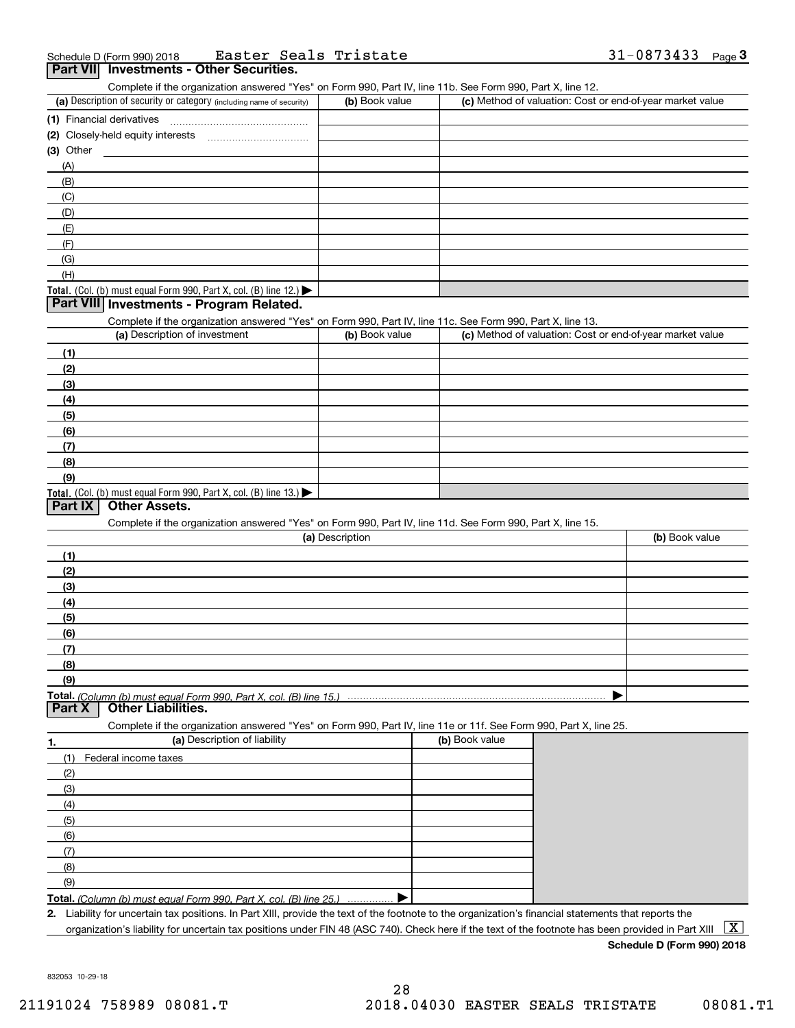|   | Schedule D (Form 990) 2018 |  |  | Easter | Seals | Tristate |  | 0873433<br>$-Uo$ . | Page |
|---|----------------------------|--|--|--------|-------|----------|--|--------------------|------|
| . | .                          |  |  |        |       |          |  |                    |      |

## **Part VII Investments - Other Securities.**

Complete if the organization answered "Yes" on Form 990, Part IV, line 11b. See Form 990, Part X, line 12.

| (a) Description of security or category (including name of security)                          | (b) Book value | (c) Method of valuation: Cost or end-of-year market value |
|-----------------------------------------------------------------------------------------------|----------------|-----------------------------------------------------------|
| (1) Financial derivatives                                                                     |                |                                                           |
| (2) Closely-held equity interests<br>                                                         |                |                                                           |
| $(3)$ Other                                                                                   |                |                                                           |
| (A)                                                                                           |                |                                                           |
| (B)                                                                                           |                |                                                           |
| (C)                                                                                           |                |                                                           |
| (D)                                                                                           |                |                                                           |
| (E)                                                                                           |                |                                                           |
| (F)                                                                                           |                |                                                           |
| (G)                                                                                           |                |                                                           |
| (H)                                                                                           |                |                                                           |
| <b>Total.</b> (Col. (b) must equal Form 990, Part X, col. (B) line 12.) $\blacktriangleright$ |                |                                                           |

#### **Part VIII Investments - Program Related.**

Complete if the organization answered "Yes" on Form 990, Part IV, line 11c. See Form 990, Part X, line 13.

| (a) Description of investment                                       | (b) Book value | (c) Method of valuation: Cost or end-of-year market value |
|---------------------------------------------------------------------|----------------|-----------------------------------------------------------|
| (1)                                                                 |                |                                                           |
| (2)                                                                 |                |                                                           |
| $\frac{1}{2}$                                                       |                |                                                           |
| (4)                                                                 |                |                                                           |
| (5)                                                                 |                |                                                           |
| (6)                                                                 |                |                                                           |
| (7)                                                                 |                |                                                           |
| (8)                                                                 |                |                                                           |
| (9)                                                                 |                |                                                           |
| Total. (Col. (b) must equal Form 990, Part X, col. (B) line $13.$ ) |                |                                                           |

## **Part IX Other Assets.**

Complete if the organization answered "Yes" on Form 990, Part IV, line 11d. See Form 990, Part X, line 15.

| (a) Description | (b) Book value |
|-----------------|----------------|
| (1)             |                |
| (2)             |                |
| $\frac{1}{2}$   |                |
| (4)             |                |
| $\frac{1}{2}$   |                |
| (6)             |                |
| (7)             |                |
| (8)             |                |
| (9)             |                |
|                 |                |

**Part X Other Liabilities.**

Complete if the organization answered "Yes" on Form 990, Part IV, line 11e or 11f. See Form 990, Part X, line 25.

| 1.  | (a) Description of liability                                              | (b) Book value |
|-----|---------------------------------------------------------------------------|----------------|
| (1) | Federal income taxes                                                      |                |
| (2) |                                                                           |                |
| (3) |                                                                           |                |
| (4) |                                                                           |                |
| (5) |                                                                           |                |
| (6) |                                                                           |                |
|     |                                                                           |                |
| (8) |                                                                           |                |
| (9) |                                                                           |                |
|     | <b>Total.</b> (Column (b) must equal Form 990, Part X, col. (B) line 25.) |                |

**Total.**  *(Column (b) must equal Form 990, Part X, col. (B) line 25.)* . . . . . . . . . . . . . . .

**2.**Liability for uncertain tax positions. In Part XIII, provide the text of the footnote to the organization's financial statements that reports the organization's liability for uncertain tax positions under FIN 48 (ASC 740). Check here if the text of the footnote has been provided in Part XIII  $~\boxed{\rm X}$ 

### **Schedule D (Form 990) 2018**

832053 10-29-18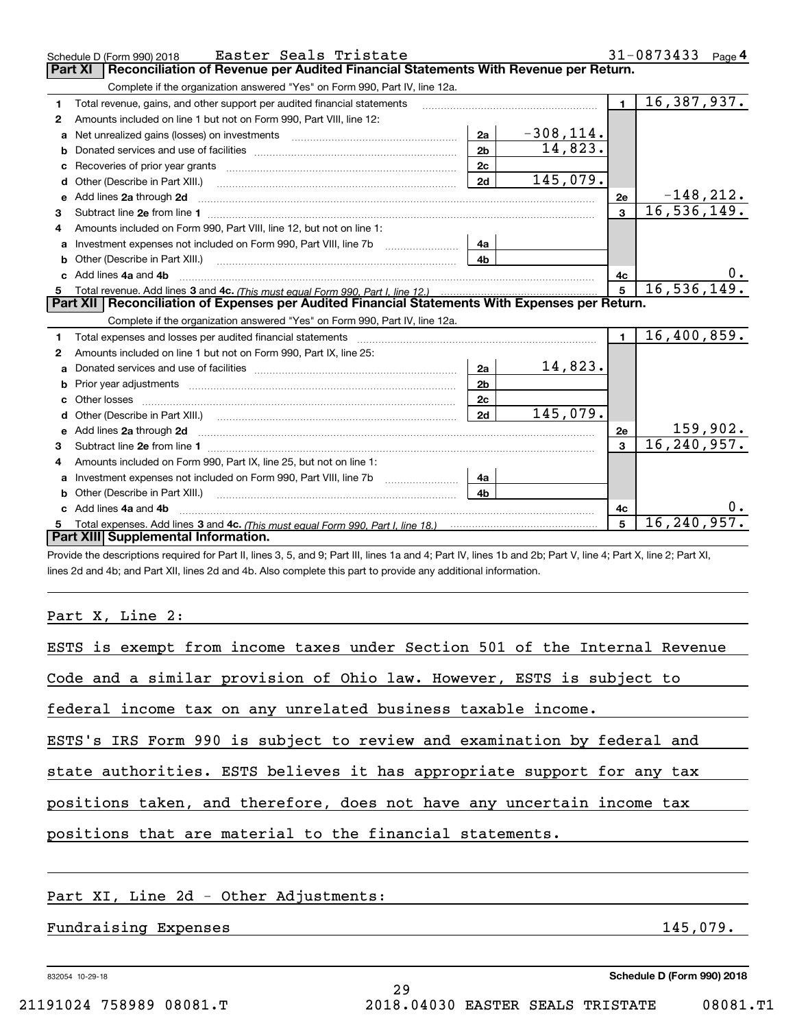|    | Easter Seals Tristate<br>Schedule D (Form 990) 2018                                                                                                                                                                                |                |              |                | 31-0873433<br>Page 4     |
|----|------------------------------------------------------------------------------------------------------------------------------------------------------------------------------------------------------------------------------------|----------------|--------------|----------------|--------------------------|
|    | Reconciliation of Revenue per Audited Financial Statements With Revenue per Return.<br><b>Part XI</b>                                                                                                                              |                |              |                |                          |
|    | Complete if the organization answered "Yes" on Form 990, Part IV, line 12a.                                                                                                                                                        |                |              |                |                          |
| 1  | Total revenue, gains, and other support per audited financial statements                                                                                                                                                           |                |              | $\blacksquare$ | $\overline{16,387,937.}$ |
| 2  | Amounts included on line 1 but not on Form 990, Part VIII, line 12:                                                                                                                                                                |                |              |                |                          |
| a  |                                                                                                                                                                                                                                    | 2a             | $-308, 114.$ |                |                          |
|    |                                                                                                                                                                                                                                    | 2 <sub>b</sub> | 14,823.      |                |                          |
|    |                                                                                                                                                                                                                                    | 2c             |              |                |                          |
| d  |                                                                                                                                                                                                                                    | 2d             | 145,079.     |                |                          |
| е  | Add lines 2a through 2d                                                                                                                                                                                                            |                |              | 2e             | $-148,212.$              |
| 3  |                                                                                                                                                                                                                                    |                |              | $\overline{3}$ | 16, 536, 149.            |
| 4  | Amounts included on Form 990, Part VIII, line 12, but not on line 1:                                                                                                                                                               |                |              |                |                          |
|    | Investment expenses not included on Form 990, Part VIII, line 7b [100] [100] [100] [100] [100] [100] [100] [10                                                                                                                     | 4a             |              |                |                          |
| b  |                                                                                                                                                                                                                                    | 4 <sub>b</sub> |              |                |                          |
| c. | Add lines 4a and 4b                                                                                                                                                                                                                |                |              | 4c             |                          |
|    |                                                                                                                                                                                                                                    |                |              | 5              | 16, 536, 149.            |
|    |                                                                                                                                                                                                                                    |                |              |                |                          |
|    | Part XII   Reconciliation of Expenses per Audited Financial Statements With Expenses per Return.                                                                                                                                   |                |              |                |                          |
|    | Complete if the organization answered "Yes" on Form 990, Part IV, line 12a.                                                                                                                                                        |                |              |                |                          |
| 1  |                                                                                                                                                                                                                                    |                |              | $\blacksquare$ | 16,400,859.              |
| 2  | Amounts included on line 1 but not on Form 990, Part IX, line 25:                                                                                                                                                                  |                |              |                |                          |
| a  |                                                                                                                                                                                                                                    | 2a             | 14,823.      |                |                          |
|    |                                                                                                                                                                                                                                    | 2 <sub>b</sub> |              |                |                          |
|    |                                                                                                                                                                                                                                    | 2 <sub>c</sub> |              |                |                          |
| d  |                                                                                                                                                                                                                                    | 2d             | 145,079.     |                |                          |
|    | Add lines 2a through 2d <b>manufactures</b> in the contract of the contract of the contract of the contract of the contract of the contract of the contract of the contract of the contract of the contract of the contract of the |                |              | 2e             | 159,902.                 |
| 3  |                                                                                                                                                                                                                                    |                |              | $\overline{3}$ | 16, 240, 957.            |
| 4  | Amounts included on Form 990, Part IX, line 25, but not on line 1:                                                                                                                                                                 |                |              |                |                          |
|    | Investment expenses not included on Form 990, Part VIII, line 7b [1000000000000000000000000000000000                                                                                                                               | 4a             |              |                |                          |
| b  | Other (Describe in Part XIII.)                                                                                                                                                                                                     | 4 <sub>b</sub> |              |                |                          |
|    | Add lines 4a and 4b                                                                                                                                                                                                                |                |              | 4c             |                          |
|    | Part XIII Supplemental Information.                                                                                                                                                                                                |                |              | 5              | 16, 240, 957.            |

Provide the descriptions required for Part II, lines 3, 5, and 9; Part III, lines 1a and 4; Part IV, lines 1b and 2b; Part V, line 4; Part X, line 2; Part XI, lines 2d and 4b; and Part XII, lines 2d and 4b. Also complete this part to provide any additional information.

Part X, Line 2:

| ESTS is exempt from income taxes under Section 501 of the Internal Revenue |          |
|----------------------------------------------------------------------------|----------|
| Code and a similar provision of Ohio law. However, ESTS is subject to      |          |
| federal income tax on any unrelated business taxable income.               |          |
| ESTS's IRS Form 990 is subject to review and examination by federal and    |          |
| state authorities. ESTS believes it has appropriate support for any tax    |          |
| positions taken, and therefore, does not have any uncertain income tax     |          |
| positions that are material to the financial statements.                   |          |
|                                                                            |          |
| Part XI, Line 2d - Other Adjustments:                                      |          |
| Fundraising Expenses                                                       | 145,079. |
|                                                                            |          |

29

832054 10-29-18

**Schedule D (Form 990) 2018**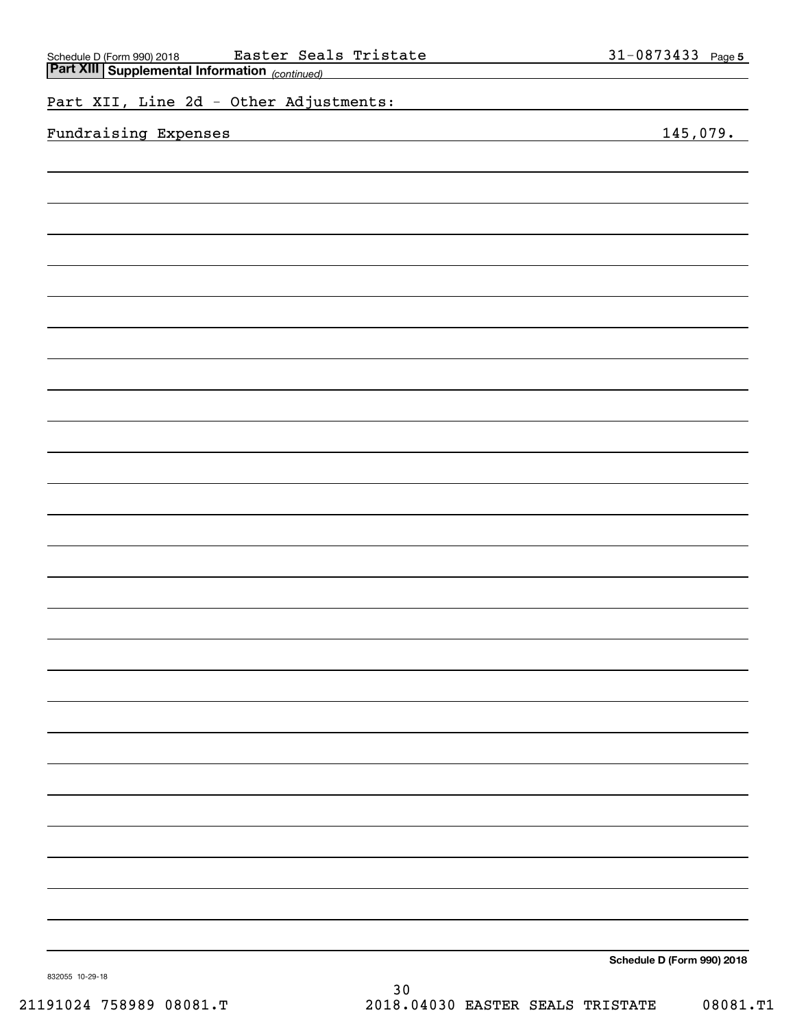| Part XIII Supplemental Information (continued)<br><u>and the company of the company of the company of the company of the company of the company of the company of the company of the company of the company of the company of the company of the company of the company of the com</u> |                            |
|----------------------------------------------------------------------------------------------------------------------------------------------------------------------------------------------------------------------------------------------------------------------------------------|----------------------------|
| Part XII, Line 2d - Other Adjustments:                                                                                                                                                                                                                                                 |                            |
| Fundraising Expenses                                                                                                                                                                                                                                                                   | 145,079.                   |
|                                                                                                                                                                                                                                                                                        |                            |
|                                                                                                                                                                                                                                                                                        |                            |
|                                                                                                                                                                                                                                                                                        |                            |
|                                                                                                                                                                                                                                                                                        |                            |
|                                                                                                                                                                                                                                                                                        |                            |
|                                                                                                                                                                                                                                                                                        |                            |
|                                                                                                                                                                                                                                                                                        |                            |
|                                                                                                                                                                                                                                                                                        |                            |
|                                                                                                                                                                                                                                                                                        |                            |
|                                                                                                                                                                                                                                                                                        |                            |
|                                                                                                                                                                                                                                                                                        |                            |
|                                                                                                                                                                                                                                                                                        |                            |
|                                                                                                                                                                                                                                                                                        |                            |
|                                                                                                                                                                                                                                                                                        |                            |
|                                                                                                                                                                                                                                                                                        |                            |
|                                                                                                                                                                                                                                                                                        |                            |
|                                                                                                                                                                                                                                                                                        |                            |
|                                                                                                                                                                                                                                                                                        |                            |
|                                                                                                                                                                                                                                                                                        |                            |
|                                                                                                                                                                                                                                                                                        |                            |
|                                                                                                                                                                                                                                                                                        |                            |
|                                                                                                                                                                                                                                                                                        |                            |
|                                                                                                                                                                                                                                                                                        |                            |
|                                                                                                                                                                                                                                                                                        |                            |
|                                                                                                                                                                                                                                                                                        |                            |
|                                                                                                                                                                                                                                                                                        |                            |
|                                                                                                                                                                                                                                                                                        |                            |
|                                                                                                                                                                                                                                                                                        |                            |
|                                                                                                                                                                                                                                                                                        |                            |
|                                                                                                                                                                                                                                                                                        |                            |
|                                                                                                                                                                                                                                                                                        | Schedule D (Form 990) 2018 |

Schedule D (Form 990) 2018 **Easter Seals Tristate** 3<code>l-U873433</code> Page

Easter Seals Tristate 31-0873433

**Schedule D (Form 990) 2018**

**5**

832055 10-29-18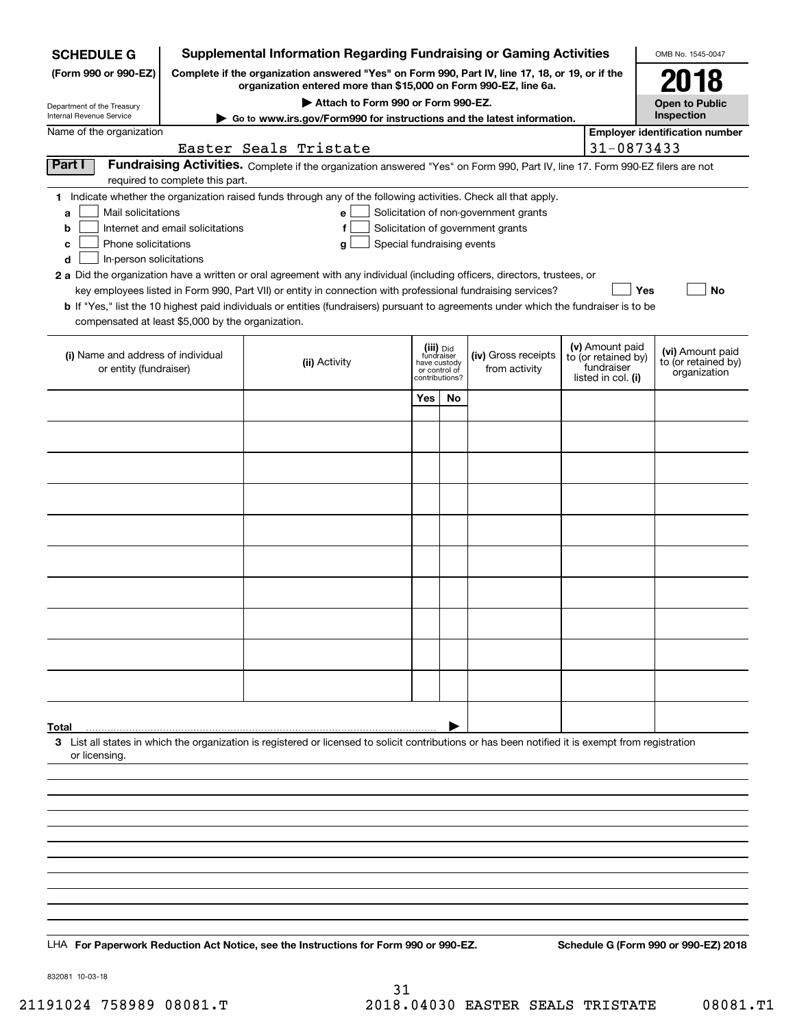| <b>SCHEDULE G</b>                                            |                                                                                                 | <b>Supplemental Information Regarding Fundraising or Gaming Activities</b>                                                                                                                                                                |                               |    |                                                                            |  |                                   | OMB No. 1545-0047                     |
|--------------------------------------------------------------|-------------------------------------------------------------------------------------------------|-------------------------------------------------------------------------------------------------------------------------------------------------------------------------------------------------------------------------------------------|-------------------------------|----|----------------------------------------------------------------------------|--|-----------------------------------|---------------------------------------|
| (Form 990 or 990-EZ)                                         | Complete if the organization answered "Yes" on Form 990, Part IV, line 17, 18, or 19, or if the |                                                                                                                                                                                                                                           | 2018                          |    |                                                                            |  |                                   |                                       |
|                                                              | organization entered more than \$15,000 on Form 990-EZ, line 6a.                                |                                                                                                                                                                                                                                           | <b>Open to Public</b>         |    |                                                                            |  |                                   |                                       |
| Department of the Treasury<br>Internal Revenue Service       |                                                                                                 | Attach to Form 990 or Form 990-EZ.<br>Go to www.irs.gov/Form990 for instructions and the latest information.                                                                                                                              |                               |    |                                                                            |  |                                   | Inspection                            |
| Name of the organization                                     |                                                                                                 |                                                                                                                                                                                                                                           |                               |    |                                                                            |  |                                   | <b>Employer identification number</b> |
| Part I                                                       |                                                                                                 | Easter Seals Tristate<br>Fundraising Activities. Complete if the organization answered "Yes" on Form 990, Part IV, line 17. Form 990-EZ filers are not                                                                                    |                               |    |                                                                            |  | 31-0873433                        |                                       |
|                                                              | required to complete this part.                                                                 |                                                                                                                                                                                                                                           |                               |    |                                                                            |  |                                   |                                       |
|                                                              |                                                                                                 | 1 Indicate whether the organization raised funds through any of the following activities. Check all that apply.                                                                                                                           |                               |    |                                                                            |  |                                   |                                       |
| Mail solicitations<br>a<br>b                                 | Internet and email solicitations                                                                | e l<br>f                                                                                                                                                                                                                                  |                               |    | Solicitation of non-government grants<br>Solicitation of government grants |  |                                   |                                       |
| Phone solicitations<br>с                                     |                                                                                                 | Special fundraising events<br>g                                                                                                                                                                                                           |                               |    |                                                                            |  |                                   |                                       |
| d<br>In-person solicitations                                 |                                                                                                 |                                                                                                                                                                                                                                           |                               |    |                                                                            |  |                                   |                                       |
|                                                              |                                                                                                 | 2 a Did the organization have a written or oral agreement with any individual (including officers, directors, trustees, or<br>key employees listed in Form 990, Part VII) or entity in connection with professional fundraising services? |                               |    |                                                                            |  | <b>Yes</b>                        | No                                    |
|                                                              |                                                                                                 | <b>b</b> If "Yes," list the 10 highest paid individuals or entities (fundraisers) pursuant to agreements under which the fundraiser is to be                                                                                              |                               |    |                                                                            |  |                                   |                                       |
| compensated at least \$5,000 by the organization.            |                                                                                                 |                                                                                                                                                                                                                                           |                               |    |                                                                            |  |                                   |                                       |
|                                                              |                                                                                                 |                                                                                                                                                                                                                                           | (iii) Did<br>fundraiser       |    |                                                                            |  | (v) Amount paid                   | (vi) Amount paid                      |
| (i) Name and address of individual<br>or entity (fundraiser) |                                                                                                 | (ii) Activity                                                                                                                                                                                                                             | have custody<br>or control of |    | (iv) Gross receipts<br>from activity                                       |  | to (or retained by)<br>fundraiser | to (or retained by)<br>organization   |
|                                                              |                                                                                                 |                                                                                                                                                                                                                                           | contributions?                |    |                                                                            |  | listed in col. (i)                |                                       |
|                                                              |                                                                                                 |                                                                                                                                                                                                                                           | Yes                           | No |                                                                            |  |                                   |                                       |
|                                                              |                                                                                                 |                                                                                                                                                                                                                                           |                               |    |                                                                            |  |                                   |                                       |
|                                                              |                                                                                                 |                                                                                                                                                                                                                                           |                               |    |                                                                            |  |                                   |                                       |
|                                                              |                                                                                                 |                                                                                                                                                                                                                                           |                               |    |                                                                            |  |                                   |                                       |
|                                                              |                                                                                                 |                                                                                                                                                                                                                                           |                               |    |                                                                            |  |                                   |                                       |
|                                                              |                                                                                                 |                                                                                                                                                                                                                                           |                               |    |                                                                            |  |                                   |                                       |
|                                                              |                                                                                                 |                                                                                                                                                                                                                                           |                               |    |                                                                            |  |                                   |                                       |
|                                                              |                                                                                                 |                                                                                                                                                                                                                                           |                               |    |                                                                            |  |                                   |                                       |
|                                                              |                                                                                                 |                                                                                                                                                                                                                                           |                               |    |                                                                            |  |                                   |                                       |
|                                                              |                                                                                                 |                                                                                                                                                                                                                                           |                               |    |                                                                            |  |                                   |                                       |
|                                                              |                                                                                                 |                                                                                                                                                                                                                                           |                               |    |                                                                            |  |                                   |                                       |
|                                                              |                                                                                                 |                                                                                                                                                                                                                                           |                               |    |                                                                            |  |                                   |                                       |
|                                                              |                                                                                                 |                                                                                                                                                                                                                                           |                               |    |                                                                            |  |                                   |                                       |
|                                                              |                                                                                                 |                                                                                                                                                                                                                                           |                               |    |                                                                            |  |                                   |                                       |
|                                                              |                                                                                                 |                                                                                                                                                                                                                                           |                               |    |                                                                            |  |                                   |                                       |
|                                                              |                                                                                                 |                                                                                                                                                                                                                                           |                               |    |                                                                            |  |                                   |                                       |
| Total                                                        |                                                                                                 | 3 List all states in which the organization is registered or licensed to solicit contributions or has been notified it is exempt from registration                                                                                        |                               |    |                                                                            |  |                                   |                                       |
| or licensing.                                                |                                                                                                 |                                                                                                                                                                                                                                           |                               |    |                                                                            |  |                                   |                                       |
|                                                              |                                                                                                 |                                                                                                                                                                                                                                           |                               |    |                                                                            |  |                                   |                                       |
|                                                              |                                                                                                 |                                                                                                                                                                                                                                           |                               |    |                                                                            |  |                                   |                                       |
|                                                              |                                                                                                 |                                                                                                                                                                                                                                           |                               |    |                                                                            |  |                                   |                                       |
|                                                              |                                                                                                 |                                                                                                                                                                                                                                           |                               |    |                                                                            |  |                                   |                                       |
|                                                              |                                                                                                 |                                                                                                                                                                                                                                           |                               |    |                                                                            |  |                                   |                                       |
|                                                              |                                                                                                 |                                                                                                                                                                                                                                           |                               |    |                                                                            |  |                                   |                                       |
|                                                              |                                                                                                 |                                                                                                                                                                                                                                           |                               |    |                                                                            |  |                                   |                                       |
|                                                              |                                                                                                 |                                                                                                                                                                                                                                           |                               |    |                                                                            |  |                                   |                                       |
|                                                              |                                                                                                 | LHA For Paperwork Reduction Act Notice, see the Instructions for Form 990 or 990-EZ.                                                                                                                                                      |                               |    |                                                                            |  |                                   | Schedule G (Form 990 or 990-EZ) 2018  |
|                                                              |                                                                                                 |                                                                                                                                                                                                                                           |                               |    |                                                                            |  |                                   |                                       |

832081 10-03-18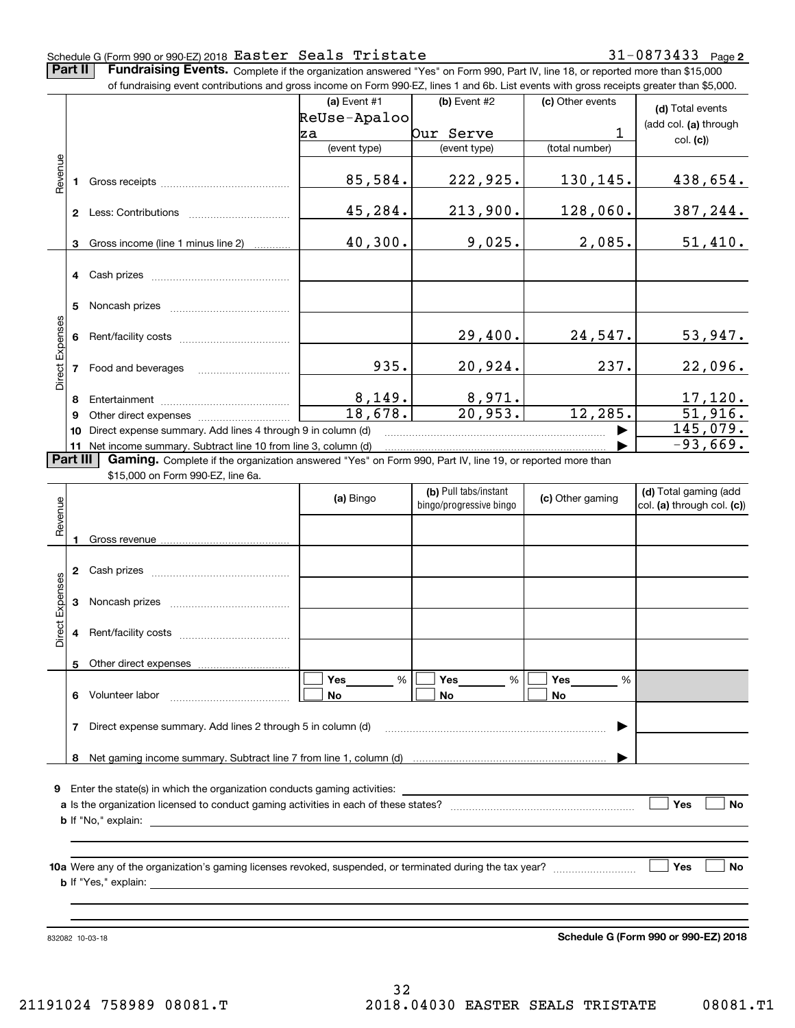## Schedule G (Form 990 or 990-EZ) 2018  ${\tt Easter}$   ${\tt Seals}$   ${\tt Tristate}$   ${\tt 31-0873433}$   ${\tt Page}$

**2**

**Part II** | Fundraising Events. Complete if the organization answered "Yes" on Form 990, Part IV, line 18, or reported more than \$15,000

|                 |    | of fundraising event contributions and gross income on Form 990-EZ, lines 1 and 6b. List events with gross receipts greater than \$5,000.           |                          |                          |                  |                            |
|-----------------|----|-----------------------------------------------------------------------------------------------------------------------------------------------------|--------------------------|--------------------------|------------------|----------------------------|
|                 |    |                                                                                                                                                     | (a) Event #1             | (b) Event #2             | (c) Other events | (d) Total events           |
|                 |    |                                                                                                                                                     | ReUse-Apaloo             |                          |                  | (add col. (a) through      |
|                 |    |                                                                                                                                                     | lza                      | Our Serve                | 1                | col. (c)                   |
|                 |    |                                                                                                                                                     | (event type)             | (event type)             | (total number)   |                            |
| Revenue         |    |                                                                                                                                                     | 85,584.                  | 222,925.                 | 130,145.         | 438,654.                   |
|                 |    |                                                                                                                                                     | 45,284.                  | 213,900.                 | 128,060.         | 387, 244.                  |
|                 | 3  | Gross income (line 1 minus line 2)                                                                                                                  | 40,300.                  | 9,025.                   | 2,085.           | 51,410.                    |
|                 |    |                                                                                                                                                     |                          |                          |                  |                            |
|                 | 5  |                                                                                                                                                     |                          |                          |                  |                            |
|                 |    |                                                                                                                                                     |                          | 29,400.                  | 24,547.          | 53,947.                    |
| Direct Expenses |    | 7 Food and beverages                                                                                                                                | 935.                     | 20,924.                  | 237.             | 22,096.                    |
|                 | 8  |                                                                                                                                                     |                          |                          |                  |                            |
|                 | 9  |                                                                                                                                                     | $\frac{8,149.}{18,678.}$ | $\frac{8,971}{20,953}$ . | 12, 285.         | $\frac{17,120}{51,916}$ .  |
|                 | 10 | Direct expense summary. Add lines 4 through 9 in column (d)                                                                                         |                          |                          |                  | 145,079.                   |
|                 |    | 11 Net income summary. Subtract line 10 from line 3, column (d)                                                                                     |                          |                          |                  | $-93,669.$                 |
| <b>Part III</b> |    | Gaming. Complete if the organization answered "Yes" on Form 990, Part IV, line 19, or reported more than                                            |                          |                          |                  |                            |
|                 |    | \$15,000 on Form 990-EZ, line 6a.                                                                                                                   |                          |                          |                  |                            |
|                 |    |                                                                                                                                                     | (a) Bingo                | (b) Pull tabs/instant    | (c) Other gaming | (d) Total gaming (add      |
| Revenue         |    |                                                                                                                                                     |                          | bingo/progressive bingo  |                  | col. (a) through col. (c)) |
|                 |    |                                                                                                                                                     |                          |                          |                  |                            |
|                 |    |                                                                                                                                                     |                          |                          |                  |                            |
|                 |    |                                                                                                                                                     |                          |                          |                  |                            |
| Expenses        |    |                                                                                                                                                     |                          |                          |                  |                            |
| Direct          |    |                                                                                                                                                     |                          |                          |                  |                            |
|                 |    | Other direct expenses                                                                                                                               |                          |                          |                  |                            |
|                 |    | 6 Volunteer labor                                                                                                                                   | %<br>Yes<br>No           | Yes<br>%<br>No           | Yes<br>%<br>No   |                            |
|                 |    | 7 Direct expense summary. Add lines 2 through 5 in column (d)                                                                                       |                          |                          |                  |                            |
|                 |    |                                                                                                                                                     |                          |                          |                  |                            |
|                 |    |                                                                                                                                                     |                          |                          |                  |                            |
|                 |    | <b>9</b> Enter the state(s) in which the organization conducts gaming activities:                                                                   |                          |                          |                  |                            |
|                 |    |                                                                                                                                                     |                          |                          |                  | Yes<br>No                  |
|                 |    | <b>b</b> If "No," explain:<br><u> 1980 - Johann Stoff, deutscher Stoff, der Stoff, der Stoff, der Stoff, der Stoff, der Stoff, der Stoff, der S</u> |                          |                          |                  |                            |
|                 |    |                                                                                                                                                     |                          |                          |                  |                            |
|                 |    |                                                                                                                                                     |                          |                          |                  | Yes<br>No                  |
|                 |    |                                                                                                                                                     |                          |                          |                  |                            |

832082 10-03-18

**Schedule G (Form 990 or 990-EZ) 2018**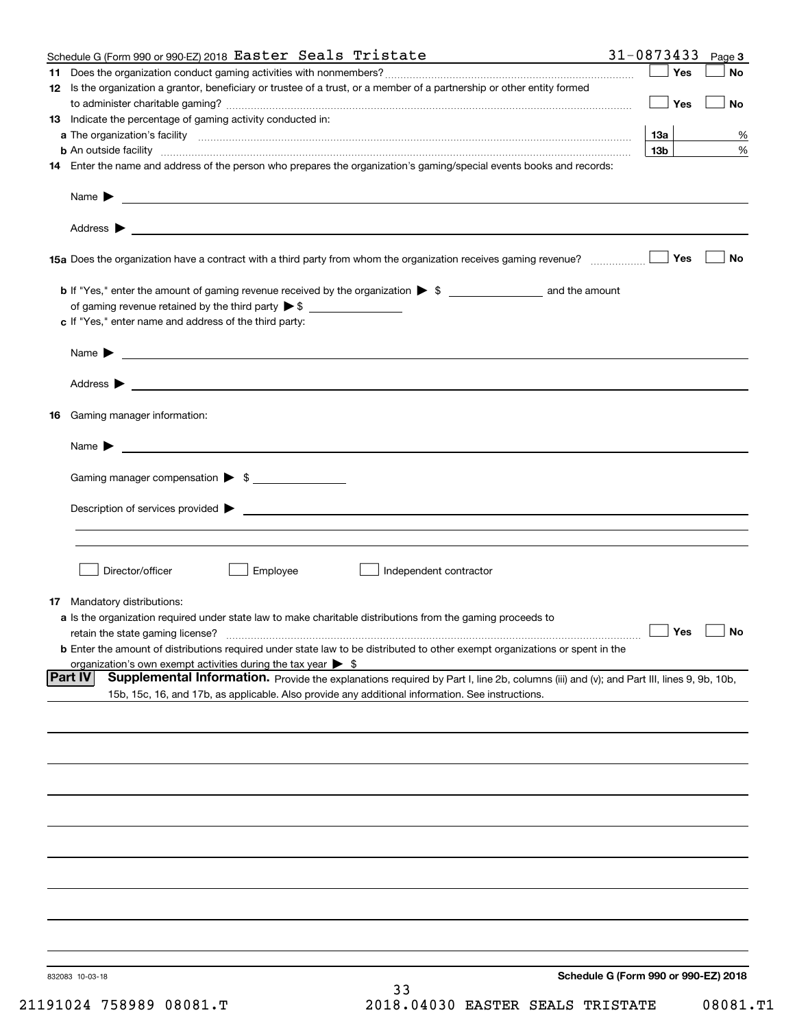|    | Schedule G (Form 990 or 990-EZ) 2018 Easter Seals Tristate                                                                                                                                                                                            | 31-0873433                           | Page 3    |
|----|-------------------------------------------------------------------------------------------------------------------------------------------------------------------------------------------------------------------------------------------------------|--------------------------------------|-----------|
| 11 |                                                                                                                                                                                                                                                       | Yes                                  | No        |
|    | 12 Is the organization a grantor, beneficiary or trustee of a trust, or a member of a partnership or other entity formed                                                                                                                              | Yes                                  | No        |
|    | 13 Indicate the percentage of gaming activity conducted in:                                                                                                                                                                                           |                                      |           |
|    |                                                                                                                                                                                                                                                       | 1За                                  | %         |
|    | <b>b</b> An outside facility <b>contained an according to the contract of the contract of the contract of the contract of the contract of the contract of the contract of the contract of the contract of the contract of the contrac</b>             | 13 <sub>b</sub>                      | %         |
|    | 14 Enter the name and address of the person who prepares the organization's gaming/special events books and records:                                                                                                                                  |                                      |           |
|    |                                                                                                                                                                                                                                                       |                                      |           |
|    |                                                                                                                                                                                                                                                       |                                      |           |
|    |                                                                                                                                                                                                                                                       | Yes                                  | No        |
|    |                                                                                                                                                                                                                                                       |                                      |           |
|    | of gaming revenue retained by the third party $\triangleright$ \$                                                                                                                                                                                     |                                      |           |
|    | c If "Yes," enter name and address of the third party:                                                                                                                                                                                                |                                      |           |
|    | $Name \rightarrow$                                                                                                                                                                                                                                    |                                      |           |
|    |                                                                                                                                                                                                                                                       |                                      |           |
|    | 16 Gaming manager information:                                                                                                                                                                                                                        |                                      |           |
|    | $Name \rightarrow$                                                                                                                                                                                                                                    |                                      |           |
|    | Gaming manager compensation > \$                                                                                                                                                                                                                      |                                      |           |
|    |                                                                                                                                                                                                                                                       |                                      |           |
|    |                                                                                                                                                                                                                                                       |                                      |           |
|    |                                                                                                                                                                                                                                                       |                                      |           |
|    | Employee<br>Director/officer<br>Independent contractor                                                                                                                                                                                                |                                      |           |
|    |                                                                                                                                                                                                                                                       |                                      |           |
|    | 17 Mandatory distributions:<br>a Is the organization required under state law to make charitable distributions from the gaming proceeds to                                                                                                            |                                      |           |
|    | retain the state gaming license?                                                                                                                                                                                                                      | $\Box$ Yes                           | $\Box$ No |
|    | <b>b</b> Enter the amount of distributions required under state law to be distributed to other exempt organizations or spent in the                                                                                                                   |                                      |           |
|    | organization's own exempt activities during the tax year $\triangleright$ \$                                                                                                                                                                          |                                      |           |
|    | Part IV<br>Supplemental Information. Provide the explanations required by Part I, line 2b, columns (iii) and (v); and Part III, lines 9, 9b, 10b,<br>15b, 15c, 16, and 17b, as applicable. Also provide any additional information. See instructions. |                                      |           |
|    |                                                                                                                                                                                                                                                       |                                      |           |
|    |                                                                                                                                                                                                                                                       |                                      |           |
|    |                                                                                                                                                                                                                                                       |                                      |           |
|    |                                                                                                                                                                                                                                                       |                                      |           |
|    |                                                                                                                                                                                                                                                       |                                      |           |
|    |                                                                                                                                                                                                                                                       |                                      |           |
|    |                                                                                                                                                                                                                                                       |                                      |           |
|    |                                                                                                                                                                                                                                                       |                                      |           |
|    |                                                                                                                                                                                                                                                       |                                      |           |
|    |                                                                                                                                                                                                                                                       |                                      |           |
|    | 832083 10-03-18<br>33                                                                                                                                                                                                                                 | Schedule G (Form 990 or 990-EZ) 2018 |           |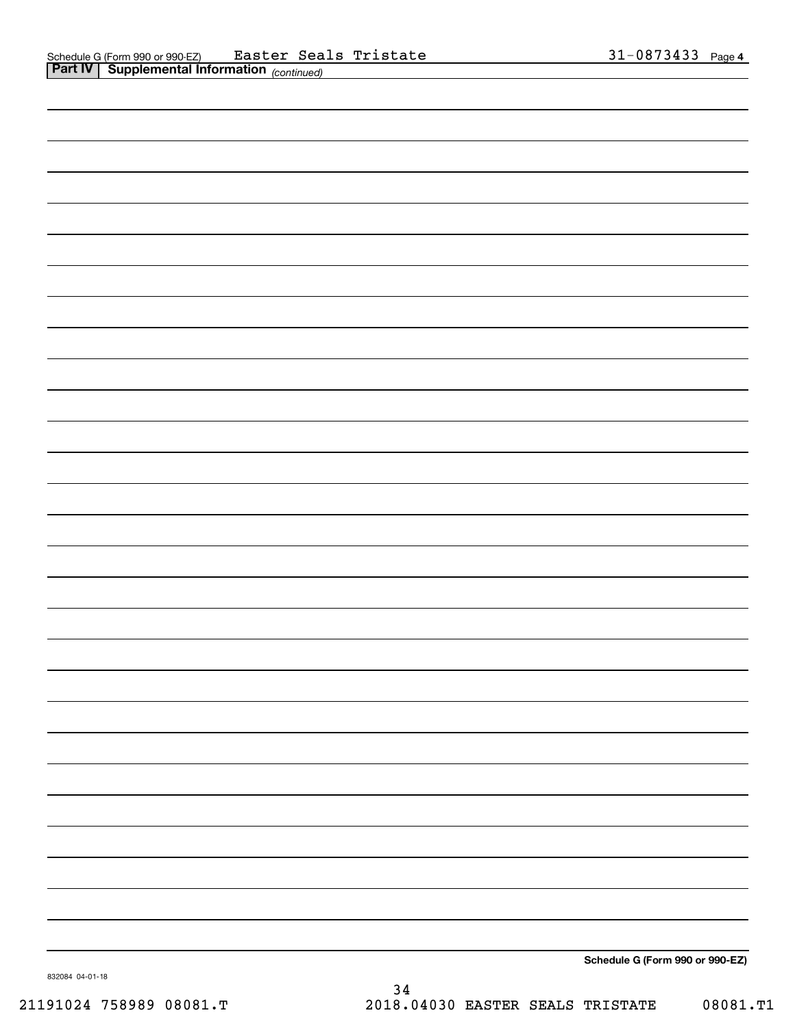| Schedule G (Form 990 or 990-EZ) |
|---------------------------------|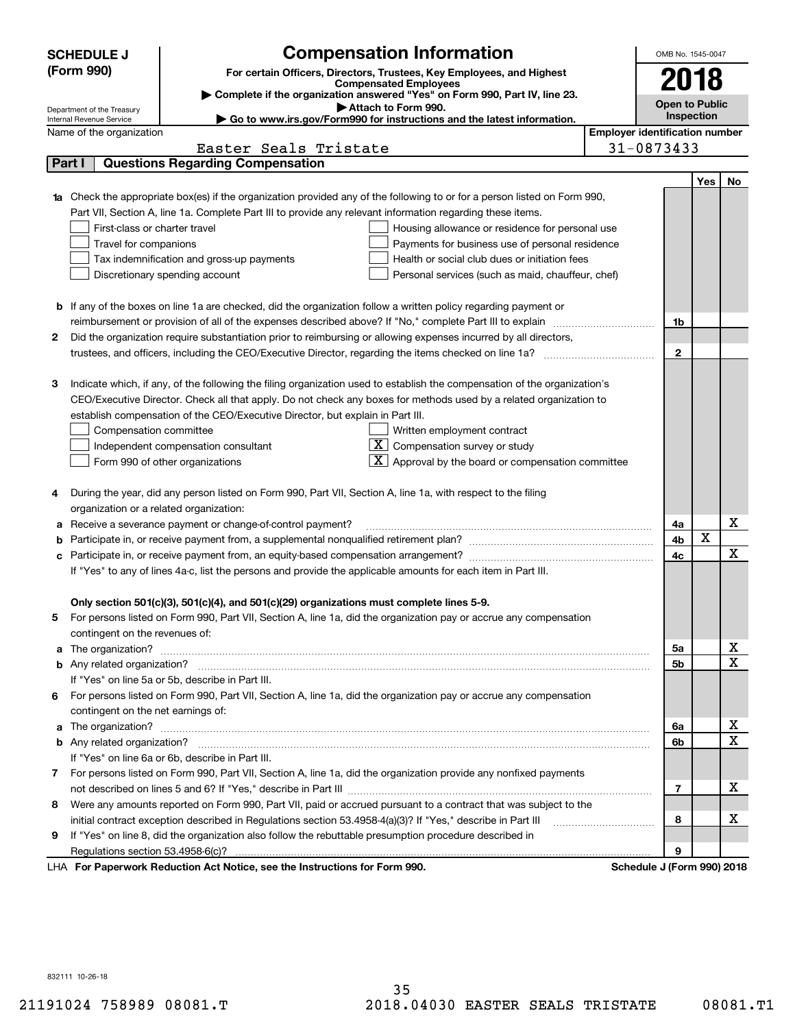|   | <b>SCHEDULE J</b>                                                          | <b>Compensation Information</b>                                                                                           |  | OMB No. 1545-0047                     |     |    |
|---|----------------------------------------------------------------------------|---------------------------------------------------------------------------------------------------------------------------|--|---------------------------------------|-----|----|
|   | (Form 990)                                                                 | For certain Officers, Directors, Trustees, Key Employees, and Highest                                                     |  |                                       |     |    |
|   |                                                                            | <b>Compensated Employees</b>                                                                                              |  | 2018                                  |     |    |
|   | Complete if the organization answered "Yes" on Form 990, Part IV, line 23. |                                                                                                                           |  |                                       |     |    |
|   | Department of the Treasury<br>Internal Revenue Service                     | Attach to Form 990.<br>► Go to www.irs.gov/Form990 for instructions and the latest information.                           |  | <b>Open to Public</b><br>Inspection   |     |    |
|   | Name of the organization                                                   |                                                                                                                           |  | <b>Employer identification number</b> |     |    |
|   |                                                                            | Easter Seals Tristate                                                                                                     |  | 31-0873433                            |     |    |
|   | Part I                                                                     | <b>Questions Regarding Compensation</b>                                                                                   |  |                                       |     |    |
|   |                                                                            |                                                                                                                           |  |                                       | Yes | No |
|   |                                                                            | Check the appropriate box(es) if the organization provided any of the following to or for a person listed on Form 990,    |  |                                       |     |    |
|   |                                                                            | Part VII, Section A, line 1a. Complete Part III to provide any relevant information regarding these items.                |  |                                       |     |    |
|   | First-class or charter travel                                              | Housing allowance or residence for personal use                                                                           |  |                                       |     |    |
|   | Travel for companions                                                      | Payments for business use of personal residence                                                                           |  |                                       |     |    |
|   |                                                                            | Tax indemnification and gross-up payments<br>Health or social club dues or initiation fees                                |  |                                       |     |    |
|   |                                                                            | Discretionary spending account<br>Personal services (such as maid, chauffeur, chef)                                       |  |                                       |     |    |
|   |                                                                            |                                                                                                                           |  |                                       |     |    |
|   |                                                                            | <b>b</b> If any of the boxes on line 1a are checked, did the organization follow a written policy regarding payment or    |  |                                       |     |    |
|   |                                                                            | reimbursement or provision of all of the expenses described above? If "No," complete Part III to explain                  |  | 1b                                    |     |    |
| 2 |                                                                            | Did the organization require substantiation prior to reimbursing or allowing expenses incurred by all directors,          |  |                                       |     |    |
|   |                                                                            |                                                                                                                           |  | $\mathbf{2}$                          |     |    |
|   |                                                                            |                                                                                                                           |  |                                       |     |    |
| з |                                                                            | Indicate which, if any, of the following the filing organization used to establish the compensation of the organization's |  |                                       |     |    |
|   |                                                                            | CEO/Executive Director. Check all that apply. Do not check any boxes for methods used by a related organization to        |  |                                       |     |    |
|   |                                                                            | establish compensation of the CEO/Executive Director, but explain in Part III.                                            |  |                                       |     |    |
|   | Compensation committee                                                     | Written employment contract                                                                                               |  |                                       |     |    |
|   |                                                                            | $X$ Compensation survey or study<br>Independent compensation consultant                                                   |  |                                       |     |    |
|   |                                                                            | $\boxed{\textbf{X}}$ Approval by the board or compensation committee<br>Form 990 of other organizations                   |  |                                       |     |    |
|   |                                                                            |                                                                                                                           |  |                                       |     |    |
| 4 |                                                                            | During the year, did any person listed on Form 990, Part VII, Section A, line 1a, with respect to the filing              |  |                                       |     |    |
|   | organization or a related organization:                                    |                                                                                                                           |  |                                       |     |    |
| а |                                                                            | Receive a severance payment or change-of-control payment?                                                                 |  | 4a                                    |     | x  |
| b |                                                                            |                                                                                                                           |  | 4b                                    | X   |    |
| с |                                                                            |                                                                                                                           |  | 4c                                    |     | x  |
|   |                                                                            | If "Yes" to any of lines 4a-c, list the persons and provide the applicable amounts for each item in Part III.             |  |                                       |     |    |
|   |                                                                            |                                                                                                                           |  |                                       |     |    |
|   |                                                                            | Only section 501(c)(3), 501(c)(4), and 501(c)(29) organizations must complete lines 5-9.                                  |  |                                       |     |    |
| 5 |                                                                            | For persons listed on Form 990, Part VII, Section A, line 1a, did the organization pay or accrue any compensation         |  |                                       |     |    |
|   | contingent on the revenues of:                                             |                                                                                                                           |  |                                       |     |    |
| a |                                                                            |                                                                                                                           |  | 5a                                    |     | x  |
|   |                                                                            |                                                                                                                           |  | 5b                                    |     | Χ  |
|   |                                                                            | If "Yes" on line 5a or 5b, describe in Part III.                                                                          |  |                                       |     |    |
|   |                                                                            | 6 For persons listed on Form 990, Part VII, Section A, line 1a, did the organization pay or accrue any compensation       |  |                                       |     |    |
|   | contingent on the net earnings of:                                         |                                                                                                                           |  |                                       |     |    |
| a |                                                                            |                                                                                                                           |  | 6a                                    |     | x  |
|   |                                                                            |                                                                                                                           |  | 6b                                    |     | Χ  |
|   |                                                                            | If "Yes" on line 6a or 6b, describe in Part III.                                                                          |  |                                       |     |    |
|   |                                                                            | 7 For persons listed on Form 990, Part VII, Section A, line 1a, did the organization provide any nonfixed payments        |  |                                       |     |    |
|   |                                                                            |                                                                                                                           |  | 7                                     |     | х  |
| 8 |                                                                            | Were any amounts reported on Form 990, Part VII, paid or accrued pursuant to a contract that was subject to the           |  |                                       |     |    |
|   |                                                                            | initial contract exception described in Regulations section 53.4958-4(a)(3)? If "Yes," describe in Part III               |  | 8                                     |     | х  |
| 9 |                                                                            | If "Yes" on line 8, did the organization also follow the rebuttable presumption procedure described in                    |  |                                       |     |    |
|   |                                                                            |                                                                                                                           |  | 9                                     |     |    |
|   |                                                                            | LHA For Paperwork Reduction Act Notice, see the Instructions for Form 990.                                                |  | Schedule J (Form 990) 2018            |     |    |

832111 10-26-18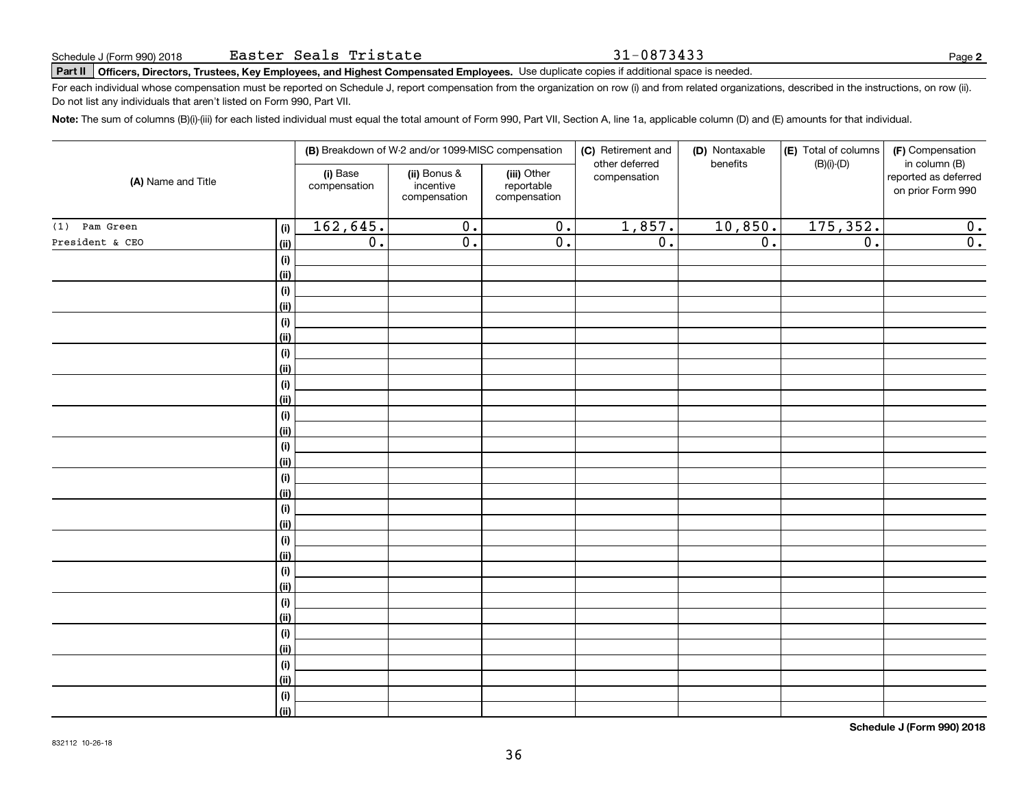31-0873433

# **Part II Officers, Directors, Trustees, Key Employees, and Highest Compensated Employees.**  Schedule J (Form 990) 2018 Page Use duplicate copies if additional space is needed.

For each individual whose compensation must be reported on Schedule J, report compensation from the organization on row (i) and from related organizations, described in the instructions, on row (ii). Do not list any individuals that aren't listed on Form 990, Part VII.

**Note:**  The sum of columns (B)(i)-(iii) for each listed individual must equal the total amount of Form 990, Part VII, Section A, line 1a, applicable column (D) and (E) amounts for that individual.

| (D) Nontaxable<br>(E) Total of columns<br>(B) Breakdown of W-2 and/or 1099-MISC compensation<br>(C) Retirement and<br>(F) Compensation<br>other deferred<br>benefits<br>$(B)(i)-(D)$<br>in column (B)<br>(i) Base<br>(ii) Bonus &<br>(iii) Other<br>compensation<br>reported as deferred<br>(A) Name and Title<br>compensation<br>incentive<br>reportable<br>on prior Form 990<br>compensation<br>compensation<br>162,645.<br>175, 352.<br>1,857.<br>10,850.<br>$\overline{0}$ .<br>$\overline{0}$ .<br>0.<br>Pam Green<br>(i)<br>$\overline{0}$ .<br>$\overline{0}$ .<br>$\overline{0}$ .<br>$\overline{0}$ .<br>$\overline{0}$ .<br>$\overline{0}$ .<br>(ii)<br>(i)<br>(ii)<br>$(\sf{i})$<br><u>(ii)</u><br>$(\sf{i})$<br>(ii)<br>$(\sf{i})$<br>(ii)<br>(i)<br>(ii)<br>(i)<br><u>(ii)</u><br>(i)<br><u>(ii)</u><br>(i)<br><u>(ii)</u><br>(i)<br><u>(ii)</u><br>(i)<br><u>(ii)</u><br>$(\sf{i})$<br><u>(ii)</u><br>(i)<br><u>(ii)</u><br>(i)<br><u>(ii)</u><br>(i)<br><u>(ii)</u><br>(i)<br>  (ii) |                 |  |  |  |  |  |                  |
|-----------------------------------------------------------------------------------------------------------------------------------------------------------------------------------------------------------------------------------------------------------------------------------------------------------------------------------------------------------------------------------------------------------------------------------------------------------------------------------------------------------------------------------------------------------------------------------------------------------------------------------------------------------------------------------------------------------------------------------------------------------------------------------------------------------------------------------------------------------------------------------------------------------------------------------------------------------------------------------------------------|-----------------|--|--|--|--|--|------------------|
|                                                                                                                                                                                                                                                                                                                                                                                                                                                                                                                                                                                                                                                                                                                                                                                                                                                                                                                                                                                                     |                 |  |  |  |  |  |                  |
|                                                                                                                                                                                                                                                                                                                                                                                                                                                                                                                                                                                                                                                                                                                                                                                                                                                                                                                                                                                                     |                 |  |  |  |  |  |                  |
|                                                                                                                                                                                                                                                                                                                                                                                                                                                                                                                                                                                                                                                                                                                                                                                                                                                                                                                                                                                                     | (1)             |  |  |  |  |  |                  |
|                                                                                                                                                                                                                                                                                                                                                                                                                                                                                                                                                                                                                                                                                                                                                                                                                                                                                                                                                                                                     | President & CEO |  |  |  |  |  | $\overline{0}$ . |
|                                                                                                                                                                                                                                                                                                                                                                                                                                                                                                                                                                                                                                                                                                                                                                                                                                                                                                                                                                                                     |                 |  |  |  |  |  |                  |
|                                                                                                                                                                                                                                                                                                                                                                                                                                                                                                                                                                                                                                                                                                                                                                                                                                                                                                                                                                                                     |                 |  |  |  |  |  |                  |
|                                                                                                                                                                                                                                                                                                                                                                                                                                                                                                                                                                                                                                                                                                                                                                                                                                                                                                                                                                                                     |                 |  |  |  |  |  |                  |
|                                                                                                                                                                                                                                                                                                                                                                                                                                                                                                                                                                                                                                                                                                                                                                                                                                                                                                                                                                                                     |                 |  |  |  |  |  |                  |
|                                                                                                                                                                                                                                                                                                                                                                                                                                                                                                                                                                                                                                                                                                                                                                                                                                                                                                                                                                                                     |                 |  |  |  |  |  |                  |
|                                                                                                                                                                                                                                                                                                                                                                                                                                                                                                                                                                                                                                                                                                                                                                                                                                                                                                                                                                                                     |                 |  |  |  |  |  |                  |
|                                                                                                                                                                                                                                                                                                                                                                                                                                                                                                                                                                                                                                                                                                                                                                                                                                                                                                                                                                                                     |                 |  |  |  |  |  |                  |
|                                                                                                                                                                                                                                                                                                                                                                                                                                                                                                                                                                                                                                                                                                                                                                                                                                                                                                                                                                                                     |                 |  |  |  |  |  |                  |
|                                                                                                                                                                                                                                                                                                                                                                                                                                                                                                                                                                                                                                                                                                                                                                                                                                                                                                                                                                                                     |                 |  |  |  |  |  |                  |
|                                                                                                                                                                                                                                                                                                                                                                                                                                                                                                                                                                                                                                                                                                                                                                                                                                                                                                                                                                                                     |                 |  |  |  |  |  |                  |
|                                                                                                                                                                                                                                                                                                                                                                                                                                                                                                                                                                                                                                                                                                                                                                                                                                                                                                                                                                                                     |                 |  |  |  |  |  |                  |
|                                                                                                                                                                                                                                                                                                                                                                                                                                                                                                                                                                                                                                                                                                                                                                                                                                                                                                                                                                                                     |                 |  |  |  |  |  |                  |
|                                                                                                                                                                                                                                                                                                                                                                                                                                                                                                                                                                                                                                                                                                                                                                                                                                                                                                                                                                                                     |                 |  |  |  |  |  |                  |
|                                                                                                                                                                                                                                                                                                                                                                                                                                                                                                                                                                                                                                                                                                                                                                                                                                                                                                                                                                                                     |                 |  |  |  |  |  |                  |
|                                                                                                                                                                                                                                                                                                                                                                                                                                                                                                                                                                                                                                                                                                                                                                                                                                                                                                                                                                                                     |                 |  |  |  |  |  |                  |
|                                                                                                                                                                                                                                                                                                                                                                                                                                                                                                                                                                                                                                                                                                                                                                                                                                                                                                                                                                                                     |                 |  |  |  |  |  |                  |
|                                                                                                                                                                                                                                                                                                                                                                                                                                                                                                                                                                                                                                                                                                                                                                                                                                                                                                                                                                                                     |                 |  |  |  |  |  |                  |
|                                                                                                                                                                                                                                                                                                                                                                                                                                                                                                                                                                                                                                                                                                                                                                                                                                                                                                                                                                                                     |                 |  |  |  |  |  |                  |
|                                                                                                                                                                                                                                                                                                                                                                                                                                                                                                                                                                                                                                                                                                                                                                                                                                                                                                                                                                                                     |                 |  |  |  |  |  |                  |
|                                                                                                                                                                                                                                                                                                                                                                                                                                                                                                                                                                                                                                                                                                                                                                                                                                                                                                                                                                                                     |                 |  |  |  |  |  |                  |
|                                                                                                                                                                                                                                                                                                                                                                                                                                                                                                                                                                                                                                                                                                                                                                                                                                                                                                                                                                                                     |                 |  |  |  |  |  |                  |
|                                                                                                                                                                                                                                                                                                                                                                                                                                                                                                                                                                                                                                                                                                                                                                                                                                                                                                                                                                                                     |                 |  |  |  |  |  |                  |
|                                                                                                                                                                                                                                                                                                                                                                                                                                                                                                                                                                                                                                                                                                                                                                                                                                                                                                                                                                                                     |                 |  |  |  |  |  |                  |
|                                                                                                                                                                                                                                                                                                                                                                                                                                                                                                                                                                                                                                                                                                                                                                                                                                                                                                                                                                                                     |                 |  |  |  |  |  |                  |
|                                                                                                                                                                                                                                                                                                                                                                                                                                                                                                                                                                                                                                                                                                                                                                                                                                                                                                                                                                                                     |                 |  |  |  |  |  |                  |
|                                                                                                                                                                                                                                                                                                                                                                                                                                                                                                                                                                                                                                                                                                                                                                                                                                                                                                                                                                                                     |                 |  |  |  |  |  |                  |
|                                                                                                                                                                                                                                                                                                                                                                                                                                                                                                                                                                                                                                                                                                                                                                                                                                                                                                                                                                                                     |                 |  |  |  |  |  |                  |
|                                                                                                                                                                                                                                                                                                                                                                                                                                                                                                                                                                                                                                                                                                                                                                                                                                                                                                                                                                                                     |                 |  |  |  |  |  |                  |
|                                                                                                                                                                                                                                                                                                                                                                                                                                                                                                                                                                                                                                                                                                                                                                                                                                                                                                                                                                                                     |                 |  |  |  |  |  |                  |

**Schedule J (Form 990) 2018**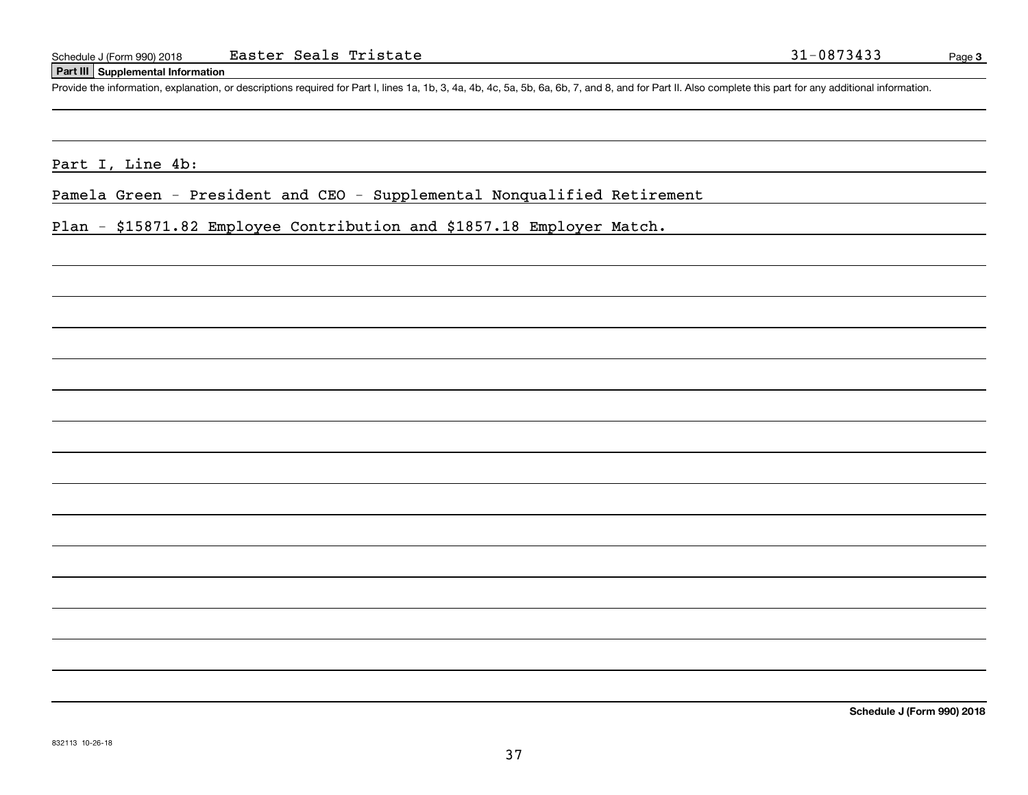## **Part III Supplemental Information**

Schedule J (Form 990) 2018 Easter Seals Tristate 31-0873433<br>Part III Supplemental Information<br>Provide the information, explanation, or descriptions required for Part I, lines 1a, 1b, 3, 4a, 4b, 4c, 5a, 5b, 6a, 6b, 7, and 8

Part I, Line 4b:

Pamela Green - President and CEO - Supplemental Nonqualified Retirement

Plan - \$15871.82 Employee Contribution and \$1857.18 Employer Match.

**Schedule J (Form 990) 2018**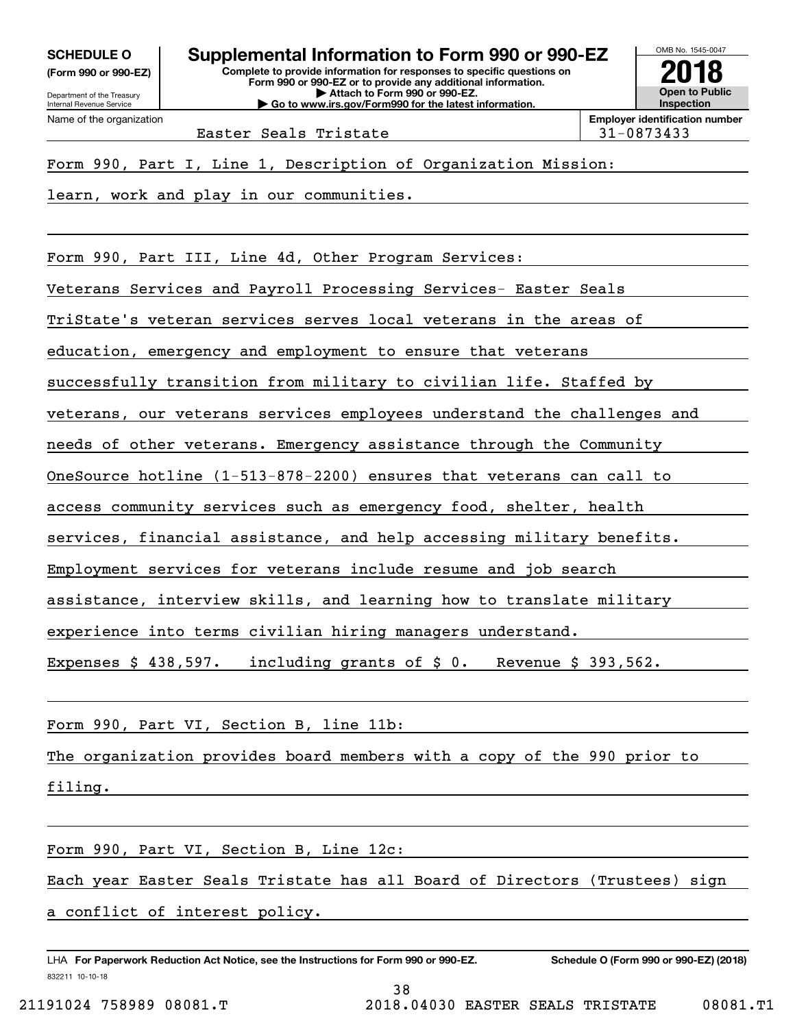**(Form 990 or 990-EZ)**

Department of the Treasury Internal Revenue Service Name of the organization

**Complete to provide information for responses to specific questions on Form 990 or 990-EZ or to provide any additional information. | Attach to Form 990 or 990-EZ. | Go to www.irs.gov/Form990 for the latest information. SCHEDULE O Supplemental Information to Form 990 or 990-EZ**



Easter Seals Tristate 1992 120 131-0873433

Form 990, Part I, Line 1, Description of Organization Mission:

learn, work and play in our communities.

Form 990, Part III, Line 4d, Other Program Services:

Veterans Services and Payroll Processing Services- Easter Seals

TriState's veteran services serves local veterans in the areas of

education, emergency and employment to ensure that veterans

successfully transition from military to civilian life. Staffed by

veterans, our veterans services employees understand the challenges and

needs of other veterans. Emergency assistance through the Community

OneSource hotline (1-513-878-2200) ensures that veterans can call to

access community services such as emergency food, shelter, health

services, financial assistance, and help accessing military benefits.

Employment services for veterans include resume and job search

assistance, interview skills, and learning how to translate military

experience into terms civilian hiring managers understand.

Expenses \$ 438,597. including grants of \$ 0. Revenue \$ 393,562.

Form 990, Part VI, Section B, line 11b:

The organization provides board members with a copy of the 990 prior to

filing.

Form 990, Part VI, Section B, Line 12c:

Each year Easter Seals Tristate has all Board of Directors (Trustees) sign

38

a conflict of interest policy.

832211 10-10-18 LHA For Paperwork Reduction Act Notice, see the Instructions for Form 990 or 990-EZ. Schedule O (Form 990 or 990-EZ) (2018)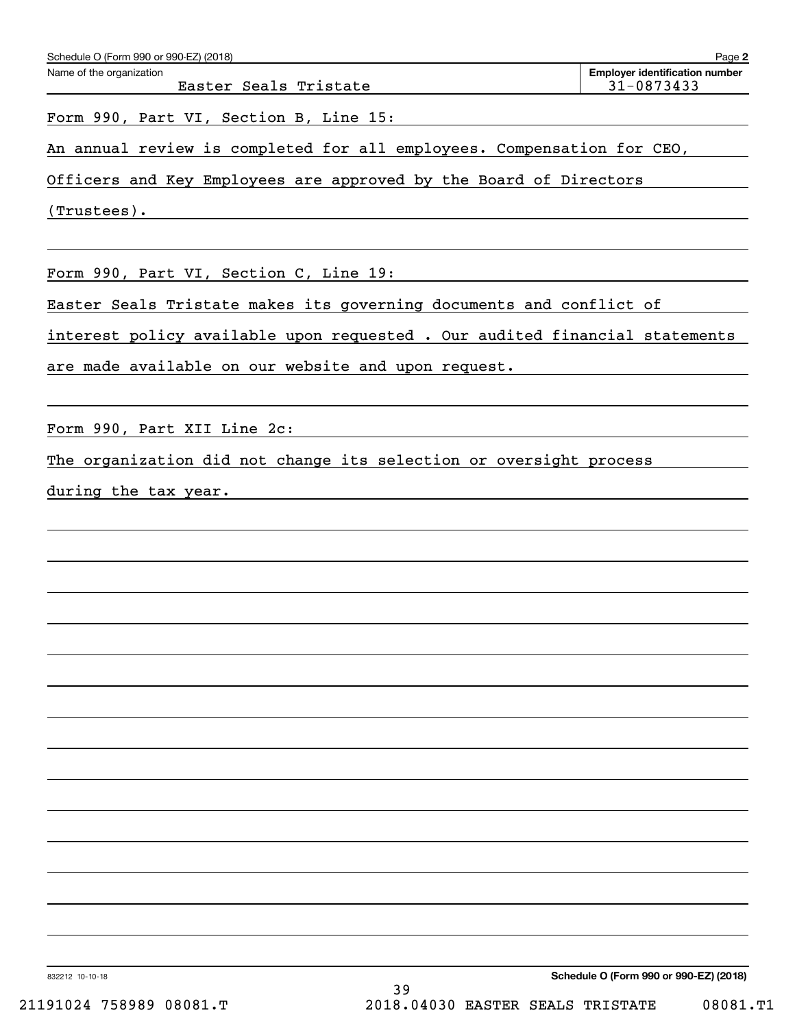| Schedule O (Form 990 or 990-EZ) (2018)                                      | Page 2                                              |
|-----------------------------------------------------------------------------|-----------------------------------------------------|
| Name of the organization<br>Easter Seals Tristate                           | <b>Employer identification number</b><br>31-0873433 |
| Form 990, Part VI, Section B, Line 15:                                      |                                                     |
| An annual review is completed for all employees. Compensation for CEO,      |                                                     |
| Officers and Key Employees are approved by the Board of Directors           |                                                     |
| $(Trustees)$ .                                                              |                                                     |
|                                                                             |                                                     |
| Form 990, Part VI, Section C, Line 19:                                      |                                                     |
| Easter Seals Tristate makes its governing documents and conflict of         |                                                     |
| interest policy available upon requested . Our audited financial statements |                                                     |
| are made available on our website and upon request.                         |                                                     |
|                                                                             |                                                     |
| Form 990, Part XII Line 2c:                                                 |                                                     |
| The organization did not change its selection or oversight process          |                                                     |
| during the tax year.                                                        |                                                     |
|                                                                             |                                                     |
|                                                                             |                                                     |
|                                                                             |                                                     |
|                                                                             |                                                     |
|                                                                             |                                                     |
|                                                                             |                                                     |
|                                                                             |                                                     |
|                                                                             |                                                     |
|                                                                             |                                                     |
|                                                                             |                                                     |
|                                                                             |                                                     |
|                                                                             |                                                     |
|                                                                             |                                                     |
|                                                                             |                                                     |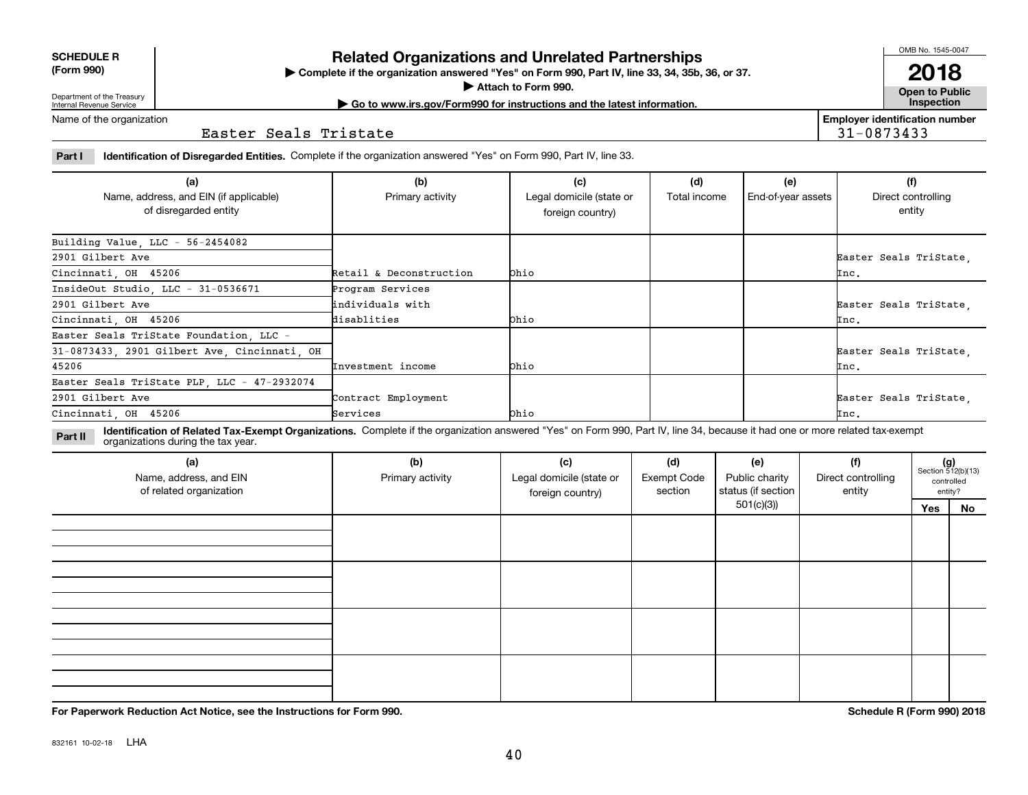**(Form 990)**

# Department of the Treasury Internal Revenue Service

**SCHEDULE R**

## **Related Organizations and Unrelated Partnerships**

**Complete if the organization answered "Yes" on Form 990, Part IV, line 33, 34, 35b, 36, or 37.** |

**Attach to Form 990.**  |

**Open to Public | Go to www.irs.gov/Form990 for instructions and the latest information. Inspection**

**Employer identification number**

31-0873433

Name of the organization

Easter Seals Tristate

**Part I Identification of Disregarded Entities.**  Complete if the organization answered "Yes" on Form 990, Part IV, line 33.

| (a)<br>Name, address, and EIN (if applicable)<br>of disregarded entity | (b)<br>Primary activity | (c)<br>Legal domicile (state or<br>foreign country) | (d)<br>Total income | (e)<br>End-of-year assets | (f)<br>Direct controlling<br>entity |
|------------------------------------------------------------------------|-------------------------|-----------------------------------------------------|---------------------|---------------------------|-------------------------------------|
| Building Value, LLC - 56-2454082                                       |                         |                                                     |                     |                           |                                     |
| 2901 Gilbert Ave                                                       |                         |                                                     |                     |                           | Easter Seals TriState,              |
| Cincinnati, OH 45206                                                   | Retail & Deconstruction | <b>bhio</b>                                         |                     |                           | $\texttt{Inc.}$                     |
| InsideOut Studio, LLC - 31-0536671                                     | Program Services        |                                                     |                     |                           |                                     |
| 2901 Gilbert Ave                                                       | lindividuals with       |                                                     |                     |                           | Easter Seals TriState,              |
| Cincinnati, OH 45206                                                   | disablities             | bhio                                                |                     |                           | Inc.                                |
| Easter Seals TriState Foundation, LLC -                                |                         |                                                     |                     |                           |                                     |
| 31-0873433, 2901 Gilbert Ave, Cincinnati, OH                           |                         |                                                     |                     |                           | Easter Seals TriState               |
| 45206                                                                  | Investment income       | <b>Ohio</b>                                         |                     |                           | Inc.                                |
| Easter Seals TriState PLP, LLC - 47-2932074                            |                         |                                                     |                     |                           |                                     |
| 2901 Gilbert Ave                                                       | Contract Employment     |                                                     |                     |                           | Easter Seals TriState,              |
| Cincinnati, OH 45206                                                   | Services                | <b>bhio</b>                                         |                     |                           | $\texttt{Inc.}$                     |

**Identification of Related Tax-Exempt Organizations.** Complete if the organization answered "Yes" on Form 990, Part IV, line 34, because it had one or more related tax-exempt **Part II** organizations during the tax year.

| (a)<br>Name, address, and EIN<br>of related organization | (b)<br>Primary activity | (c)<br>Legal domicile (state or<br>foreign country) | (d)<br><b>Exempt Code</b><br>section | (e)<br>Public charity<br>status (if section | (f)<br>Direct controlling<br>entity |     | $(g)$<br>Section 512(b)(13)<br>controlled<br>entity? |
|----------------------------------------------------------|-------------------------|-----------------------------------------------------|--------------------------------------|---------------------------------------------|-------------------------------------|-----|------------------------------------------------------|
|                                                          |                         |                                                     |                                      | 501(c)(3)                                   |                                     | Yes | No                                                   |
|                                                          |                         |                                                     |                                      |                                             |                                     |     |                                                      |
|                                                          |                         |                                                     |                                      |                                             |                                     |     |                                                      |
|                                                          |                         |                                                     |                                      |                                             |                                     |     |                                                      |
|                                                          |                         |                                                     |                                      |                                             |                                     |     |                                                      |
|                                                          |                         |                                                     |                                      |                                             |                                     |     |                                                      |
|                                                          |                         |                                                     |                                      |                                             |                                     |     |                                                      |
|                                                          |                         |                                                     |                                      |                                             |                                     |     |                                                      |

**For Paperwork Reduction Act Notice, see the Instructions for Form 990. Schedule R (Form 990) 2018**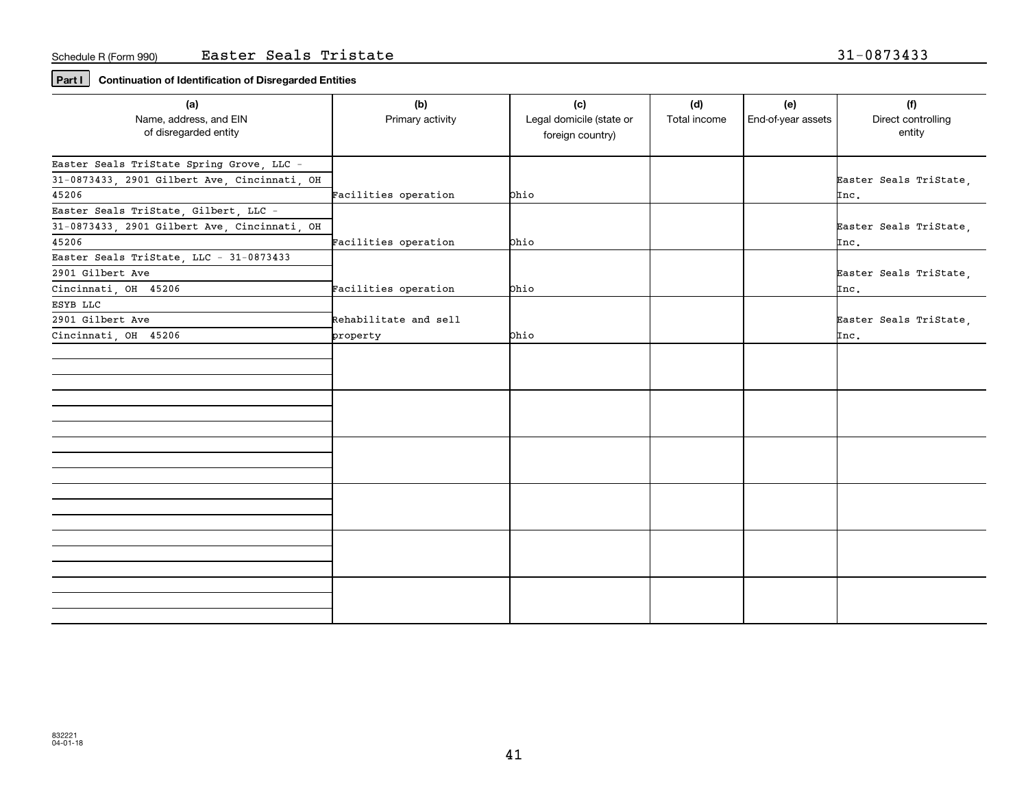## **Part I Continuation of Identification of Disregarded Entities**

| (a)                                          | (b)                   | (c)                      | (d)          | (e)                | (f)                    |
|----------------------------------------------|-----------------------|--------------------------|--------------|--------------------|------------------------|
| Name, address, and EIN                       | Primary activity      | Legal domicile (state or | Total income | End-of-year assets | Direct controlling     |
| of disregarded entity                        |                       | foreign country)         |              |                    | entity                 |
|                                              |                       |                          |              |                    |                        |
| Easter Seals TriState Spring Grove, LLC -    |                       |                          |              |                    |                        |
| 31-0873433, 2901 Gilbert Ave, Cincinnati, OH |                       |                          |              |                    | Easter Seals TriState, |
| 45206                                        | Facilities operation  | Ohio                     |              |                    | Inc.                   |
| Easter Seals TriState, Gilbert, LLC -        |                       |                          |              |                    |                        |
| 31-0873433, 2901 Gilbert Ave, Cincinnati, OH |                       |                          |              |                    | Easter Seals TriState, |
| 45206                                        | Facilities operation  | bhio                     |              |                    | Inc.                   |
| Easter Seals TriState, LLC - 31-0873433      |                       |                          |              |                    |                        |
| 2901 Gilbert Ave                             |                       |                          |              |                    | Easter Seals TriState, |
| Cincinnati, OH 45206                         | Facilities operation  | bhio                     |              |                    | $\texttt{Inc.}$        |
| ESYB LLC                                     |                       |                          |              |                    |                        |
| 2901 Gilbert Ave                             | Rehabilitate and sell |                          |              |                    | Easter Seals TriState, |
| Cincinnati, OH 45206                         | property              | <b>phio</b>              |              |                    | Inc.                   |
|                                              |                       |                          |              |                    |                        |
|                                              |                       |                          |              |                    |                        |
|                                              |                       |                          |              |                    |                        |
|                                              |                       |                          |              |                    |                        |
|                                              |                       |                          |              |                    |                        |
|                                              |                       |                          |              |                    |                        |
|                                              |                       |                          |              |                    |                        |
|                                              |                       |                          |              |                    |                        |
|                                              |                       |                          |              |                    |                        |
|                                              |                       |                          |              |                    |                        |
|                                              |                       |                          |              |                    |                        |
|                                              |                       |                          |              |                    |                        |
|                                              |                       |                          |              |                    |                        |
|                                              |                       |                          |              |                    |                        |
|                                              |                       |                          |              |                    |                        |
|                                              |                       |                          |              |                    |                        |
|                                              |                       |                          |              |                    |                        |
|                                              |                       |                          |              |                    |                        |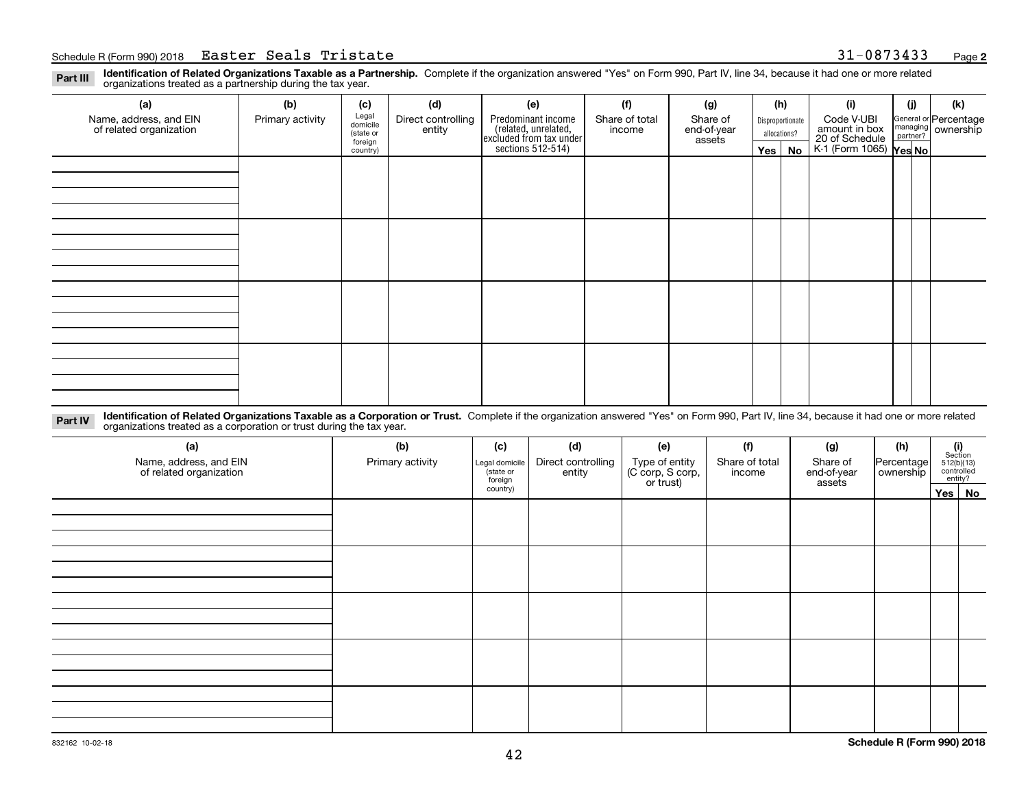## Schedule R (Form 990) 2018 Page Easter Seals Tristate 31-0873433

**Identification of Related Organizations Taxable as a Partnership.** Complete if the organization answered "Yes" on Form 990, Part IV, line 34, because it had one or more related **Part III** organizations treated as a partnership during the tax year.

| (a)                                               | (b)              | (c)                  | (d)                          | (e)                                                                                        | (f)                      | (g)                     |                  | (h)           | (i)                                                       | (j) | (k)                                                       |
|---------------------------------------------------|------------------|----------------------|------------------------------|--------------------------------------------------------------------------------------------|--------------------------|-------------------------|------------------|---------------|-----------------------------------------------------------|-----|-----------------------------------------------------------|
| Name, address, and EIN<br>of related organization | Primary activity | Legal<br>domicile    | Direct controlling<br>entity | Predominant income<br>(related, unrelated,<br>excluded from tax under<br>sections 512-514) | Share of total<br>income | Share of<br>end-of-year | Disproportionate |               | Code V-UBI                                                |     | General or Percentage<br>managing<br>partner?<br>partner? |
|                                                   |                  | (state or<br>foreign |                              |                                                                                            |                          | assets                  |                  | allocations?  |                                                           |     |                                                           |
|                                                   |                  | country)             |                              |                                                                                            |                          |                         |                  | $Yes \mid No$ | amount in box<br>20 of Schedule<br>K-1 (Form 1065) Yes No |     |                                                           |
|                                                   |                  |                      |                              |                                                                                            |                          |                         |                  |               |                                                           |     |                                                           |
|                                                   |                  |                      |                              |                                                                                            |                          |                         |                  |               |                                                           |     |                                                           |
|                                                   |                  |                      |                              |                                                                                            |                          |                         |                  |               |                                                           |     |                                                           |
|                                                   |                  |                      |                              |                                                                                            |                          |                         |                  |               |                                                           |     |                                                           |
|                                                   |                  |                      |                              |                                                                                            |                          |                         |                  |               |                                                           |     |                                                           |
|                                                   |                  |                      |                              |                                                                                            |                          |                         |                  |               |                                                           |     |                                                           |
|                                                   |                  |                      |                              |                                                                                            |                          |                         |                  |               |                                                           |     |                                                           |
|                                                   |                  |                      |                              |                                                                                            |                          |                         |                  |               |                                                           |     |                                                           |
|                                                   |                  |                      |                              |                                                                                            |                          |                         |                  |               |                                                           |     |                                                           |
|                                                   |                  |                      |                              |                                                                                            |                          |                         |                  |               |                                                           |     |                                                           |
|                                                   |                  |                      |                              |                                                                                            |                          |                         |                  |               |                                                           |     |                                                           |
|                                                   |                  |                      |                              |                                                                                            |                          |                         |                  |               |                                                           |     |                                                           |
|                                                   |                  |                      |                              |                                                                                            |                          |                         |                  |               |                                                           |     |                                                           |
|                                                   |                  |                      |                              |                                                                                            |                          |                         |                  |               |                                                           |     |                                                           |
|                                                   |                  |                      |                              |                                                                                            |                          |                         |                  |               |                                                           |     |                                                           |
|                                                   |                  |                      |                              |                                                                                            |                          |                         |                  |               |                                                           |     |                                                           |
|                                                   |                  |                      |                              |                                                                                            |                          |                         |                  |               |                                                           |     |                                                           |

**Identification of Related Organizations Taxable as a Corporation or Trust.** Complete if the organization answered "Yes" on Form 990, Part IV, line 34, because it had one or more related **Part IV** organizations treated as a corporation or trust during the tax year.

| (a)<br>Name, address, and EIN<br>of related organization | (b)<br>Primary activity | (c)<br>Legal domicile<br>(state or<br>foreign | (d)<br>Direct controlling<br>entity | (e)<br>Type of entity<br>(C corp, S corp,<br>or trust) | (f)<br>Share of total<br>income | (g)<br>Share of<br>end-of-year<br>assets | (h)<br>Percentage<br>ownership | $\begin{array}{c} \textbf{(i)}\\ \text{Section}\\ 512 \text{(b)} \text{(13)}\\ \text{controlled}\\ \text{entity?} \end{array}$ |        |
|----------------------------------------------------------|-------------------------|-----------------------------------------------|-------------------------------------|--------------------------------------------------------|---------------------------------|------------------------------------------|--------------------------------|--------------------------------------------------------------------------------------------------------------------------------|--------|
|                                                          |                         | country)                                      |                                     |                                                        |                                 |                                          |                                |                                                                                                                                | Yes No |
|                                                          |                         |                                               |                                     |                                                        |                                 |                                          |                                |                                                                                                                                |        |
|                                                          |                         |                                               |                                     |                                                        |                                 |                                          |                                |                                                                                                                                |        |
|                                                          |                         |                                               |                                     |                                                        |                                 |                                          |                                |                                                                                                                                |        |
|                                                          |                         |                                               |                                     |                                                        |                                 |                                          |                                |                                                                                                                                |        |
|                                                          |                         |                                               |                                     |                                                        |                                 |                                          |                                |                                                                                                                                |        |
|                                                          |                         |                                               |                                     |                                                        |                                 |                                          |                                |                                                                                                                                |        |
|                                                          |                         |                                               |                                     |                                                        |                                 |                                          |                                |                                                                                                                                |        |
|                                                          |                         |                                               |                                     |                                                        |                                 |                                          |                                |                                                                                                                                |        |
|                                                          |                         |                                               |                                     |                                                        |                                 |                                          |                                |                                                                                                                                |        |
|                                                          |                         |                                               |                                     |                                                        |                                 |                                          |                                |                                                                                                                                |        |
|                                                          |                         |                                               |                                     |                                                        |                                 |                                          |                                |                                                                                                                                |        |
|                                                          |                         |                                               |                                     |                                                        |                                 |                                          |                                |                                                                                                                                |        |
|                                                          |                         |                                               |                                     |                                                        |                                 |                                          |                                |                                                                                                                                |        |
|                                                          |                         |                                               |                                     |                                                        |                                 |                                          |                                |                                                                                                                                |        |
|                                                          |                         |                                               |                                     |                                                        |                                 |                                          |                                |                                                                                                                                |        |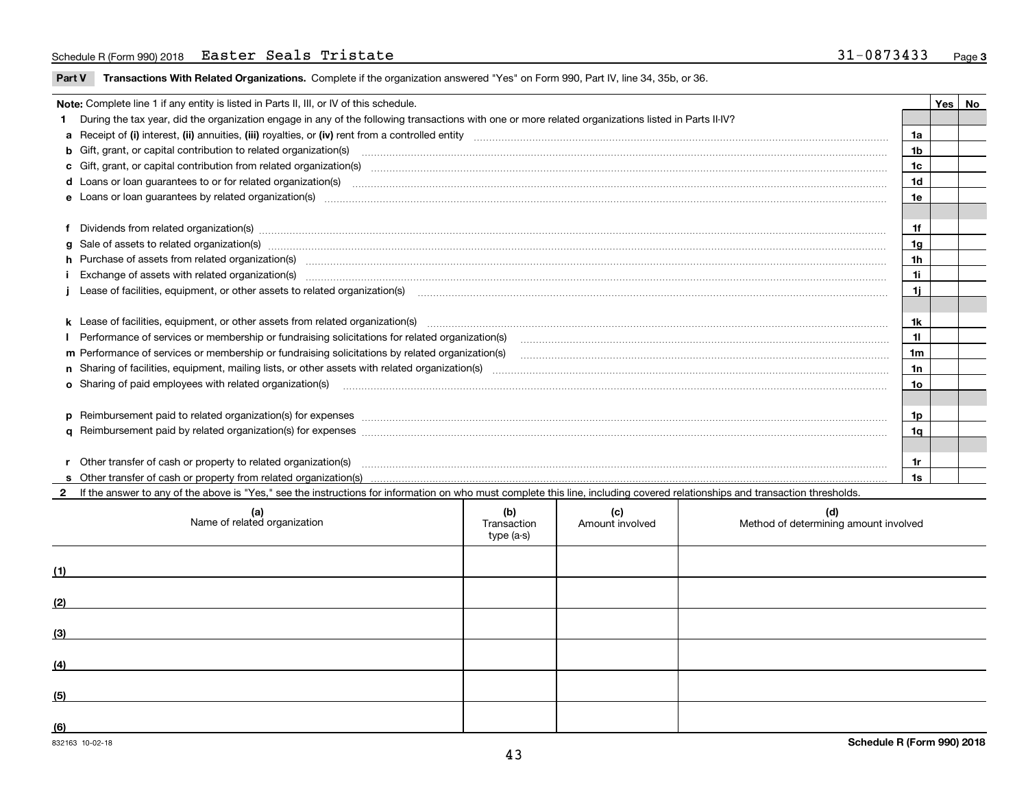## Schedule R (Form 990) 2018 Page Easter Seals Tristate 31-0873433

**Part V** T**ransactions With Related Organizations.** Complete if the organization answered "Yes" on Form 990, Part IV, line 34, 35b, or 36.

| Note: Complete line 1 if any entity is listed in Parts II, III, or IV of this schedule. |                                                                                                                                                                                                                                |                |  |  |  |  |
|-----------------------------------------------------------------------------------------|--------------------------------------------------------------------------------------------------------------------------------------------------------------------------------------------------------------------------------|----------------|--|--|--|--|
|                                                                                         | During the tax year, did the organization engage in any of the following transactions with one or more related organizations listed in Parts II-IV?                                                                            |                |  |  |  |  |
|                                                                                         |                                                                                                                                                                                                                                | 1a             |  |  |  |  |
|                                                                                         | b Gift, grant, or capital contribution to related organization(s) material contracts and contribution to related organization(s)                                                                                               | 1b             |  |  |  |  |
|                                                                                         | c Gift, grant, or capital contribution from related organization(s) manufaction content to content and contribution from related organization(s) manufaction content and contribution from related organization(s) manufaction | 1c             |  |  |  |  |
|                                                                                         |                                                                                                                                                                                                                                | 1d             |  |  |  |  |
|                                                                                         |                                                                                                                                                                                                                                | 1e             |  |  |  |  |
|                                                                                         |                                                                                                                                                                                                                                |                |  |  |  |  |
|                                                                                         | f Dividends from related organization(s) manufactured and contract and contract or produced and contract and contract and contract and contract and contract and contract and contract and contract and contract and contract  | 1f             |  |  |  |  |
|                                                                                         | g Sale of assets to related organization(s) www.assettion.com/www.assettion.com/www.assettion.com/www.assettion.com/www.assettion.com/www.assettion.com/www.assettion.com/www.assettion.com/www.assettion.com/www.assettion.co | 1g             |  |  |  |  |
|                                                                                         | h Purchase of assets from related organization(s) www.assettion.com/www.assettion.com/www.assettion.com/www.assettion.com/www.assettion.com/www.assettion.com/www.assettion.com/www.assettion.com/www.assettion.com/www.assett | 1 <sub>h</sub> |  |  |  |  |
|                                                                                         |                                                                                                                                                                                                                                | 1i             |  |  |  |  |
|                                                                                         |                                                                                                                                                                                                                                | 1i             |  |  |  |  |
|                                                                                         |                                                                                                                                                                                                                                |                |  |  |  |  |
|                                                                                         |                                                                                                                                                                                                                                | 1k             |  |  |  |  |
|                                                                                         |                                                                                                                                                                                                                                | 11             |  |  |  |  |
|                                                                                         |                                                                                                                                                                                                                                | 1 <sub>m</sub> |  |  |  |  |
|                                                                                         |                                                                                                                                                                                                                                | 1n             |  |  |  |  |
|                                                                                         | <b>o</b> Sharing of paid employees with related organization(s)                                                                                                                                                                | 1o             |  |  |  |  |
|                                                                                         |                                                                                                                                                                                                                                |                |  |  |  |  |
|                                                                                         | p Reimbursement paid to related organization(s) for expenses [1111] and manufacture manufacture manufacture manufacture manufacture manufacture manufacture manufacture manufacture manufacture manufacture manufacture manufa | 1p             |  |  |  |  |
|                                                                                         |                                                                                                                                                                                                                                | 1q             |  |  |  |  |
|                                                                                         |                                                                                                                                                                                                                                |                |  |  |  |  |
|                                                                                         |                                                                                                                                                                                                                                | 1r             |  |  |  |  |
|                                                                                         | r Other transfer of cash or property to related organization(s) encourance contains an example in the contract of cash or property from related organization(s) encourance contained and a set of cash or property from relate | 1s             |  |  |  |  |
|                                                                                         | If the answer to any of the above is "Yes," see the instructions for information on who must complete this line, including covered relationships and transaction thresholds.                                                   |                |  |  |  |  |

| (a)<br>Name of related organization | (b)<br>Transaction<br>type (a-s) | (c)<br>Amount involved | (d)<br>Method of determining amount involved |
|-------------------------------------|----------------------------------|------------------------|----------------------------------------------|
| (1)                                 |                                  |                        |                                              |
| (2)                                 |                                  |                        |                                              |
| (3)                                 |                                  |                        |                                              |
| (4)                                 |                                  |                        |                                              |
| (5)                                 |                                  |                        |                                              |
| (6)                                 |                                  |                        |                                              |

 $\overline{\phantom{0}}$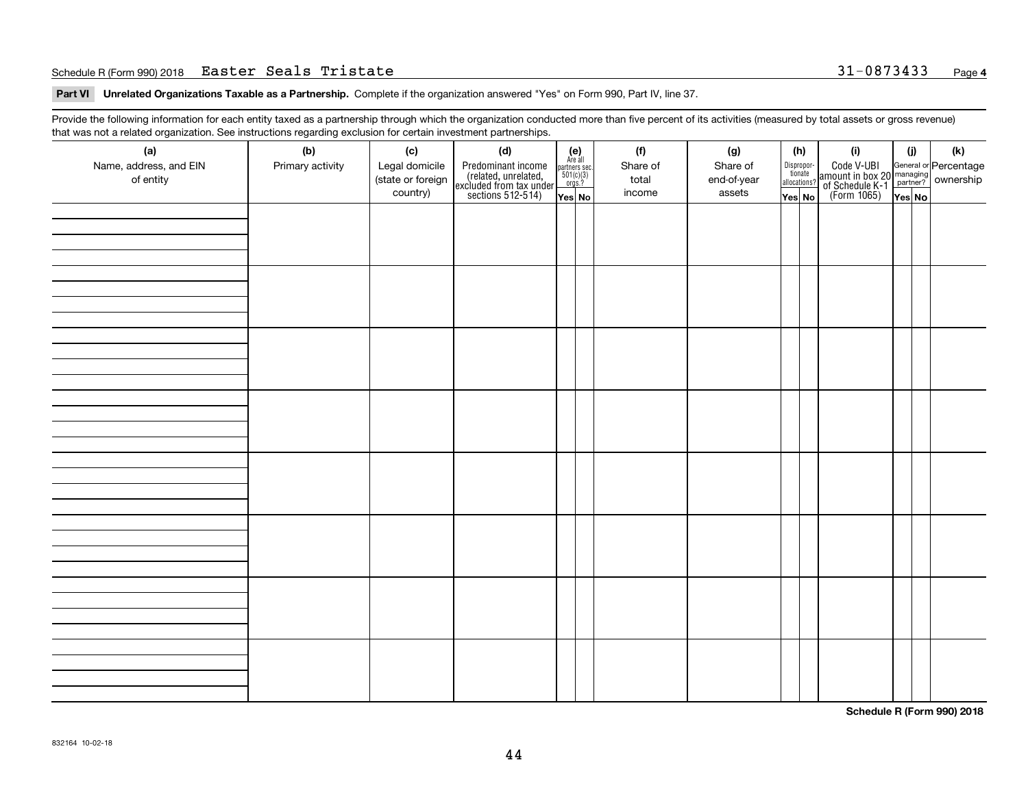### Schedule R (Form 990) 2018 Page Easter Seals Tristate 31-0873433

**Part VI Unrelated Organizations Taxable as a Partnership. Complete if the organization answered "Yes" on Form 990, Part IV, line 37.** 

Provide the following information for each entity taxed as a partnership through which the organization conducted more than five percent of its activities (measured by total assets or gross revenue) that was not a related organization. See instructions regarding exclusion for certain investment partnerships.

| ັ                      | ັ<br>ັ           |                   |                                                                                            |                                                                                               |          |             |                                  |                                                                                                  |        |     |
|------------------------|------------------|-------------------|--------------------------------------------------------------------------------------------|-----------------------------------------------------------------------------------------------|----------|-------------|----------------------------------|--------------------------------------------------------------------------------------------------|--------|-----|
| (a)                    | (b)              | (c)               | (d)                                                                                        | $(e)$<br>Are all                                                                              | (f)      | (g)         | (h)                              | (i)                                                                                              | (i)    | (k) |
| Name, address, and EIN | Primary activity | Legal domicile    | Predominant income<br>(related, unrelated,<br>excluded from tax under<br>sections 512-514) |                                                                                               | Share of | Share of    | Disproportionate<br>allocations? | Code V-UBI<br>amount in box 20 managing<br>of Schedule K-1<br>(Form 1065)<br>$\overline{Yes}$ No |        |     |
| of entity              |                  | (state or foreign |                                                                                            | $\begin{array}{c}\n\text{partners} & \text{sec.} \\ 501(c)(3) & \text{orgs.?} \\ \end{array}$ | total    | end-of-year |                                  |                                                                                                  |        |     |
|                        |                  | country)          |                                                                                            | Yes No                                                                                        | income   | assets      | Yes No                           |                                                                                                  | Yes No |     |
|                        |                  |                   |                                                                                            |                                                                                               |          |             |                                  |                                                                                                  |        |     |
|                        |                  |                   |                                                                                            |                                                                                               |          |             |                                  |                                                                                                  |        |     |
|                        |                  |                   |                                                                                            |                                                                                               |          |             |                                  |                                                                                                  |        |     |
|                        |                  |                   |                                                                                            |                                                                                               |          |             |                                  |                                                                                                  |        |     |
|                        |                  |                   |                                                                                            |                                                                                               |          |             |                                  |                                                                                                  |        |     |
|                        |                  |                   |                                                                                            |                                                                                               |          |             |                                  |                                                                                                  |        |     |
|                        |                  |                   |                                                                                            |                                                                                               |          |             |                                  |                                                                                                  |        |     |
|                        |                  |                   |                                                                                            |                                                                                               |          |             |                                  |                                                                                                  |        |     |
|                        |                  |                   |                                                                                            |                                                                                               |          |             |                                  |                                                                                                  |        |     |
|                        |                  |                   |                                                                                            |                                                                                               |          |             |                                  |                                                                                                  |        |     |
|                        |                  |                   |                                                                                            |                                                                                               |          |             |                                  |                                                                                                  |        |     |
|                        |                  |                   |                                                                                            |                                                                                               |          |             |                                  |                                                                                                  |        |     |
|                        |                  |                   |                                                                                            |                                                                                               |          |             |                                  |                                                                                                  |        |     |
|                        |                  |                   |                                                                                            |                                                                                               |          |             |                                  |                                                                                                  |        |     |
|                        |                  |                   |                                                                                            |                                                                                               |          |             |                                  |                                                                                                  |        |     |
|                        |                  |                   |                                                                                            |                                                                                               |          |             |                                  |                                                                                                  |        |     |
|                        |                  |                   |                                                                                            |                                                                                               |          |             |                                  |                                                                                                  |        |     |
|                        |                  |                   |                                                                                            |                                                                                               |          |             |                                  |                                                                                                  |        |     |
|                        |                  |                   |                                                                                            |                                                                                               |          |             |                                  |                                                                                                  |        |     |
|                        |                  |                   |                                                                                            |                                                                                               |          |             |                                  |                                                                                                  |        |     |
|                        |                  |                   |                                                                                            |                                                                                               |          |             |                                  |                                                                                                  |        |     |
|                        |                  |                   |                                                                                            |                                                                                               |          |             |                                  |                                                                                                  |        |     |
|                        |                  |                   |                                                                                            |                                                                                               |          |             |                                  |                                                                                                  |        |     |
|                        |                  |                   |                                                                                            |                                                                                               |          |             |                                  |                                                                                                  |        |     |
|                        |                  |                   |                                                                                            |                                                                                               |          |             |                                  |                                                                                                  |        |     |
|                        |                  |                   |                                                                                            |                                                                                               |          |             |                                  |                                                                                                  |        |     |
|                        |                  |                   |                                                                                            |                                                                                               |          |             |                                  |                                                                                                  |        |     |
|                        |                  |                   |                                                                                            |                                                                                               |          |             |                                  |                                                                                                  |        |     |
|                        |                  |                   |                                                                                            |                                                                                               |          |             |                                  |                                                                                                  |        |     |
|                        |                  |                   |                                                                                            |                                                                                               |          |             |                                  |                                                                                                  |        |     |
|                        |                  |                   |                                                                                            |                                                                                               |          |             |                                  |                                                                                                  |        |     |
|                        |                  |                   |                                                                                            |                                                                                               |          |             |                                  |                                                                                                  |        |     |
|                        |                  |                   |                                                                                            |                                                                                               |          |             |                                  |                                                                                                  |        |     |
|                        |                  |                   |                                                                                            |                                                                                               |          |             |                                  |                                                                                                  |        |     |
|                        |                  |                   |                                                                                            |                                                                                               |          |             |                                  |                                                                                                  |        |     |
|                        |                  |                   |                                                                                            |                                                                                               |          |             |                                  |                                                                                                  |        |     |
|                        |                  |                   |                                                                                            |                                                                                               |          |             |                                  |                                                                                                  |        |     |
|                        |                  |                   |                                                                                            |                                                                                               |          |             |                                  |                                                                                                  |        |     |
|                        |                  |                   |                                                                                            |                                                                                               |          |             |                                  |                                                                                                  |        |     |
|                        |                  |                   |                                                                                            |                                                                                               |          |             |                                  |                                                                                                  |        |     |

**Schedule R (Form 990) 2018**